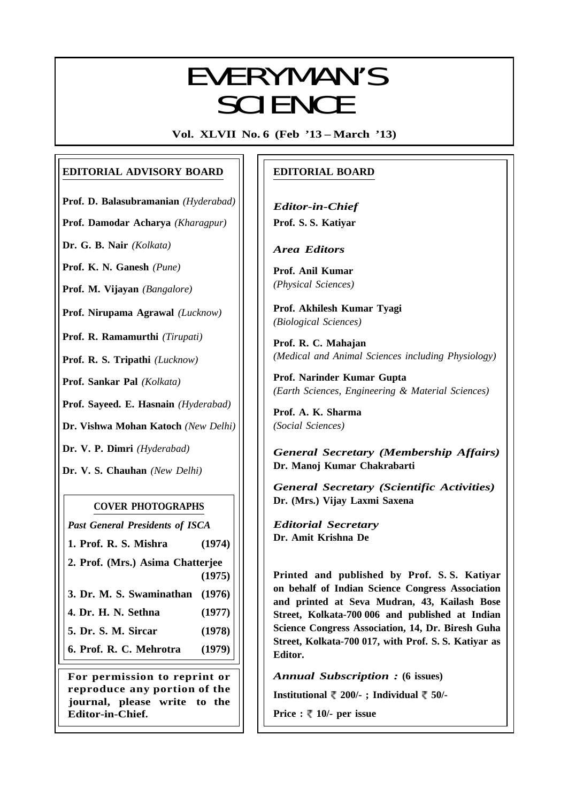# EVERYMANI/C EVERYMAN'S **SCIENCE**

**Vol. XLVII No. 6 (Feb '13 – March '13)**

### **EDITORIAL ADVISORY BOARD**

**Prof. D. Balasubramanian** *(Hyderabad)*

**Prof. Damodar Acharya** *(Kharagpur)*

**Dr. G. B. Nair** *(Kolkata)*

**Prof. K. N. Ganesh** *(Pune)*

**Prof. M. Vijayan** *(Bangalore)*

**Prof. Nirupama Agrawal** *(Lucknow)*

**Prof. R. Ramamurthi** *(Tirupati)*

**Prof. R. S. Tripathi** *(Lucknow)*

**Prof. Sankar Pal** *(Kolkata)*

**Prof. Sayeed. E. Hasnain** *(Hyderabad)*

**Dr. Vishwa Mohan Katoch** *(New Delhi)*

**Dr. V. P. Dimri** *(Hyderabad)*

**Dr. V. S. Chauhan** *(New Delhi)*

### **COVER PHOTOGRAPHS**

*Past General Presidents of ISCA*

**1. Prof. R. S. Mishra (1974)**

**2. Prof. (Mrs.) Asima Chatterjee (1975)**

**3. Dr. M. S. Swaminathan (1976)**

- **4. Dr. H. N. Sethna (1977)**
- **5. Dr. S. M. Sircar (1978)**

**6. Prof. R. C. Mehrotra (1979)**

**For permission to reprint or reproduce any portion of the journal, please write to the Editor-in-Chief.**

### **EDITORIAL BOARD**

*Editor-in-Chief* **Prof. S. S. Katiyar**

*Area Editors*

**Prof. Anil Kumar** *(Physical Sciences)*

**Prof. Akhilesh Kumar Tyagi** *(Biological Sciences)*

**Prof. R. C. Mahajan** *(Medical and Animal Sciences including Physiology)*

**Prof. Narinder Kumar Gupta** *(Earth Sciences, Engineering & Material Sciences)*

**Prof. A. K. Sharma** *(Social Sciences)*

*General Secretary (Membership Affairs)* **Dr. Manoj Kumar Chakrabarti**

*General Secretary (Scientific Activities)* **Dr. (Mrs.) Vijay Laxmi Saxena**

*Editorial Secretary* **Dr. Amit Krishna De**

**Printed and published by Prof. S. S. Katiyar on behalf of Indian Science Congress Association and printed at Seva Mudran, 43, Kailash Bose Street, Kolkata-700 006 and published at Indian Science Congress Association, 14, Dr. Biresh Guha Street, Kolkata-700 017, with Prof. S. S. Katiyar as Editor.**

*Annual Subscription :* **(6 issues)**

**Institutional 200/- ; Individual 50/-**

**Price :**  $\sqrt[m]{ }$  **10/- per issue** 

333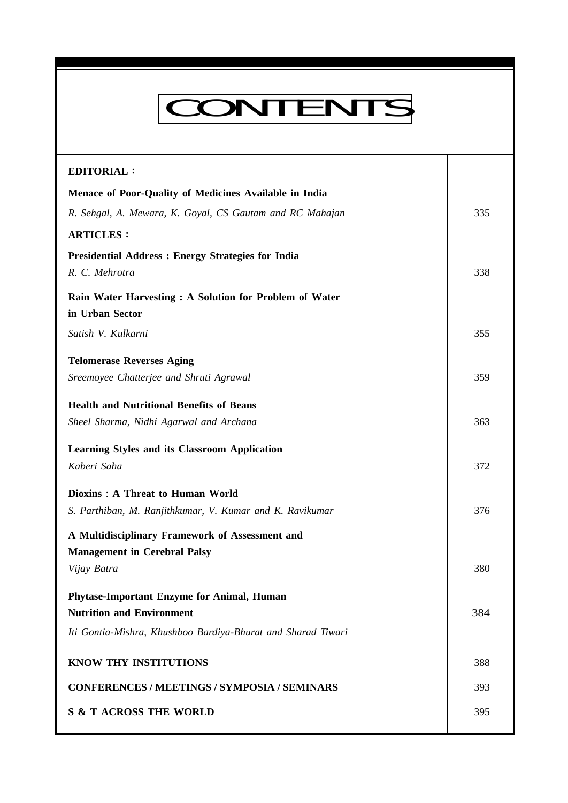# CONTENTS

**Everyman's Science Vol. XLVII No. 6, Feb '13 — Mar '13**

| <b>EDITORIAL:</b>                                            |     |
|--------------------------------------------------------------|-----|
| Menace of Poor-Quality of Medicines Available in India       |     |
| R. Sehgal, A. Mewara, K. Goyal, CS Gautam and RC Mahajan     | 335 |
| <b>ARTICLES:</b>                                             |     |
| <b>Presidential Address : Energy Strategies for India</b>    |     |
| R. C. Mehrotra                                               | 338 |
| Rain Water Harvesting: A Solution for Problem of Water       |     |
| in Urban Sector                                              |     |
| Satish V. Kulkarni                                           | 355 |
| <b>Telomerase Reverses Aging</b>                             |     |
| Sreemoyee Chatterjee and Shruti Agrawal                      | 359 |
| <b>Health and Nutritional Benefits of Beans</b>              |     |
| Sheel Sharma, Nidhi Agarwal and Archana                      | 363 |
| Learning Styles and its Classroom Application                |     |
| Kaberi Saha                                                  | 372 |
| Dioxins: A Threat to Human World                             |     |
| S. Parthiban, M. Ranjithkumar, V. Kumar and K. Ravikumar     | 376 |
| A Multidisciplinary Framework of Assessment and              |     |
| <b>Management in Cerebral Palsy</b>                          |     |
| Vijay Batra                                                  | 380 |
| Phytase-Important Enzyme for Animal, Human                   |     |
| <b>Nutrition and Environment</b>                             | 384 |
| Iti Gontia-Mishra, Khushboo Bardiya-Bhurat and Sharad Tiwari |     |
| KNOW THY INSTITUTIONS                                        | 388 |
|                                                              |     |
| <b>CONFERENCES / MEETINGS / SYMPOSIA / SEMINARS</b>          | 393 |
| <b>S &amp; T ACROSS THE WORLD</b>                            | 395 |
|                                                              |     |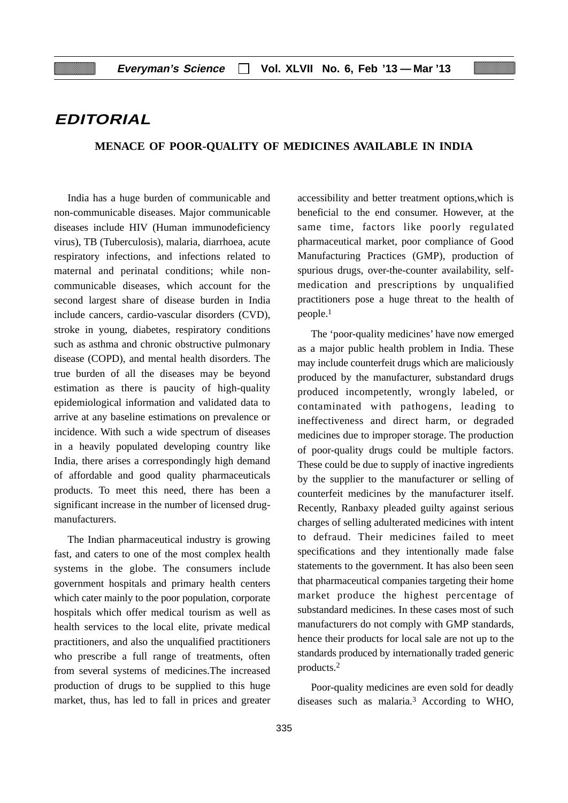### **EDITORIAL**

### **MENACE OF POOR-QUALITY OF MEDICINES AVAILABLE IN INDIA**

India has a huge burden of communicable and non-communicable diseases. Major communicable diseases include HIV (Human immunodeficiency virus), TB (Tuberculosis), malaria, diarrhoea, acute respiratory infections, and infections related to maternal and perinatal conditions; while noncommunicable diseases, which account for the second largest share of disease burden in India include cancers, cardio-vascular disorders (CVD), stroke in young, diabetes, respiratory conditions such as asthma and chronic obstructive pulmonary disease (COPD), and mental health disorders. The true burden of all the diseases may be beyond estimation as there is paucity of high-quality epidemiological information and validated data to arrive at any baseline estimations on prevalence or incidence. With such a wide spectrum of diseases in a heavily populated developing country like India, there arises a correspondingly high demand of affordable and good quality pharmaceuticals products. To meet this need, there has been a significant increase in the number of licensed drugmanufacturers.

The Indian pharmaceutical industry is growing fast, and caters to one of the most complex health systems in the globe. The consumers include government hospitals and primary health centers which cater mainly to the poor population, corporate hospitals which offer medical tourism as well as health services to the local elite, private medical practitioners, and also the unqualified practitioners who prescribe a full range of treatments, often from several systems of medicines.The increased production of drugs to be supplied to this huge market, thus, has led to fall in prices and greater accessibility and better treatment options,which is beneficial to the end consumer. However, at the same time, factors like poorly regulated pharmaceutical market, poor compliance of Good Manufacturing Practices (GMP), production of spurious drugs, over-the-counter availability, selfmedication and prescriptions by unqualified practitioners pose a huge threat to the health of people.1

The 'poor-quality medicines' have now emerged as a major public health problem in India. These may include counterfeit drugs which are maliciously produced by the manufacturer, substandard drugs produced incompetently, wrongly labeled, or contaminated with pathogens, leading to ineffectiveness and direct harm, or degraded medicines due to improper storage. The production of poor-quality drugs could be multiple factors. These could be due to supply of inactive ingredients by the supplier to the manufacturer or selling of counterfeit medicines by the manufacturer itself. Recently, Ranbaxy pleaded guilty against serious charges of selling adulterated medicines with intent to defraud. Their medicines failed to meet specifications and they intentionally made false statements to the government. It has also been seen that pharmaceutical companies targeting their home market produce the highest percentage of substandard medicines. In these cases most of such manufacturers do not comply with GMP standards, hence their products for local sale are not up to the standards produced by internationally traded generic products.2

Poor-quality medicines are even sold for deadly diseases such as malaria.3 According to WHO,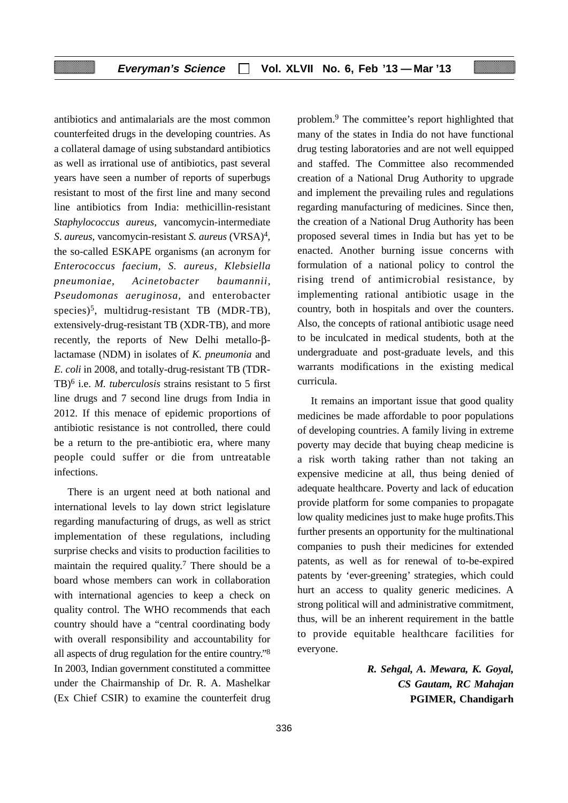antibiotics and antimalarials are the most common counterfeited drugs in the developing countries. As a collateral damage of using substandard antibiotics as well as irrational use of antibiotics, past several years have seen a number of reports of superbugs resistant to most of the first line and many second line antibiotics from India: methicillin-resistant *Staphylococcus aureus,* vancomycin-intermediate *S*. *aureus,* vancomycin-resistant *S. aureus* (VRSA)4, the so-called ESKAPE organisms (an acronym for *Enterococcus faecium, S. aureus, Klebsiella pneumoniae, Acinetobacter baumannii, Pseudomonas aeruginosa,* and enterobacter species)<sup>5</sup>, multidrug-resistant TB (MDR-TB), extensively-drug-resistant TB (XDR-TB), and more recently, the reports of New Delhi metallo-βlactamase (NDM) in isolates of *K. pneumonia* and *E. coli* in 2008, and totally-drug-resistant TB (TDR-TB)6 i.e. *M. tuberculosis* strains resistant to 5 first line drugs and 7 second line drugs from India in 2012. If this menace of epidemic proportions of antibiotic resistance is not controlled, there could be a return to the pre-antibiotic era, where many people could suffer or die from untreatable infections.

There is an urgent need at both national and international levels to lay down strict legislature regarding manufacturing of drugs, as well as strict implementation of these regulations, including surprise checks and visits to production facilities to maintain the required quality.<sup>7</sup> There should be a board whose members can work in collaboration with international agencies to keep a check on quality control. The WHO recommends that each country should have a "central coordinating body with overall responsibility and accountability for all aspects of drug regulation for the entire country."8 In 2003, Indian government constituted a committee under the Chairmanship of Dr. R. A. Mashelkar (Ex Chief CSIR) to examine the counterfeit drug

problem.9 The committee's report highlighted that many of the states in India do not have functional drug testing laboratories and are not well equipped and staffed. The Committee also recommended creation of a National Drug Authority to upgrade and implement the prevailing rules and regulations regarding manufacturing of medicines. Since then, the creation of a National Drug Authority has been proposed several times in India but has yet to be enacted. Another burning issue concerns with formulation of a national policy to control the rising trend of antimicrobial resistance, by implementing rational antibiotic usage in the country, both in hospitals and over the counters. Also, the concepts of rational antibiotic usage need to be inculcated in medical students, both at the undergraduate and post-graduate levels, and this warrants modifications in the existing medical curricula.

It remains an important issue that good quality medicines be made affordable to poor populations of developing countries. A family living in extreme poverty may decide that buying cheap medicine is a risk worth taking rather than not taking an expensive medicine at all, thus being denied of adequate healthcare. Poverty and lack of education provide platform for some companies to propagate low quality medicines just to make huge profits.This further presents an opportunity for the multinational companies to push their medicines for extended patents, as well as for renewal of to-be-expired patents by 'ever-greening' strategies, which could hurt an access to quality generic medicines. A strong political will and administrative commitment, thus, will be an inherent requirement in the battle to provide equitable healthcare facilities for everyone.

> *R. Sehgal, A. Mewara, K. Goyal, CS Gautam, RC Mahajan* **PGIMER, Chandigarh**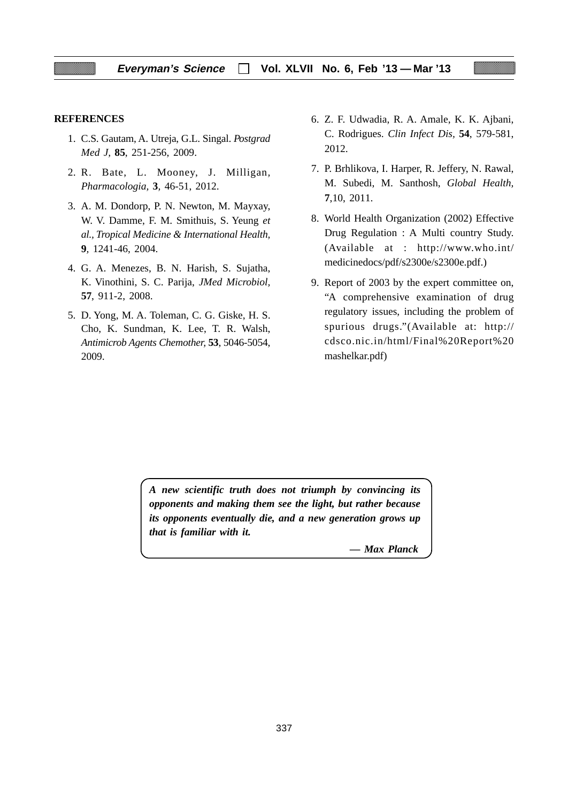#### **REFERENCES**

- 1. C.S. Gautam, A. Utreja, G.L. Singal. *Postgrad Med J,* **85**, 251-256, 2009.
- 2. R. Bate, L. Mooney, J. Milligan*, Pharmacologia,* **3***,* 46-51, 2012.
- 3. A. M. Dondorp, P. N. Newton, M. Mayxay, W. V. Damme, F. M. Smithuis, S. Yeung *et al., Tropical Medicine & International Health,* **9***,* 1241-46, 2004.
- 4. G. A. Menezes, B. N. Harish, S. Sujatha, K. Vinothini, S. C. Parija, *JMed Microbiol,* **57**, 911-2, 2008.
- 5. D. Yong, M. A. Toleman, C. G. Giske, H. S. Cho, K. Sundman, K. Lee, T. R. Walsh, *Antimicrob Agents Chemother,* **53**, 5046-5054, 2009.
- 6. Z. F. Udwadia, R. A. Amale, K. K. Ajbani, C. Rodrigues. *Clin Infect Dis,* **54**, 579-581, 2012.
- 7. P. Brhlikova, I. Harper, R. Jeffery, N. Rawal, M. Subedi, M. Santhosh, *Global Health,* **7**,10, 2011.
- 8. World Health Organization (2002) Effective Drug Regulation : A Multi country Study. (Available at : http://www.who.int/ medicinedocs/pdf/s2300e/s2300e.pdf.)
- 9. Report of 2003 by the expert committee on, "A comprehensive examination of drug regulatory issues, including the problem of spurious drugs."(Available at: http:// cdsco.nic.in/html/Final%20Report%20 mashelkar.pdf)

*A new scientific truth does not triumph by convincing its opponents and making them see the light, but rather because its opponents eventually die, and a new generation grows up that is familiar with it.*

*— Max Planck*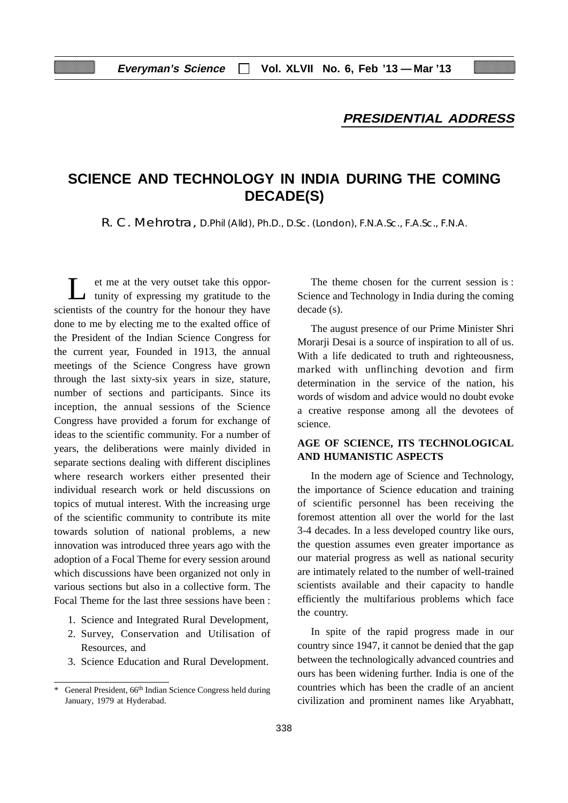### **PRESIDENTIAL ADDRESS**

# **SCIENCE AND TECHNOLOGY IN INDIA DURING THE COMING DECADE(S)**

R. C. Mehrotra, D.Phil (Alld), Ph.D., D.Sc. (London), F.N.A.Sc., F.A.Sc., F.N.A.

et me at the very outset take this opportunity of expressing my gratitude to the scientists of the country for the honour they have done to me by electing me to the exalted office of the President of the Indian Science Congress for the current year, Founded in 1913, the annual meetings of the Science Congress have grown through the last sixty-six years in size, stature, number of sections and participants. Since its inception, the annual sessions of the Science Congress have provided a forum for exchange of ideas to the scientific community. For a number of years, the deliberations were mainly divided in separate sections dealing with different disciplines where research workers either presented their individual research work or held discussions on topics of mutual interest. With the increasing urge of the scientific community to contribute its mite towards solution of national problems, a new innovation was introduced three years ago with the adoption of a Focal Theme for every session around which discussions have been organized not only in various sections but also in a collective form. The Focal Theme for the last three sessions have been :

- 1. Science and Integrated Rural Development,
- 2. Survey, Conservation and Utilisation of Resources, and
- 3. Science Education and Rural Development.

The theme chosen for the current session is : Science and Technology in India during the coming decade (s).

The august presence of our Prime Minister Shri Morarji Desai is a source of inspiration to all of us. With a life dedicated to truth and righteousness, marked with unflinching devotion and firm determination in the service of the nation, his words of wisdom and advice would no doubt evoke a creative response among all the devotees of science.

### **AGE OF SCIENCE, ITS TECHNOLOGICAL AND HUMANISTIC ASPECTS**

In the modern age of Science and Technology, the importance of Science education and training of scientific personnel has been receiving the foremost attention all over the world for the last 3-4 decades. In a less developed country like ours, the question assumes even greater importance as our material progress as well as national security are intimately related to the number of well-trained scientists available and their capacity to handle efficiently the multifarious problems which face the country.

In spite of the rapid progress made in our country since 1947, it cannot be denied that the gap between the technologically advanced countries and ours has been widening further. India is one of the countries which has been the cradle of an ancient civilization and prominent names like Aryabhatt,

General President, 66<sup>th</sup> Indian Science Congress held during January, 1979 at Hyderabad.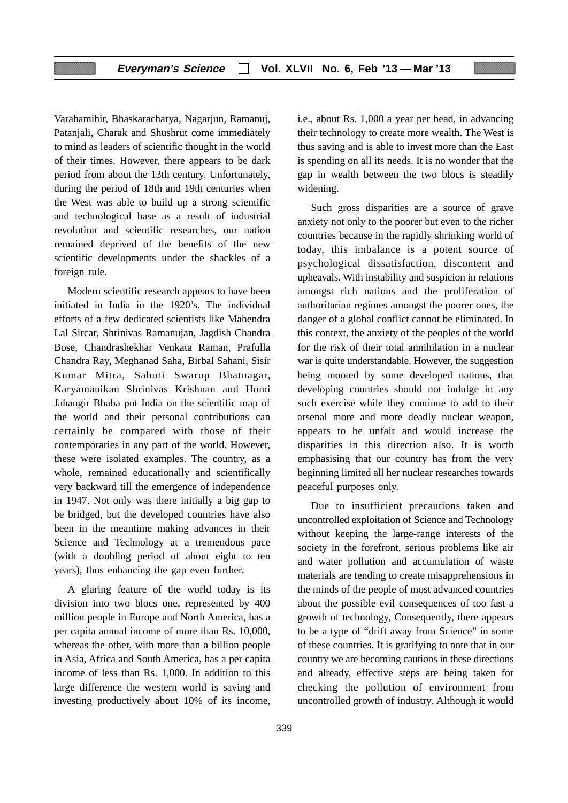Varahamihir, Bhaskaracharya, Nagarjun, Ramanuj, Patanjali, Charak and Shushrut come immediately to mind as leaders of scientific thought in the world of their times. However, there appears to be dark period from about the 13th century. Unfortunately, during the period of 18th and 19th centuries when the West was able to build up a strong scientific and technological base as a result of industrial revolution and scientific researches, our nation remained deprived of the benefits of the new scientific developments under the shackles of a foreign rule.

Modern scientific research appears to have been initiated in India in the 1920's. The individual efforts of a few dedicated scientists like Mahendra Lal Sircar, Shrinivas Ramanujan, Jagdish Chandra Bose, Chandrashekhar Venkata Raman, Prafulla Chandra Ray, Meghanad Saha, Birbal Sahani, Sisir Kumar Mitra, Sahnti Swarup Bhatnagar, Karyamanikan Shrinivas Krishnan and Homi Jahangir Bhaba put India on the scientific map of the world and their personal contributions can certainly be compared with those of their contemporaries in any part of the world. However, these were isolated examples. The country, as a whole, remained educationally and scientifically very backward till the emergence of independence in 1947. Not only was there initially a big gap to be bridged, but the developed countries have also been in the meantime making advances in their Science and Technology at a tremendous pace (with a doubling period of about eight to ten years), thus enhancing the gap even further.

A glaring feature of the world today is its division into two blocs one, represented by 400 million people in Europe and North America, has a per capita annual income of more than Rs. 10,000, whereas the other, with more than a billion people in Asia, Africa and South America, has a per capita income of less than Rs. 1,000. In addition to this large difference the western world is saving and investing productively about 10% of its income, i.e., about Rs. 1,000 a year per head, in advancing their technology to create more wealth. The West is thus saving and is able to invest more than the East is spending on all its needs. It is no wonder that the gap in wealth between the two blocs is steadily widening.

Such gross disparities are a source of grave anxiety not only to the poorer but even to the richer countries because in the rapidly shrinking world of today, this imbalance is a potent source of psychological dissatisfaction, discontent and upheavals. With instability and suspicion in relations amongst rich nations and the proliferation of authoritarian regimes amongst the poorer ones, the danger of a global conflict cannot be eliminated. In this context, the anxiety of the peoples of the world for the risk of their total annihilation in a nuclear war is quite understandable. However, the suggestion being mooted by some developed nations, that developing countries should not indulge in any such exercise while they continue to add to their arsenal more and more deadly nuclear weapon, appears to be unfair and would increase the disparities in this direction also. It is worth emphasising that our country has from the very beginning limited all her nuclear researches towards peaceful purposes only.

Due to insufficient precautions taken and uncontrolled exploitation of Science and Technology without keeping the large-range interests of the society in the forefront, serious problems like air and water pollution and accumulation of waste materials are tending to create misapprehensions in the minds of the people of most advanced countries about the possible evil consequences of too fast a growth of technology, Consequently, there appears to be a type of "drift away from Science" in some of these countries. It is gratifying to note that in our country we are becoming cautions in these directions and already, effective steps are being taken for checking the pollution of environment from uncontrolled growth of industry. Although it would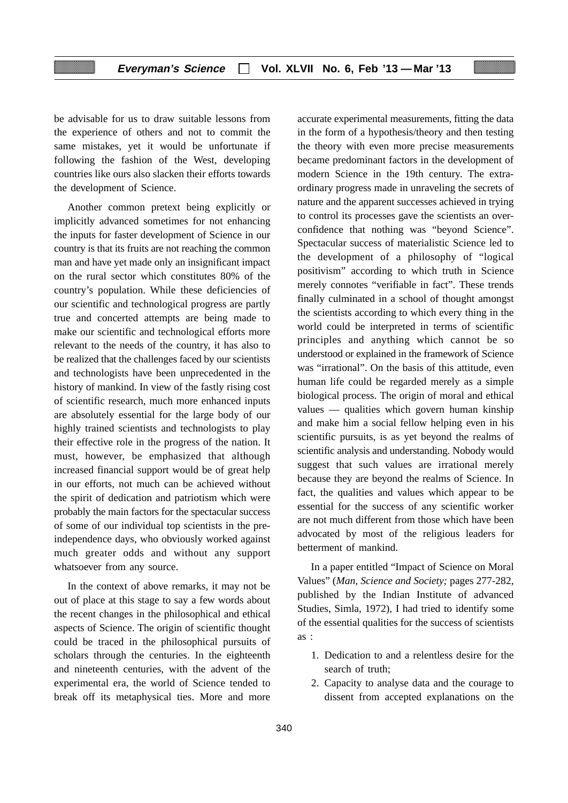be advisable for us to draw suitable lessons from the experience of others and not to commit the same mistakes, yet it would be unfortunate if following the fashion of the West, developing countries like ours also slacken their efforts towards the development of Science.

Another common pretext being explicitly or implicitly advanced sometimes for not enhancing the inputs for faster development of Science in our country is that its fruits are not reaching the common man and have yet made only an insignificant impact on the rural sector which constitutes 80% of the country's population. While these deficiencies of our scientific and technological progress are partly true and concerted attempts are being made to make our scientific and technological efforts more relevant to the needs of the country, it has also to be realized that the challenges faced by our scientists and technologists have been unprecedented in the history of mankind. In view of the fastly rising cost of scientific research, much more enhanced inputs are absolutely essential for the large body of our highly trained scientists and technologists to play their effective role in the progress of the nation. It must, however, be emphasized that although increased financial support would be of great help in our efforts, not much can be achieved without the spirit of dedication and patriotism which were probably the main factors for the spectacular success of some of our individual top scientists in the preindependence days, who obviously worked against much greater odds and without any support whatsoever from any source.

In the context of above remarks, it may not be out of place at this stage to say a few words about the recent changes in the philosophical and ethical aspects of Science. The origin of scientific thought could be traced in the philosophical pursuits of scholars through the centuries. In the eighteenth and nineteenth centuries, with the advent of the experimental era, the world of Science tended to break off its metaphysical ties. More and more

accurate experimental measurements, fitting the data in the form of a hypothesis/theory and then testing the theory with even more precise measurements became predominant factors in the development of modern Science in the 19th century. The extraordinary progress made in unraveling the secrets of nature and the apparent successes achieved in trying to control its processes gave the scientists an overconfidence that nothing was "beyond Science". Spectacular success of materialistic Science led to the development of a philosophy of "logical positivism" according to which truth in Science merely connotes "verifiable in fact". These trends finally culminated in a school of thought amongst the scientists according to which every thing in the world could be interpreted in terms of scientific principles and anything which cannot be so understood or explained in the framework of Science was "irrational". On the basis of this attitude, even human life could be regarded merely as a simple biological process. The origin of moral and ethical values — qualities which govern human kinship and make him a social fellow helping even in his scientific pursuits, is as yet beyond the realms of scientific analysis and understanding. Nobody would suggest that such values are irrational merely because they are beyond the realms of Science. In fact, the qualities and values which appear to be essential for the success of any scientific worker are not much different from those which have been advocated by most of the religious leaders for betterment of mankind.

In a paper entitled "Impact of Science on Moral Values" (*Man, Science and Society;* pages 277-282, published by the Indian Institute of advanced Studies, Simla, 1972), I had tried to identify some of the essential qualities for the success of scientists as :

- 1. Dedication to and a relentless desire for the search of truth;
- 2. Capacity to analyse data and the courage to dissent from accepted explanations on the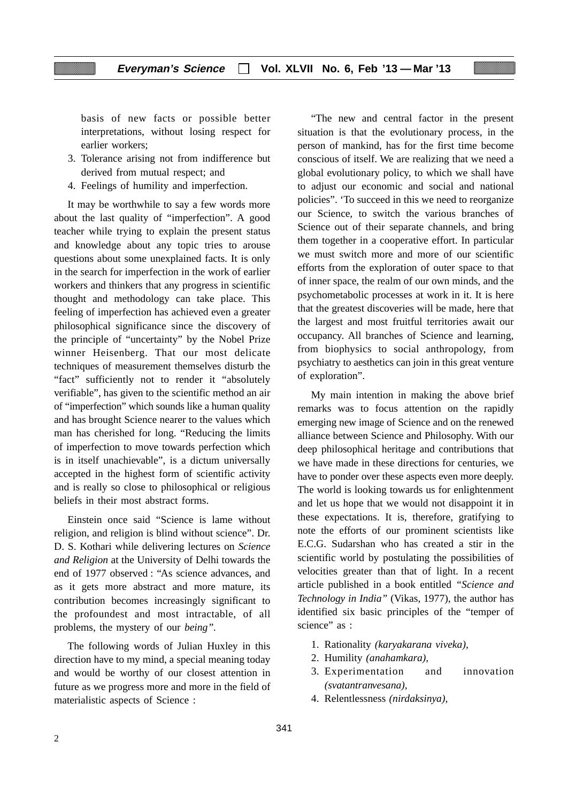basis of new facts or possible better interpretations, without losing respect for earlier workers;

- 3. Tolerance arising not from indifference but derived from mutual respect; and
- 4. Feelings of humility and imperfection.

It may be worthwhile to say a few words more about the last quality of "imperfection". A good teacher while trying to explain the present status and knowledge about any topic tries to arouse questions about some unexplained facts. It is only in the search for imperfection in the work of earlier workers and thinkers that any progress in scientific thought and methodology can take place. This feeling of imperfection has achieved even a greater philosophical significance since the discovery of the principle of "uncertainty" by the Nobel Prize winner Heisenberg. That our most delicate techniques of measurement themselves disturb the "fact" sufficiently not to render it "absolutely verifiable", has given to the scientific method an air of "imperfection" which sounds like a human quality and has brought Science nearer to the values which man has cherished for long. "Reducing the limits of imperfection to move towards perfection which is in itself unachievable", is a dictum universally accepted in the highest form of scientific activity and is really so close to philosophical or religious beliefs in their most abstract forms.

Einstein once said "Science is lame without religion, and religion is blind without science". Dr. D. S. Kothari while delivering lectures on *Science and Religion* at the University of Delhi towards the end of 1977 observed : "As science advances, and as it gets more abstract and more mature, its contribution becomes increasingly significant to the profoundest and most intractable, of all problems, the mystery of our *being".*

The following words of Julian Huxley in this direction have to my mind, a special meaning today and would be worthy of our closest attention in future as we progress more and more in the field of materialistic aspects of Science :

"The new and central factor in the present situation is that the evolutionary process, in the person of mankind, has for the first time become conscious of itself. We are realizing that we need a global evolutionary policy, to which we shall have to adjust our economic and social and national policies". 'To succeed in this we need to reorganize our Science, to switch the various branches of Science out of their separate channels, and bring them together in a cooperative effort. In particular we must switch more and more of our scientific efforts from the exploration of outer space to that of inner space, the realm of our own minds, and the psychometabolic processes at work in it. It is here that the greatest discoveries will be made, here that the largest and most fruitful territories await our occupancy. All branches of Science and learning, from biophysics to social anthropology, from psychiatry to aesthetics can join in this great venture of exploration".

My main intention in making the above brief remarks was to focus attention on the rapidly emerging new image of Science and on the renewed alliance between Science and Philosophy. With our deep philosophical heritage and contributions that we have made in these directions for centuries, we have to ponder over these aspects even more deeply. The world is looking towards us for enlightenment and let us hope that we would not disappoint it in these expectations. It is, therefore, gratifying to note the efforts of our prominent scientists like E.C.G. Sudarshan who has created a stir in the scientific world by postulating the possibilities of velocities greater than that of light. In a recent article published in a book entitled *"Science and Technology in India"* (Vikas, 1977), the author has identified six basic principles of the "temper of science" as :

- 1. Rationality *(karyakarana viveka),*
- 2. Humility *(anahamkara),*
- 3. Experimentation and innovation *(svatantranvesana),*
- 4. Relentlessness *(nirdaksinya),*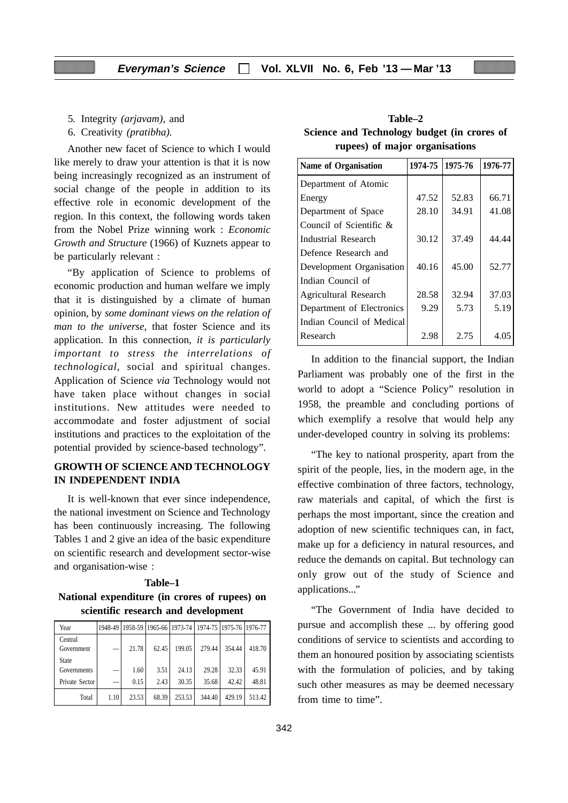- 5*.* Integrity *(arjavam),* and
- 6. Creativity *(pratibha).*

Another new facet of Science to which I would like merely to draw your attention is that it is now being increasingly recognized as an instrument of social change of the people in addition to its effective role in economic development of the region. In this context, the following words taken from the Nobel Prize winning work : *Economic Growth and Structure* (1966) of Kuznets appear to be particularly relevant :

"By application of Science to problems of economic production and human welfare we imply that it is distinguished by a climate of human opinion, by *some dominant views on the relation of man to the universe,* that foster Science and its application. In this connection, *it is particularly important to stress the interrelations of technological,* social and spiritual changes. Application of Science *via* Technology would not have taken place without changes in social institutions. New attitudes were needed to accommodate and foster adjustment of social institutions and practices to the exploitation of the potential provided by science-based technology".

### **GROWTH OF SCIENCE AND TECHNOLOGY IN INDEPENDENT INDIA**

It is well-known that ever since independence, the national investment on Science and Technology has been continuously increasing. The following Tables 1 and 2 give an idea of the basic expenditure on scientific research and development sector-wise and organisation-wise :

### **Table–1 National expenditure (in crores of rupees) on scientific research and development**

| Year                  |      |       |       |        | 1948-49 1958-59 1965-66 1973-74 1974-75 1975-76 1976-77 |        |        |
|-----------------------|------|-------|-------|--------|---------------------------------------------------------|--------|--------|
| Central<br>Government |      | 21.78 | 62.45 | 199.05 | 279.44                                                  | 354.44 | 418.70 |
| State<br>Governments  |      | 1.60  | 3.51  | 24.13  | 29.28                                                   | 32.33  | 45.91  |
| Private Sector        |      | 0.15  | 2.43  | 30.35  | 35.68                                                   | 42.42  | 48.81  |
| Total                 | 1.10 | 23.53 | 68.39 | 253.53 | 344.40                                                  | 429.19 | 513.42 |

**Table–2 Science and Technology budget (in crores of rupees) of major organisations**

| <b>Name of Organisation</b> | 1974-75 | 1975-76 | 1976-77 |
|-----------------------------|---------|---------|---------|
| Department of Atomic        |         |         |         |
| Energy                      | 47.52   | 52.83   | 66.71   |
| Department of Space         | 28.10   | 34.91   | 41.08   |
| Council of Scientific $\&$  |         |         |         |
| Industrial Research         | 30.12   | 37.49   | 44.44   |
| Defence Research and        |         |         |         |
| Development Organisation    | 40.16   | 45.00   | 52.77   |
| Indian Council of           |         |         |         |
| Agricultural Research       | 28.58   | 32.94   | 37.03   |
| Department of Electronics   | 9.29    | 5.73    | 5.19    |
| Indian Council of Medical   |         |         |         |
| Research                    | 2.98    | 2.75    | 4.05    |

In addition to the financial support, the Indian Parliament was probably one of the first in the world to adopt a "Science Policy" resolution in 1958, the preamble and concluding portions of which exemplify a resolve that would help any under-developed country in solving its problems:

"The key to national prosperity, apart from the spirit of the people, lies, in the modern age, in the effective combination of three factors, technology, raw materials and capital, of which the first is perhaps the most important, since the creation and adoption of new scientific techniques can, in fact, make up for a deficiency in natural resources, and reduce the demands on capital. But technology can only grow out of the study of Science and applications..."

"The Government of India have decided to pursue and accomplish these ... by offering good conditions of service to scientists and according to them an honoured position by associating scientists with the formulation of policies, and by taking such other measures as may be deemed necessary from time to time".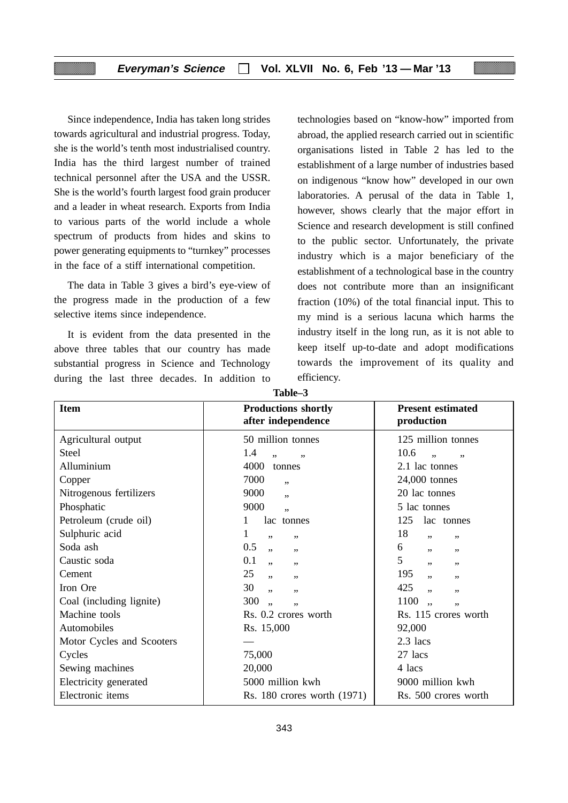Since independence, India has taken long strides towards agricultural and industrial progress. Today, she is the world's tenth most industrialised country. India has the third largest number of trained technical personnel after the USA and the USSR. She is the world's fourth largest food grain producer and a leader in wheat research. Exports from India to various parts of the world include a whole spectrum of products from hides and skins to power generating equipments to "turnkey" processes in the face of a stiff international competition.

The data in Table 3 gives a bird's eye-view of the progress made in the production of a few selective items since independence.

It is evident from the data presented in the above three tables that our country has made substantial progress in Science and Technology during the last three decades. In addition to technologies based on "know-how" imported from abroad, the applied research carried out in scientific organisations listed in Table 2 has led to the establishment of a large number of industries based on indigenous "know how" developed in our own laboratories. A perusal of the data in Table 1, however, shows clearly that the major effort in Science and research development is still confined to the public sector. Unfortunately, the private industry which is a major beneficiary of the establishment of a technological base in the country does not contribute more than an insignificant fraction (10%) of the total financial input. This to my mind is a serious lacuna which harms the industry itself in the long run, as it is not able to keep itself up-to-date and adopt modifications towards the improvement of its quality and efficiency.

| <b>Item</b>               | <b>Productions shortly</b><br>after independence | <b>Present estimated</b><br>production |
|---------------------------|--------------------------------------------------|----------------------------------------|
| Agricultural output       | 50 million tonnes                                | 125 million tonnes                     |
| <b>Steel</b>              | 1.4<br>, 1<br>,,                                 | 10.6<br>,,                             |
| Alluminium                | 4000<br>tonnes                                   | 2.1 lac tonnes                         |
| Copper                    | 7000<br>, ,                                      | 24,000 tonnes                          |
| Nitrogenous fertilizers   | 9000<br>, ,                                      | 20 lac tonnes                          |
| Phosphatic                | 9000<br>,,                                       | 5 lac tonnes                           |
| Petroleum (crude oil)     | lac tonnes                                       | 125<br>lac tonnes                      |
| Sulphuric acid            | 1<br>,,<br>,,                                    | 18<br>, ,<br>, ,                       |
| Soda ash                  | 0.5<br>, 1<br>,,                                 | 6<br>,,<br>,,                          |
| Caustic soda              | 0.1<br>,<br>,,                                   | 5<br>,,<br>, ,                         |
| Cement                    | 25<br>, 1<br>,,                                  | 195<br>, ,<br>,,                       |
| Iron Ore                  | 30<br>, ,<br>,,                                  | 425<br>,,<br>,,                        |
| Coal (including lignite)  | 300<br>٠,<br>, ,                                 | 1100<br>٠,                             |
| Machine tools             | Rs. 0.2 crores worth                             | Rs. 115 crores worth                   |
| Automobiles               | Rs. 15,000                                       | 92,000                                 |
| Motor Cycles and Scooters |                                                  | $2.3$ lacs                             |
| Cycles                    | 75,000                                           | 27 lacs                                |
| Sewing machines           | 20,000                                           | 4 lacs                                 |
| Electricity generated     | 5000 million kwh                                 | 9000 million kwh                       |
| Electronic items          | Rs. 180 crores worth (1971)                      | Rs. 500 crores worth                   |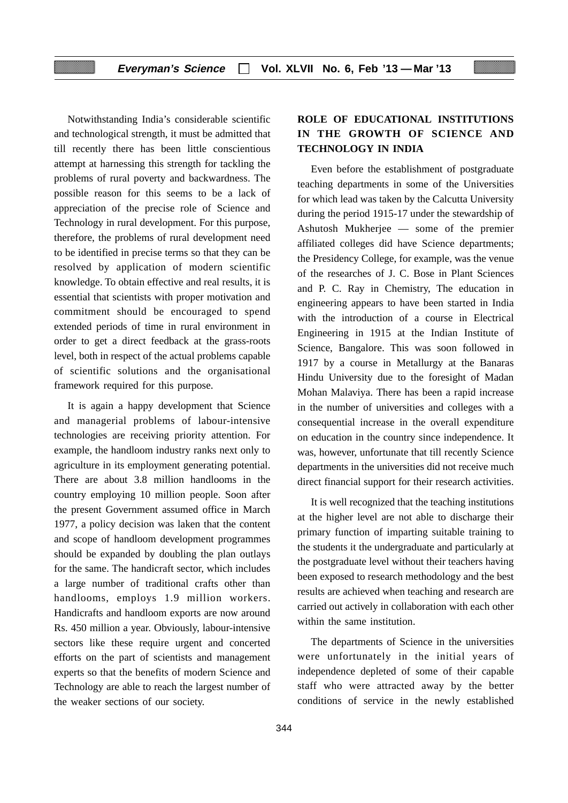Notwithstanding India's considerable scientific and technological strength, it must be admitted that till recently there has been little conscientious attempt at harnessing this strength for tackling the problems of rural poverty and backwardness. The possible reason for this seems to be a lack of appreciation of the precise role of Science and Technology in rural development. For this purpose, therefore, the problems of rural development need to be identified in precise terms so that they can be resolved by application of modern scientific knowledge. To obtain effective and real results, it is essential that scientists with proper motivation and commitment should be encouraged to spend extended periods of time in rural environment in order to get a direct feedback at the grass-roots level, both in respect of the actual problems capable of scientific solutions and the organisational framework required for this purpose.

It is again a happy development that Science and managerial problems of labour-intensive technologies are receiving priority attention. For example, the handloom industry ranks next only to agriculture in its employment generating potential. There are about 3.8 million handlooms in the country employing 10 million people. Soon after the present Government assumed office in March 1977, a policy decision was laken that the content and scope of handloom development programmes should be expanded by doubling the plan outlays for the same. The handicraft sector, which includes a large number of traditional crafts other than handlooms, employs 1.9 million workers. Handicrafts and handloom exports are now around Rs. 450 million a year. Obviously, labour-intensive sectors like these require urgent and concerted efforts on the part of scientists and management experts so that the benefits of modern Science and Technology are able to reach the largest number of the weaker sections of our society.

### **ROLE OF EDUCATIONAL INSTITUTIONS IN THE GROWTH OF SCIENCE AND TECHNOLOGY IN INDIA**

Even before the establishment of postgraduate teaching departments in some of the Universities for which lead was taken by the Calcutta University during the period 1915-17 under the stewardship of Ashutosh Mukherjee — some of the premier affiliated colleges did have Science departments; the Presidency College, for example, was the venue of the researches of J. C. Bose in Plant Sciences and P. C. Ray in Chemistry, The education in engineering appears to have been started in India with the introduction of a course in Electrical Engineering in 1915 at the Indian Institute of Science, Bangalore. This was soon followed in 1917 by a course in Metallurgy at the Banaras Hindu University due to the foresight of Madan Mohan Malaviya. There has been a rapid increase in the number of universities and colleges with a consequential increase in the overall expenditure on education in the country since independence. It was, however, unfortunate that till recently Science departments in the universities did not receive much direct financial support for their research activities.

It is well recognized that the teaching institutions at the higher level are not able to discharge their primary function of imparting suitable training to the students it the undergraduate and particularly at the postgraduate level without their teachers having been exposed to research methodology and the best results are achieved when teaching and research are carried out actively in collaboration with each other within the same institution.

The departments of Science in the universities were unfortunately in the initial years of independence depleted of some of their capable staff who were attracted away by the better conditions of service in the newly established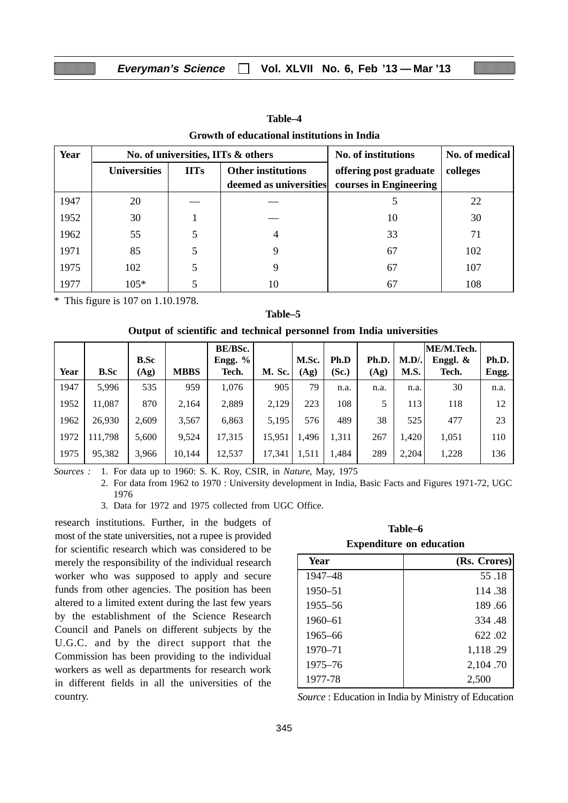| Year | No. of universities, IITs & others |             |                           | No. of institutions    | No. of medical |
|------|------------------------------------|-------------|---------------------------|------------------------|----------------|
|      | <b>Universities</b>                | <b>IITs</b> | <b>Other institutions</b> | offering post graduate | colleges       |
|      |                                    |             | deemed as universities    | courses in Engineering |                |
| 1947 | 20                                 |             |                           |                        | 22             |
| 1952 | 30                                 |             |                           | 10                     | 30             |
| 1962 | 55                                 |             |                           | 33                     | 71             |
| 1971 | 85                                 |             | 9                         | 67                     | 102            |
| 1975 | 102                                |             |                           | 67                     | 107            |
| 1977 | $105*$                             |             | 10                        | 67                     | 108            |

**Table–4 Growth of educational institutions in India**

\* This figure is 107 on 1.10.1978.

### **Table–5**

### **Output of scientific and technical personnel from India universities**

|      |             |             |             | BE/BSc. |               |       |       |       |         | ME/M.Tech. |       |
|------|-------------|-------------|-------------|---------|---------------|-------|-------|-------|---------|------------|-------|
|      |             | <b>B.Sc</b> |             | Engg. % |               | M.Sc. | Ph.D  | Ph.D. | $M.D$ . | Enggl. &   | Ph.D. |
| Year | <b>B.Sc</b> | (Ag)        | <b>MBBS</b> | Tech.   | <b>M. Sc.</b> | (Ag)  | (Sc.) | (Ag)  | M.S.    | Tech.      | Engg. |
| 1947 | 5,996       | 535         | 959         | 1,076   | 905           | 79    | n.a.  | n.a.  | n.a.    | 30         | n.a.  |
| 1952 | 11,087      | 870         | 2,164       | 2,889   | 2,129         | 223   | 108   |       | 113     | 118        | 12    |
| 1962 | 26,930      | 2,609       | 3,567       | 6,863   | 5,195         | 576   | 489   | 38    | 525     | 477        | 23    |
| 1972 | 111.798     | 5,600       | 9,524       | 17,315  | 15.951        | 1,496 | 1,311 | 267   | 1.420   | 1,051      | 110   |
| 1975 | 95,382      | 3,966       | 10,144      | 12,537  | 17,341        | 1,511 | 1,484 | 289   | 2,204   | 1,228      | 136   |

*Sources :* 1. For data up to 1960: S. K. Roy, CSIR, in *Nature,* May, 1975

2. For data from 1962 to 1970 : University development in India, Basic Facts and Figures 1971-72, UGC 1976

3. Data for 1972 and 1975 collected from UGC Office.

research institutions. Further, in the budgets of most of the state universities, not a rupee is provided for scientific research which was considered to be merely the responsibility of the individual research worker who was supposed to apply and secure funds from other agencies. The position has been altered to a limited extent during the last few years by the establishment of the Science Research Council and Panels on different subjects by the U.G.C. and by the direct support that the Commission has been providing to the individual workers as well as departments for research work in different fields in all the universities of the country.

| Table–6                         |  |  |  |  |  |
|---------------------------------|--|--|--|--|--|
| <b>Expenditure on education</b> |  |  |  |  |  |

| Year        | (Rs. Crores) |
|-------------|--------------|
| 1947–48     | 55.18        |
| 1950-51     | 114.38       |
| 1955–56     | 189.66       |
| $1960 - 61$ | 334.48       |
| 1965-66     | 622.02       |
| $1970 - 71$ | 1,118.29     |
| 1975–76     | 2,104.70     |
| 1977-78     | 2,500        |

*Source* : Education in India by Ministry of Education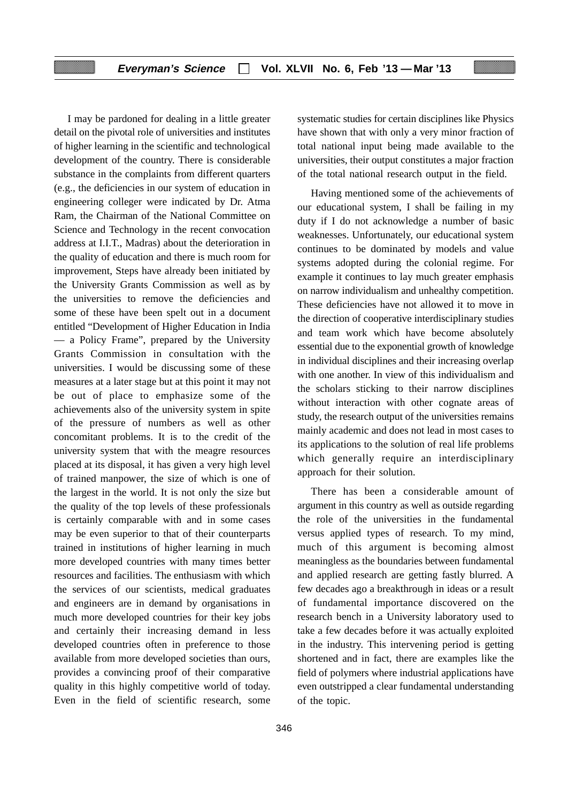I may be pardoned for dealing in a little greater detail on the pivotal role of universities and institutes of higher learning in the scientific and technological development of the country. There is considerable substance in the complaints from different quarters (e.g., the deficiencies in our system of education in engineering colleger were indicated by Dr. Atma Ram, the Chairman of the National Committee on Science and Technology in the recent convocation address at I.I.T., Madras) about the deterioration in the quality of education and there is much room for improvement, Steps have already been initiated by the University Grants Commission as well as by the universities to remove the deficiencies and some of these have been spelt out in a document entitled "Development of Higher Education in India — a Policy Frame", prepared by the University Grants Commission in consultation with the universities. I would be discussing some of these measures at a later stage but at this point it may not be out of place to emphasize some of the achievements also of the university system in spite of the pressure of numbers as well as other concomitant problems. It is to the credit of the university system that with the meagre resources placed at its disposal, it has given a very high level of trained manpower, the size of which is one of the largest in the world. It is not only the size but the quality of the top levels of these professionals is certainly comparable with and in some cases may be even superior to that of their counterparts trained in institutions of higher learning in much more developed countries with many times better resources and facilities. The enthusiasm with which the services of our scientists, medical graduates and engineers are in demand by organisations in much more developed countries for their key jobs and certainly their increasing demand in less developed countries often in preference to those available from more developed societies than ours, provides a convincing proof of their comparative quality in this highly competitive world of today. Even in the field of scientific research, some systematic studies for certain disciplines like Physics have shown that with only a very minor fraction of total national input being made available to the universities, their output constitutes a major fraction of the total national research output in the field.

Having mentioned some of the achievements of our educational system, I shall be failing in my duty if I do not acknowledge a number of basic weaknesses. Unfortunately, our educational system continues to be dominated by models and value systems adopted during the colonial regime. For example it continues to lay much greater emphasis on narrow individualism and unhealthy competition. These deficiencies have not allowed it to move in the direction of cooperative interdisciplinary studies and team work which have become absolutely essential due to the exponential growth of knowledge in individual disciplines and their increasing overlap with one another. In view of this individualism and the scholars sticking to their narrow disciplines without interaction with other cognate areas of study, the research output of the universities remains mainly academic and does not lead in most cases to its applications to the solution of real life problems which generally require an interdisciplinary approach for their solution.

There has been a considerable amount of argument in this country as well as outside regarding the role of the universities in the fundamental versus applied types of research. To my mind, much of this argument is becoming almost meaningless as the boundaries between fundamental and applied research are getting fastly blurred. A few decades ago a breakthrough in ideas or a result of fundamental importance discovered on the research bench in a University laboratory used to take a few decades before it was actually exploited in the industry. This intervening period is getting shortened and in fact, there are examples like the field of polymers where industrial applications have even outstripped a clear fundamental understanding of the topic.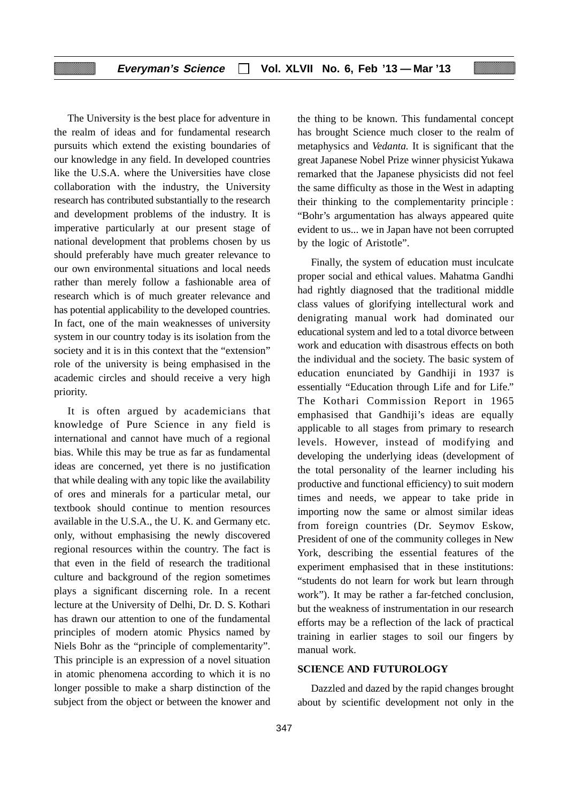The University is the best place for adventure in the realm of ideas and for fundamental research pursuits which extend the existing boundaries of our knowledge in any field. In developed countries like the U.S.A. where the Universities have close collaboration with the industry, the University research has contributed substantially to the research and development problems of the industry. It is imperative particularly at our present stage of national development that problems chosen by us should preferably have much greater relevance to our own environmental situations and local needs rather than merely follow a fashionable area of research which is of much greater relevance and has potential applicability to the developed countries. In fact, one of the main weaknesses of university system in our country today is its isolation from the society and it is in this context that the "extension" role of the university is being emphasised in the academic circles and should receive a very high priority.

It is often argued by academicians that knowledge of Pure Science in any field is international and cannot have much of a regional bias. While this may be true as far as fundamental ideas are concerned, yet there is no justification that while dealing with any topic like the availability of ores and minerals for a particular metal, our textbook should continue to mention resources available in the U.S.A., the U. K. and Germany etc. only, without emphasising the newly discovered regional resources within the country. The fact is that even in the field of research the traditional culture and background of the region sometimes plays a significant discerning role. In a recent lecture at the University of Delhi, Dr. D. S. Kothari has drawn our attention to one of the fundamental principles of modern atomic Physics named by Niels Bohr as the "principle of complementarity". This principle is an expression of a novel situation in atomic phenomena according to which it is no longer possible to make a sharp distinction of the subject from the object or between the knower and

the thing to be known. This fundamental concept has brought Science much closer to the realm of metaphysics and *Vedanta.* It is significant that the great Japanese Nobel Prize winner physicist Yukawa remarked that the Japanese physicists did not feel the same difficulty as those in the West in adapting their thinking to the complementarity principle : "Bohr's argumentation has always appeared quite evident to us... we in Japan have not been corrupted by the logic of Aristotle".

Finally, the system of education must inculcate proper social and ethical values. Mahatma Gandhi had rightly diagnosed that the traditional middle class values of glorifying intellectural work and denigrating manual work had dominated our educational system and led to a total divorce between work and education with disastrous effects on both the individual and the society. The basic system of education enunciated by Gandhiji in 1937 is essentially "Education through Life and for Life." The Kothari Commission Report in 1965 emphasised that Gandhiji's ideas are equally applicable to all stages from primary to research levels. However, instead of modifying and developing the underlying ideas (development of the total personality of the learner including his productive and functional efficiency) to suit modern times and needs, we appear to take pride in importing now the same or almost similar ideas from foreign countries (Dr. Seymov Eskow, President of one of the community colleges in New York, describing the essential features of the experiment emphasised that in these institutions: "students do not learn for work but learn through work"). It may be rather a far-fetched conclusion, but the weakness of instrumentation in our research efforts may be a reflection of the lack of practical training in earlier stages to soil our fingers by manual work.

#### **SCIENCE AND FUTUROLOGY**

Dazzled and dazed by the rapid changes brought about by scientific development not only in the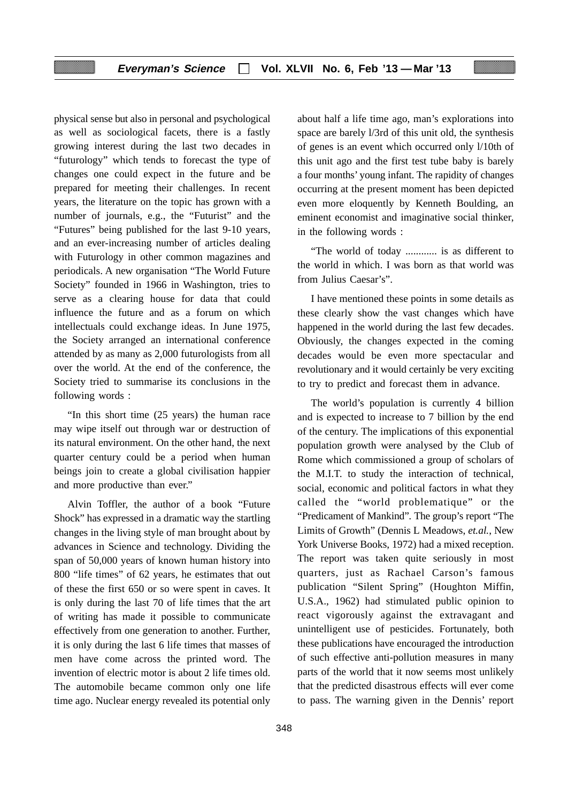physical sense but also in personal and psychological as well as sociological facets, there is a fastly growing interest during the last two decades in "futurology" which tends to forecast the type of changes one could expect in the future and be prepared for meeting their challenges. In recent years, the literature on the topic has grown with a number of journals, e.g., the "Futurist" and the "Futures" being published for the last 9-10 years, and an ever-increasing number of articles dealing with Futurology in other common magazines and periodicals. A new organisation "The World Future Society" founded in 1966 in Washington, tries to serve as a clearing house for data that could influence the future and as a forum on which intellectuals could exchange ideas. In June 1975, the Society arranged an international conference attended by as many as 2,000 futurologists from all over the world. At the end of the conference, the Society tried to summarise its conclusions in the following words :

"In this short time (25 years) the human race may wipe itself out through war or destruction of its natural environment. On the other hand, the next quarter century could be a period when human beings join to create a global civilisation happier and more productive than ever."

Alvin Toffler, the author of a book "Future Shock" has expressed in a dramatic way the startling changes in the living style of man brought about by advances in Science and technology. Dividing the span of 50,000 years of known human history into 800 "life times" of 62 years, he estimates that out of these the first 650 or so were spent in caves. It is only during the last 70 of life times that the art of writing has made it possible to communicate effectively from one generation to another. Further, it is only during the last 6 life times that masses of men have come across the printed word. The invention of electric motor is about 2 life times old. The automobile became common only one life time ago. Nuclear energy revealed its potential only

about half a life time ago, man's explorations into space are barely l/3rd of this unit old, the synthesis of genes is an event which occurred only l/10th of this unit ago and the first test tube baby is barely a four months' young infant. The rapidity of changes occurring at the present moment has been depicted even more eloquently by Kenneth Boulding, an eminent economist and imaginative social thinker, in the following words :

"The world of today ............ is as different to the world in which. I was born as that world was from Julius Caesar's".

I have mentioned these points in some details as these clearly show the vast changes which have happened in the world during the last few decades. Obviously, the changes expected in the coming decades would be even more spectacular and revolutionary and it would certainly be very exciting to try to predict and forecast them in advance.

The world's population is currently 4 billion and is expected to increase to 7 billion by the end of the century. The implications of this exponential population growth were analysed by the Club of Rome which commissioned a group of scholars of the M.I.T. to study the interaction of technical, social, economic and political factors in what they called the "world problematique" or the "Predicament of Mankind"*.* The group's report "The Limits of Growth" (Dennis L Meadows, *et.al.*, New York Universe Books, 1972) had a mixed reception. The report was taken quite seriously in most quarters, just as Rachael Carson's famous publication "Silent Spring" (Houghton Miffin, U.S.A., 1962) had stimulated public opinion to react vigorously against the extravagant and unintelligent use of pesticides. Fortunately, both these publications have encouraged the introduction of such effective anti-pollution measures in many parts of the world that it now seems most unlikely that the predicted disastrous effects will ever come to pass. The warning given in the Dennis' report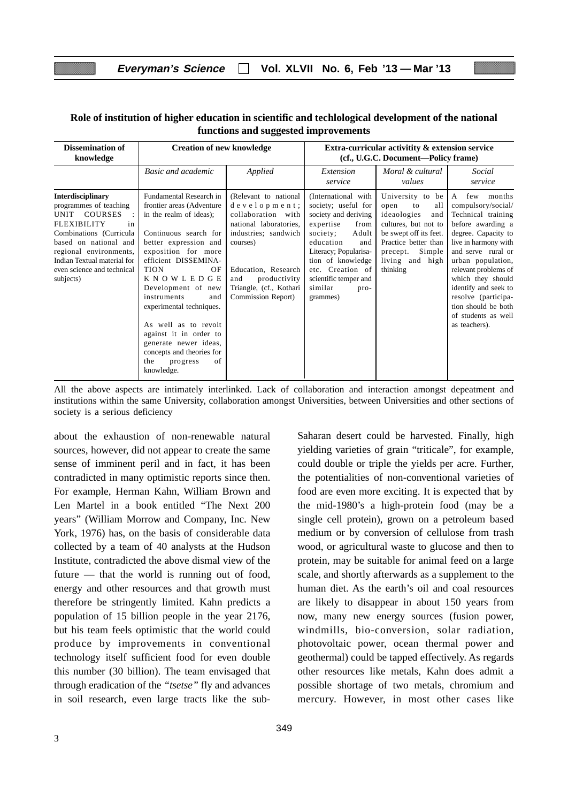| <b>Dissemination of</b><br>knowledge                                                                                                                                                                                                            | <b>Creation of new knowledge</b>                                                                                                                                                                                                                                                                                                                                                                                                                 |                                                                                                                                                                                                                          | Extra-curricular activitity & extension service<br>(cf., U.G.C. Document—Policy frame)                                                                                                                                                                     |                                                                                                                                                                                            |                                                                                                                                                                                                                                                                                                                                          |  |
|-------------------------------------------------------------------------------------------------------------------------------------------------------------------------------------------------------------------------------------------------|--------------------------------------------------------------------------------------------------------------------------------------------------------------------------------------------------------------------------------------------------------------------------------------------------------------------------------------------------------------------------------------------------------------------------------------------------|--------------------------------------------------------------------------------------------------------------------------------------------------------------------------------------------------------------------------|------------------------------------------------------------------------------------------------------------------------------------------------------------------------------------------------------------------------------------------------------------|--------------------------------------------------------------------------------------------------------------------------------------------------------------------------------------------|------------------------------------------------------------------------------------------------------------------------------------------------------------------------------------------------------------------------------------------------------------------------------------------------------------------------------------------|--|
|                                                                                                                                                                                                                                                 | <b>Basic and academic</b>                                                                                                                                                                                                                                                                                                                                                                                                                        | Applied                                                                                                                                                                                                                  | Extension<br>service                                                                                                                                                                                                                                       | Moral & cultural<br>values                                                                                                                                                                 | Social<br>service                                                                                                                                                                                                                                                                                                                        |  |
| <b>Interdisciplinary</b><br>programmes of teaching<br>UNIT COURSES<br>FLEXIBILITY<br>in<br>Combinations (Curricula<br>based on national and<br>regional environments,<br>Indian Textual material for<br>even science and technical<br>subjects) | Fundamental Research in<br>frontier areas (Adventure<br>in the realm of ideas);<br>Continuous search for<br>better expression and<br>exposition for more<br>efficient DISSEMINA-<br><b>TION</b><br>OF<br><b>KNOWLEDGE</b><br>Development of new<br>instruments<br>and<br>experimental techniques.<br>As well as to revolt<br>against it in order to<br>generate newer ideas,<br>concepts and theories for<br>the<br>of<br>progress<br>knowledge. | (Relevant to national<br>development;<br>collaboration with<br>national laboratories,<br>industries; sandwich<br>courses)<br>Education, Research<br>and<br>productivity<br>Triangle, (cf., Kothari<br>Commission Report) | (International with<br>society; useful for<br>society and deriving<br>expertise<br>from<br>Adult<br>society;<br>education<br>and<br>Literacy; Popularisa-<br>tion of knowledge<br>etc. Creation of<br>scientific temper and<br>similar<br>pro-<br>grammes) | University to be<br>all<br>open<br>to<br>ideaologies<br>and<br>cultures, but not to<br>be swept off its feet.<br>Practice better than<br>Simple<br>precept.<br>living and high<br>thinking | few<br>A<br>months<br>compulsory/social/<br>Technical training<br>before awarding a<br>degree. Capacity to<br>live in harmony with<br>and serve rural or<br>urban population,<br>relevant problems of<br>which they should<br>identify and seek to<br>resolve (participa-<br>tion should be both<br>of students as well<br>as teachers). |  |

### **Role of institution of higher education in scientific and techlological development of the national functions and suggested improvements**

All the above aspects are intimately interlinked. Lack of collaboration and interaction amongst depeatment and institutions within the same University, collaboration amongst Universities, between Universities and other sections of society is a serious deficiency

about the exhaustion of non-renewable natural sources, however, did not appear to create the same sense of imminent peril and in fact, it has been contradicted in many optimistic reports since then. For example, Herman Kahn, William Brown and Len Martel in a book entitled "The Next 200 years" (William Morrow and Company, Inc. New York, 1976) has, on the basis of considerable data collected by a team of 40 analysts at the Hudson Institute, contradicted the above dismal view of the future — that the world is running out of food, energy and other resources and that growth must therefore be stringently limited. Kahn predicts a population of 15 billion people in the year 2176, but his team feels optimistic that the world could produce by improvements in conventional technology itself sufficient food for even double this number (30 billion). The team envisaged that through eradication of the *"tsetse"* fly and advances in soil research, even large tracts like the subSaharan desert could be harvested. Finally, high yielding varieties of grain "triticale", for example, could double or triple the yields per acre. Further, the potentialities of non-conventional varieties of food are even more exciting. It is expected that by the mid-1980's a high-protein food (may be a single cell protein), grown on a petroleum based medium or by conversion of cellulose from trash wood, or agricultural waste to glucose and then to protein, may be suitable for animal feed on a large scale, and shortly afterwards as a supplement to the human diet. As the earth's oil and coal resources are likely to disappear in about 150 years from now, many new energy sources (fusion power, windmills, bio-conversion, solar radiation, photovoltaic power, ocean thermal power and geothermal) could be tapped effectively. As regards other resources like metals, Kahn does admit a possible shortage of two metals, chromium and mercury. However, in most other cases like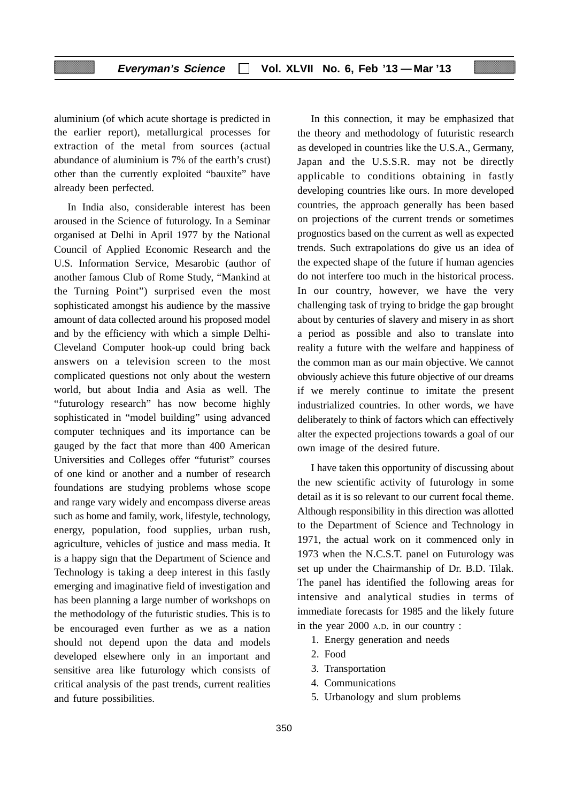aluminium (of which acute shortage is predicted in the earlier report), metallurgical processes for extraction of the metal from sources (actual abundance of aluminium is 7% of the earth's crust) other than the currently exploited "bauxite" have already been perfected.

In India also, considerable interest has been aroused in the Science of futurology. In a Seminar organised at Delhi in April 1977 by the National Council of Applied Economic Research and the U.S. Information Service, Mesarobic (author of another famous Club of Rome Study, "Mankind at the Turning Point") surprised even the most sophisticated amongst his audience by the massive amount of data collected around his proposed model and by the efficiency with which a simple Delhi-Cleveland Computer hook-up could bring back answers on a television screen to the most complicated questions not only about the western world, but about India and Asia as well. The "futurology research" has now become highly sophisticated in "model building" using advanced computer techniques and its importance can be gauged by the fact that more than 400 American Universities and Colleges offer "futurist" courses of one kind or another and a number of research foundations are studying problems whose scope and range vary widely and encompass diverse areas such as home and family, work, lifestyle, technology, energy, population, food supplies, urban rush, agriculture, vehicles of justice and mass media. It is a happy sign that the Department of Science and Technology is taking a deep interest in this fastly emerging and imaginative field of investigation and has been planning a large number of workshops on the methodology of the futuristic studies. This is to be encouraged even further as we as a nation should not depend upon the data and models developed elsewhere only in an important and sensitive area like futurology which consists of critical analysis of the past trends, current realities and future possibilities.

In this connection, it may be emphasized that the theory and methodology of futuristic research as developed in countries like the U.S.A., Germany, Japan and the U.S.S.R. may not be directly applicable to conditions obtaining in fastly developing countries like ours. In more developed countries, the approach generally has been based on projections of the current trends or sometimes prognostics based on the current as well as expected trends. Such extrapolations do give us an idea of the expected shape of the future if human agencies do not interfere too much in the historical process. In our country, however, we have the very challenging task of trying to bridge the gap brought about by centuries of slavery and misery in as short a period as possible and also to translate into reality a future with the welfare and happiness of the common man as our main objective. We cannot obviously achieve this future objective of our dreams if we merely continue to imitate the present industrialized countries. In other words, we have deliberately to think of factors which can effectively alter the expected projections towards a goal of our own image of the desired future.

I have taken this opportunity of discussing about the new scientific activity of futurology in some detail as it is so relevant to our current focal theme. Although responsibility in this direction was allotted to the Department of Science and Technology in 1971, the actual work on it commenced only in 1973 when the N.C.S.T. panel on Futurology was set up under the Chairmanship of Dr. B.D. Tilak. The panel has identified the following areas for intensive and analytical studies in terms of immediate forecasts for 1985 and the likely future in the year 2000 A.D. in our country :

- 1. Energy generation and needs
- 2. Food
- 3. Transportation
- 4. Communications
- 5. Urbanology and slum problems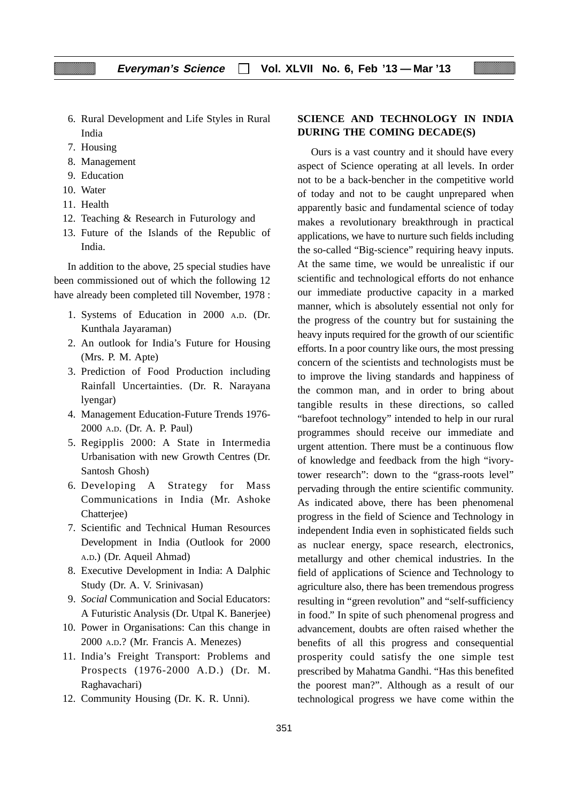- 6. Rural Development and Life Styles in Rural India
- 7. Housing
- 8. Management
- 9. Education
- 10. Water
- 11. Health
- 12. Teaching & Research in Futurology and
- 13. Future of the Islands of the Republic of India.

In addition to the above, 25 special studies have been commissioned out of which the following 12 have already been completed till November, 1978 :

- 1. Systems of Education in 2000 A.D. (Dr. Kunthala Jayaraman)
- 2. An outlook for India's Future for Housing (Mrs. P. M. Apte)
- 3. Prediction of Food Production including Rainfall Uncertainties. (Dr. R. Narayana lyengar)
- 4. Management Education-Future Trends 1976- 2000 A.D. (Dr. A. P. Paul)
- 5. Regipplis 2000: A State in Intermedia Urbanisation with new Growth Centres (Dr. Santosh Ghosh)
- 6. Developing A Strategy for Mass Communications in India (Mr. Ashoke Chatterjee)
- 7. Scientific and Technical Human Resources Development in India (Outlook for 2000 A.D.) (Dr. Aqueil Ahmad)
- 8. Executive Development in India: A Dalphic Study (Dr. A. V. Srinivasan)
- 9. *Social* Communication and Social Educators: A Futuristic Analysis (Dr. Utpal K. Banerjee)
- 10. Power in Organisations: Can this change in 2000 A.D.? (Mr. Francis A. Menezes)
- 11. India's Freight Transport: Problems and Prospects (1976-2000 A.D.) (Dr. M. Raghavachari)
- 12. Community Housing (Dr. K. R. Unni).

### **SCIENCE AND TECHNOLOGY IN INDIA DURING THE COMING DECADE(S)**

Ours is a vast country and it should have every aspect of Science operating at all levels. In order not to be a back-bencher in the competitive world of today and not to be caught unprepared when apparently basic and fundamental science of today makes a revolutionary breakthrough in practical applications, we have to nurture such fields including the so-called "Big-science" requiring heavy inputs. At the same time, we would be unrealistic if our scientific and technological efforts do not enhance our immediate productive capacity in a marked manner, which is absolutely essential not only for the progress of the country but for sustaining the heavy inputs required for the growth of our scientific efforts. In a poor country like ours, the most pressing concern of the scientists and technologists must be to improve the living standards and happiness of the common man, and in order to bring about tangible results in these directions, so called "barefoot technology" intended to help in our rural programmes should receive our immediate and urgent attention. There must be a continuous flow of knowledge and feedback from the high "ivorytower research": down to the "grass-roots level" pervading through the entire scientific community. As indicated above, there has been phenomenal progress in the field of Science and Technology in independent India even in sophisticated fields such as nuclear energy, space research, electronics, metallurgy and other chemical industries. In the field of applications of Science and Technology to agriculture also, there has been tremendous progress resulting in "green revolution" and "self-sufficiency in food." In spite of such phenomenal progress and advancement, doubts are often raised whether the benefits of all this progress and consequential prosperity could satisfy the one simple test prescribed by Mahatma Gandhi. "Has this benefited the poorest man?". Although as a result of our technological progress we have come within the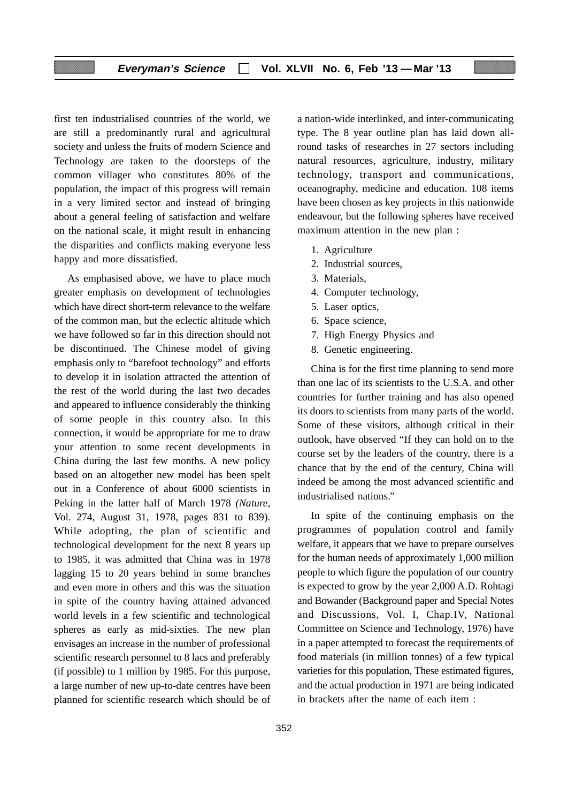first ten industrialised countries of the world, we are still a predominantly rural and agricultural society and unless the fruits of modern Science and Technology are taken to the doorsteps of the common villager who constitutes 80% of the population, the impact of this progress will remain in a very limited sector and instead of bringing about a general feeling of satisfaction and welfare on the national scale, it might result in enhancing the disparities and conflicts making everyone less happy and more dissatisfied.

As emphasised above, we have to place much greater emphasis on development of technologies which have direct short-term relevance to the welfare of the common man, but the eclectic altitude which we have followed so far in this direction should not be discontinued. The Chinese model of giving emphasis only to "barefoot technology" and efforts to develop it in isolation attracted the attention of the rest of the world during the last two decades and appeared to influence considerably the thinking of some people in this country also. In this connection, it would be appropriate for me to draw your attention to some recent developments in China during the last few months. A new policy based on an altogether new model has been spelt out in a Conference of about 6000 scientists in Peking in the latter half of March 1978 *(Nature,* Vol. 274, August 31, 1978, pages 831 to 839). While adopting, the plan of scientific and technological development for the next 8 years up to 1985, it was admitted that China was in 1978 lagging 15 to 20 years behind in some branches and even more in others and this was the situation in spite of the country having attained advanced world levels in a few scientific and technological spheres as early as mid-sixties. The new plan envisages an increase in the number of professional scientific research personnel to 8 lacs and preferably (if possible) to 1 million by 1985. For this purpose, a large number of new up-to-date centres have been planned for scientific research which should be of a nation-wide interlinked, and inter-communicating type. The 8 year outline plan has laid down allround tasks of researches in 27 sectors including natural resources, agriculture, industry, military technology, transport and communications, oceanography, medicine and education. 108 items have been chosen as key projects in this nationwide endeavour, but the following spheres have received maximum attention in the new plan :

- 1. Agriculture
- 2. Industrial sources,
- 3. Materials,
- 4. Computer technology,
- 5. Laser optics,
- 6. Space science,
- 7. High Energy Physics and
- 8. Genetic engineering.

China is for the first time planning to send more than one lac of its scientists to the U.S.A. and other countries for further training and has also opened its doors to scientists from many parts of the world. Some of these visitors, although critical in their outlook, have observed "If they can hold on to the course set by the leaders of the country, there is a chance that by the end of the century, China will indeed be among the most advanced scientific and industrialised nations."

In spite of the continuing emphasis on the programmes of population control and family welfare, it appears that we have to prepare ourselves for the human needs of approximately 1,000 million people to which figure the population of our country is expected to grow by the year 2,000 A.D. Rohtagi and Bowander (Background paper and Special Notes and Discussions, Vol. I, Chap.IV, National Committee on Science and Technology, 1976) have in a paper attempted to forecast the requirements of food materials (in million tonnes) of a few typical varieties for this population, These estimated figures, and the actual production in 1971 are being indicated in brackets after the name of each item :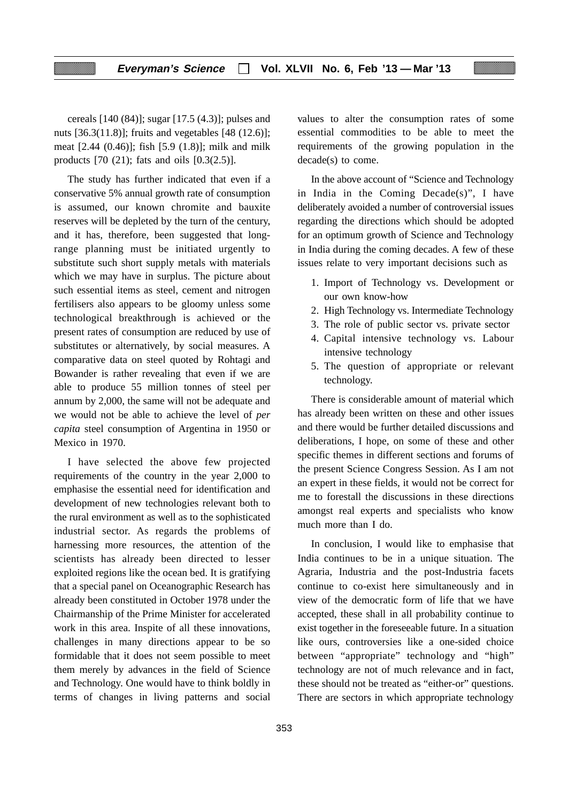### **Everyman's Science Vol. XLVII No. 6, Feb '13 — Mar '13**

cereals [140 (84)]; sugar [17.5 (4.3)]; pulses and nuts [36.3(11.8)]; fruits and vegetables [48 (12.6)]; meat [2.44 (0.46)]; fish [5.9 (1.8)]; milk and milk products [70 (21); fats and oils [0.3(2.5)].

The study has further indicated that even if a conservative 5% annual growth rate of consumption is assumed, our known chromite and bauxite reserves will be depleted by the turn of the century, and it has, therefore, been suggested that longrange planning must be initiated urgently to substitute such short supply metals with materials which we may have in surplus. The picture about such essential items as steel, cement and nitrogen fertilisers also appears to be gloomy unless some technological breakthrough is achieved or the present rates of consumption are reduced by use of substitutes or alternatively, by social measures. A comparative data on steel quoted by Rohtagi and Bowander is rather revealing that even if we are able to produce 55 million tonnes of steel per annum by 2,000, the same will not be adequate and we would not be able to achieve the level of *per capita* steel consumption of Argentina in 1950 or Mexico in 1970.

I have selected the above few projected requirements of the country in the year 2,000 to emphasise the essential need for identification and development of new technologies relevant both to the rural environment as well as to the sophisticated industrial sector. As regards the problems of harnessing more resources, the attention of the scientists has already been directed to lesser exploited regions like the ocean bed. It is gratifying that a special panel on Oceanographic Research has already been constituted in October 1978 under the Chairmanship of the Prime Minister for accelerated work in this area. Inspite of all these innovations, challenges in many directions appear to be so formidable that it does not seem possible to meet them merely by advances in the field of Science and Technology. One would have to think boldly in terms of changes in living patterns and social

essential commodities to be able to meet the requirements of the growing population in the decade(s) to come. In the above account of "Science and Technology

values to alter the consumption rates of some

in India in the Coming Decade(s)", I have deliberately avoided a number of controversial issues regarding the directions which should be adopted for an optimum growth of Science and Technology in India during the coming decades. A few of these issues relate to very important decisions such as

- 1. Import of Technology vs. Development or our own know-how
- 2. High Technology vs. Intermediate Technology
- 3. The role of public sector vs. private sector
- 4. Capital intensive technology vs. Labour intensive technology
- 5. The question of appropriate or relevant technology.

There is considerable amount of material which has already been written on these and other issues and there would be further detailed discussions and deliberations, I hope, on some of these and other specific themes in different sections and forums of the present Science Congress Session. As I am not an expert in these fields, it would not be correct for me to forestall the discussions in these directions amongst real experts and specialists who know much more than I do.

In conclusion, I would like to emphasise that India continues to be in a unique situation. The Agraria, Industria and the post-Industria facets continue to co-exist here simultaneously and in view of the democratic form of life that we have accepted, these shall in all probability continue to exist together in the foreseeable future. In a situation like ours, controversies like a one-sided choice between "appropriate" technology and "high" technology are not of much relevance and in fact, these should not be treated as "either-or" questions. There are sectors in which appropriate technology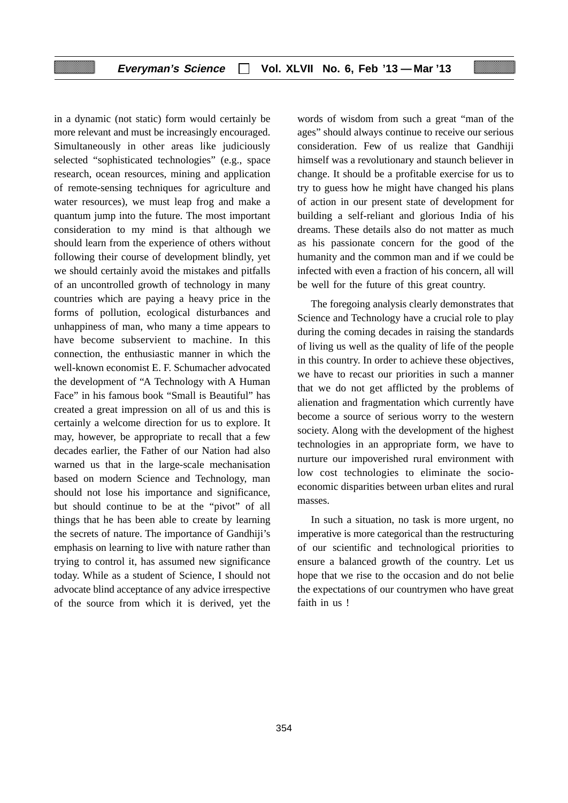in a dynamic (not static) form would certainly be more relevant and must be increasingly encouraged. Simultaneously in other areas like judiciously selected "sophisticated technologies" (e.g., space research, ocean resources, mining and application of remote-sensing techniques for agriculture and water resources), we must leap frog and make a quantum jump into the future. The most important consideration to my mind is that although we should learn from the experience of others without following their course of development blindly, yet we should certainly avoid the mistakes and pitfalls of an uncontrolled growth of technology in many countries which are paying a heavy price in the forms of pollution, ecological disturbances and unhappiness of man, who many a time appears to have become subservient to machine. In this connection, the enthusiastic manner in which the well-known economist E. F. Schumacher advocated the development of "A Technology with A Human Face" in his famous book "Small is Beautiful" has created a great impression on all of us and this is certainly a welcome direction for us to explore. It may, however, be appropriate to recall that a few decades earlier, the Father of our Nation had also warned us that in the large-scale mechanisation based on modern Science and Technology, man should not lose his importance and significance, but should continue to be at the "pivot" of all things that he has been able to create by learning the secrets of nature. The importance of Gandhiji's emphasis on learning to live with nature rather than trying to control it, has assumed new significance today. While as a student of Science, I should not advocate blind acceptance of any advice irrespective of the source from which it is derived, yet the

words of wisdom from such a great "man of the ages" should always continue to receive our serious consideration. Few of us realize that Gandhiji himself was a revolutionary and staunch believer in change. It should be a profitable exercise for us to try to guess how he might have changed his plans of action in our present state of development for building a self-reliant and glorious India of his dreams. These details also do not matter as much as his passionate concern for the good of the humanity and the common man and if we could be infected with even a fraction of his concern, all will be well for the future of this great country.

The foregoing analysis clearly demonstrates that Science and Technology have a crucial role to play during the coming decades in raising the standards of living us well as the quality of life of the people in this country. In order to achieve these objectives, we have to recast our priorities in such a manner that we do not get afflicted by the problems of alienation and fragmentation which currently have become a source of serious worry to the western society. Along with the development of the highest technologies in an appropriate form, we have to nurture our impoverished rural environment with low cost technologies to eliminate the socioeconomic disparities between urban elites and rural masses.

In such a situation, no task is more urgent, no imperative is more categorical than the restructuring of our scientific and technological priorities to ensure a balanced growth of the country. Let us hope that we rise to the occasion and do not belie the expectations of our countrymen who have great faith in us !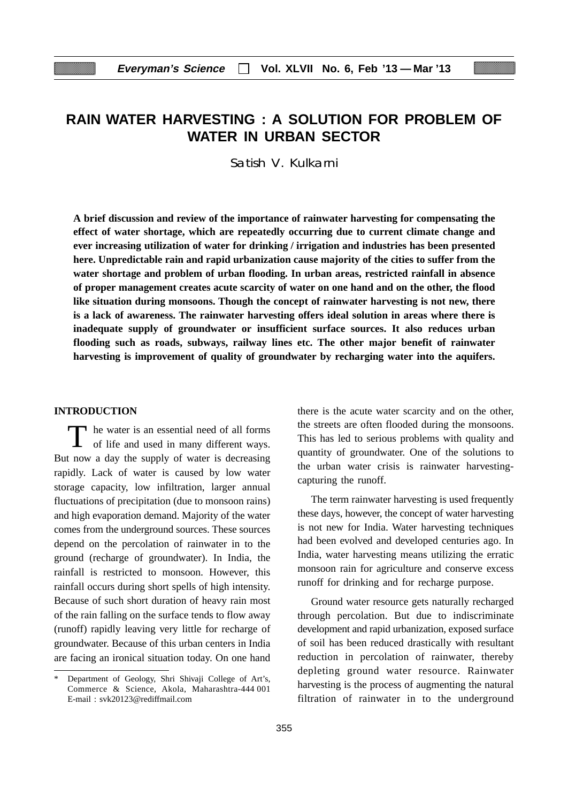# **RAIN WATER HARVESTING : A SOLUTION FOR PROBLEM OF WATER IN URBAN SECTOR**

Satish V. Kulkarni

**A brief discussion and review of the importance of rainwater harvesting for compensating the effect of water shortage, which are repeatedly occurring due to current climate change and ever increasing utilization of water for drinking / irrigation and industries has been presented here. Unpredictable rain and rapid urbanization cause majority of the cities to suffer from the water shortage and problem of urban flooding. In urban areas, restricted rainfall in absence of proper management creates acute scarcity of water on one hand and on the other, the flood like situation during monsoons. Though the concept of rainwater harvesting is not new, there is a lack of awareness. The rainwater harvesting offers ideal solution in areas where there is inadequate supply of groundwater or insufficient surface sources. It also reduces urban flooding such as roads, subways, railway lines etc. The other major benefit of rainwater harvesting is improvement of quality of groundwater by recharging water into the aquifers.**

### **INTRODUCTION**

T he water is an essential need of all forms of life and used in many different ways. But now a day the supply of water is decreasing rapidly. Lack of water is caused by low water storage capacity, low infiltration, larger annual fluctuations of precipitation (due to monsoon rains) and high evaporation demand. Majority of the water comes from the underground sources. These sources depend on the percolation of rainwater in to the ground (recharge of groundwater). In India, the rainfall is restricted to monsoon. However, this rainfall occurs during short spells of high intensity. Because of such short duration of heavy rain most of the rain falling on the surface tends to flow away (runoff) rapidly leaving very little for recharge of groundwater. Because of this urban centers in India are facing an ironical situation today. On one hand

there is the acute water scarcity and on the other, the streets are often flooded during the monsoons. This has led to serious problems with quality and quantity of groundwater. One of the solutions to the urban water crisis is rainwater harvestingcapturing the runoff.

The term rainwater harvesting is used frequently these days, however, the concept of water harvesting is not new for India. Water harvesting techniques had been evolved and developed centuries ago. In India, water harvesting means utilizing the erratic monsoon rain for agriculture and conserve excess runoff for drinking and for recharge purpose.

Ground water resource gets naturally recharged through percolation. But due to indiscriminate development and rapid urbanization, exposed surface of soil has been reduced drastically with resultant reduction in percolation of rainwater, thereby depleting ground water resource. Rainwater harvesting is the process of augmenting the natural filtration of rainwater in to the underground

Department of Geology, Shri Shivaji College of Art's, Commerce & Science, Akola, Maharashtra-444 001 E-mail : svk20123@rediffmail.com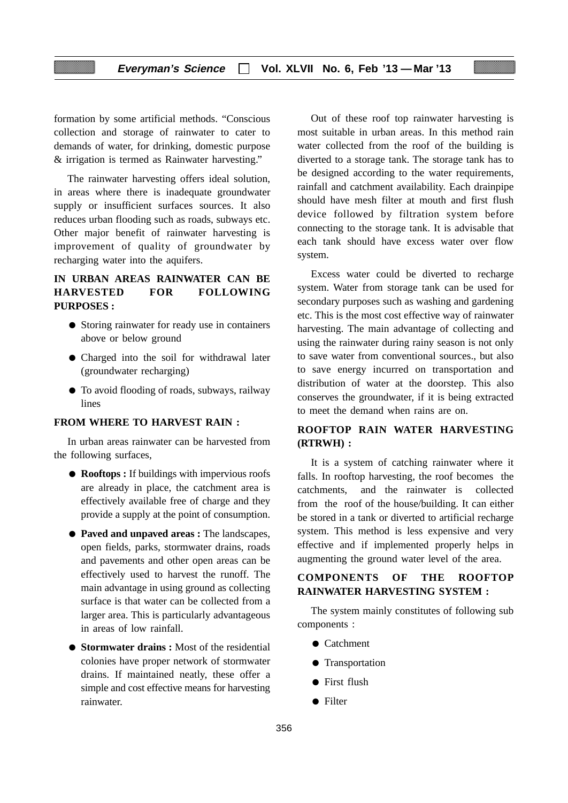formation by some artificial methods. "Conscious collection and storage of rainwater to cater to demands of water, for drinking, domestic purpose & irrigation is termed as Rainwater harvesting."

The rainwater harvesting offers ideal solution, in areas where there is inadequate groundwater supply or insufficient surfaces sources. It also reduces urban flooding such as roads, subways etc. Other major benefit of rainwater harvesting is improvement of quality of groundwater by recharging water into the aquifers.

### **IN URBAN AREAS RAINWATER CAN BE HARVESTED FOR FOLLOWING PURPOSES :**

- Storing rainwater for ready use in containers above or below ground
- Charged into the soil for withdrawal later (groundwater recharging)
- To avoid flooding of roads, subways, railway lines

### **FROM WHERE TO HARVEST RAIN :**

In urban areas rainwater can be harvested from the following surfaces,

- **Rooftops :** If buildings with impervious roofs are already in place, the catchment area is effectively available free of charge and they provide a supply at the point of consumption.
- **Paved and unpaved areas :** The landscapes, open fields, parks, stormwater drains, roads and pavements and other open areas can be effectively used to harvest the runoff. The main advantage in using ground as collecting surface is that water can be collected from a larger area. This is particularly advantageous in areas of low rainfall.
- **Stormwater drains :** Most of the residential colonies have proper network of stormwater drains. If maintained neatly, these offer a simple and cost effective means for harvesting rainwater.

Out of these roof top rainwater harvesting is most suitable in urban areas. In this method rain water collected from the roof of the building is diverted to a storage tank. The storage tank has to be designed according to the water requirements, rainfall and catchment availability. Each drainpipe should have mesh filter at mouth and first flush device followed by filtration system before connecting to the storage tank. It is advisable that each tank should have excess water over flow system.

Excess water could be diverted to recharge system. Water from storage tank can be used for secondary purposes such as washing and gardening etc. This is the most cost effective way of rainwater harvesting. The main advantage of collecting and using the rainwater during rainy season is not only to save water from conventional sources., but also to save energy incurred on transportation and distribution of water at the doorstep. This also conserves the groundwater, if it is being extracted to meet the demand when rains are on.

### **ROOFTOP RAIN WATER HARVESTING (RTRWH) :**

It is a system of catching rainwater where it falls. In rooftop harvesting, the roof becomes the catchments, and the rainwater is collected from the roof of the house/building. It can either be stored in a tank or diverted to artificial recharge system. This method is less expensive and very effective and if implemented properly helps in augmenting the ground water level of the area.

### **COMPONENTS OF THE ROOFTOP RAINWATER HARVESTING SYSTEM :**

The system mainly constitutes of following sub components :

- Catchment
- Transportation
- First flush
- Filter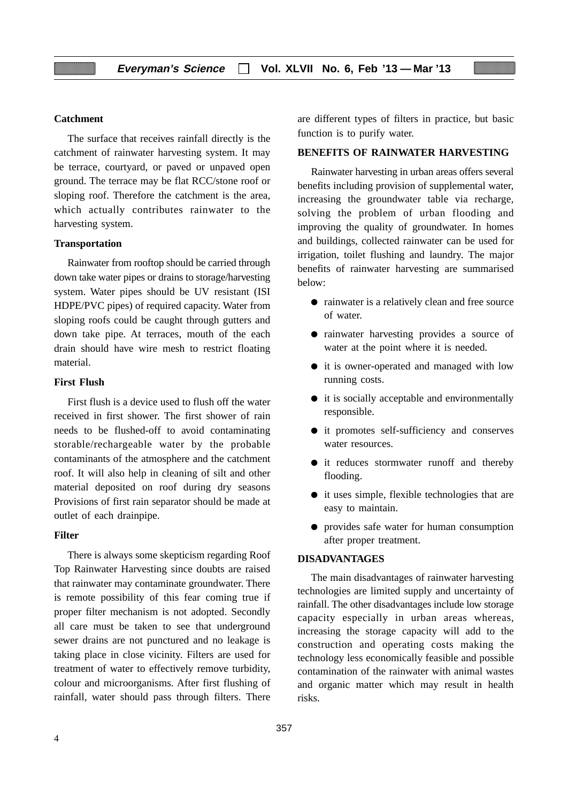### **Catchment**

The surface that receives rainfall directly is the catchment of rainwater harvesting system. It may be terrace, courtyard, or paved or unpaved open ground. The terrace may be flat RCC/stone roof or sloping roof. Therefore the catchment is the area, which actually contributes rainwater to the harvesting system.

#### **Transportation**

Rainwater from rooftop should be carried through down take water pipes or drains to storage/harvesting system. Water pipes should be UV resistant (ISI HDPE/PVC pipes) of required capacity. Water from sloping roofs could be caught through gutters and down take pipe. At terraces, mouth of the each drain should have wire mesh to restrict floating material.

#### **First Flush**

First flush is a device used to flush off the water received in first shower. The first shower of rain needs to be flushed-off to avoid contaminating storable/rechargeable water by the probable contaminants of the atmosphere and the catchment roof. It will also help in cleaning of silt and other material deposited on roof during dry seasons Provisions of first rain separator should be made at outlet of each drainpipe.

### **Filter**

There is always some skepticism regarding Roof Top Rainwater Harvesting since doubts are raised that rainwater may contaminate groundwater. There is remote possibility of this fear coming true if proper filter mechanism is not adopted. Secondly all care must be taken to see that underground sewer drains are not punctured and no leakage is taking place in close vicinity. Filters are used for treatment of water to effectively remove turbidity, colour and microorganisms. After first flushing of rainfall, water should pass through filters. There are different types of filters in practice, but basic function is to purify water.

### **BENEFITS OF RAINWATER HARVESTING**

Rainwater harvesting in urban areas offers several benefits including provision of supplemental water, increasing the groundwater table via recharge, solving the problem of urban flooding and improving the quality of groundwater. In homes and buildings, collected rainwater can be used for irrigation, toilet flushing and laundry. The major benefits of rainwater harvesting are summarised below:

- rainwater is a relatively clean and free source of water.
- rainwater harvesting provides a source of water at the point where it is needed.
- it is owner-operated and managed with low running costs.
- it is socially acceptable and environmentally responsible.
- it promotes self-sufficiency and conserves water resources.
- it reduces stormwater runoff and thereby flooding.
- it uses simple, flexible technologies that are easy to maintain.
- provides safe water for human consumption after proper treatment.

#### **DISADVANTAGES**

The main disadvantages of rainwater harvesting technologies are limited supply and uncertainty of rainfall. The other disadvantages include low storage capacity especially in urban areas whereas, increasing the storage capacity will add to the construction and operating costs making the technology less economically feasible and possible contamination of the rainwater with animal wastes and organic matter which may result in health risks.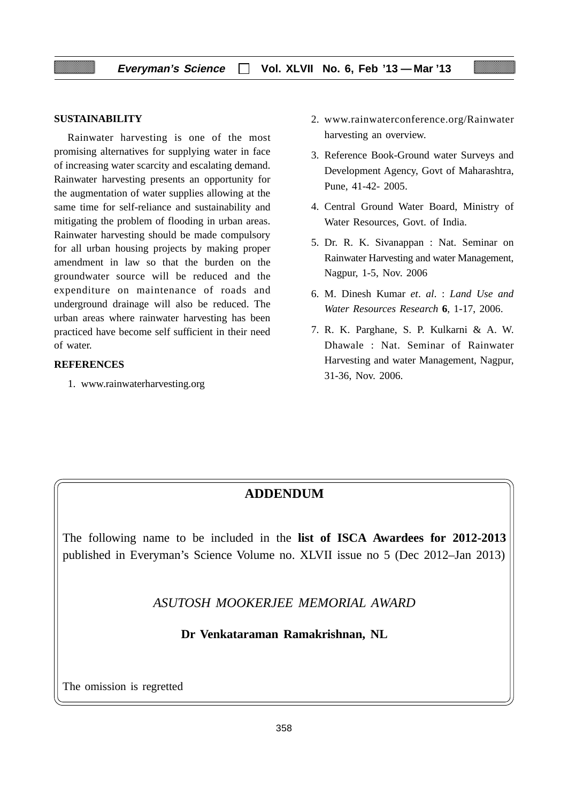### **SUSTAINABILITY**

Rainwater harvesting is one of the most promising alternatives for supplying water in face of increasing water scarcity and escalating demand. Rainwater harvesting presents an opportunity for the augmentation of water supplies allowing at the same time for self-reliance and sustainability and mitigating the problem of flooding in urban areas. Rainwater harvesting should be made compulsory for all urban housing projects by making proper amendment in law so that the burden on the groundwater source will be reduced and the expenditure on maintenance of roads and underground drainage will also be reduced. The urban areas where rainwater harvesting has been practiced have become self sufficient in their need of water.

#### **REFERENCES**

1. www.rainwaterharvesting.org

- 2. www.rainwaterconference.org/Rainwater harvesting an overview.
- 3. Reference Book-Ground water Surveys and Development Agency, Govt of Maharashtra, Pune, 41-42- 2005.
- 4. Central Ground Water Board, Ministry of Water Resources, Govt. of India.
- 5. Dr. R. K. Sivanappan : Nat. Seminar on Rainwater Harvesting and water Management, Nagpur, 1-5, Nov. 2006
- 6. M. Dinesh Kumar *et*. *al*. : *Land Use and Water Resources Research* **6**, 1-17, 2006.
- 7. R. K. Parghane, S. P. Kulkarni & A. W. Dhawale : Nat. Seminar of Rainwater Harvesting and water Management, Nagpur, 31-36, Nov. 2006.

### **ADDENDUM**

The following name to be included in the **list of ISCA Awardees for 2012-2013** published in Everyman's Science Volume no. XLVII issue no 5 (Dec 2012–Jan 2013)

*ASUTOSH MOOKERJEE MEMORIAL AWARD*

**Dr Venkataraman Ramakrishnan, NL**

The omission is regretted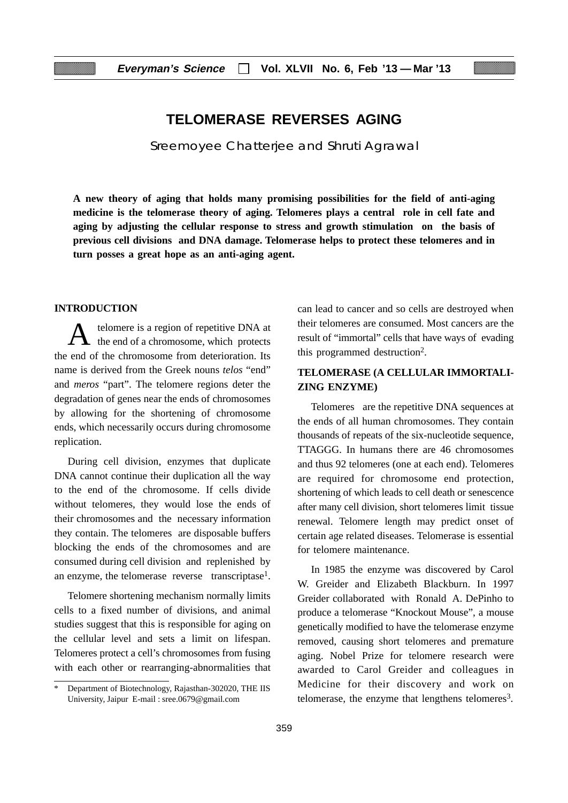### **TELOMERASE REVERSES AGING**

Sreemoyee Chatterjee and Shruti Agrawal

**A new theory of aging that holds many promising possibilities for the field of anti-aging medicine is the telomerase theory of aging. Telomeres plays a central role in cell fate and aging by adjusting the cellular response to stress and growth stimulation on the basis of previous cell divisions and DNA damage. Telomerase helps to protect these telomeres and in turn posses a great hope as an anti-aging agent.**

### **INTRODUCTION**

telomere is a region of repetitive DNA at the end of a chromosome, which protects the end of the chromosome from deterioration. Its name is derived from the Greek nouns *telos* "end" and *meros* "part". The telomere regions deter the degradation of genes near the ends of chromosomes by allowing for the shortening of chromosome ends, which necessarily occurs during chromosome replication.

During cell division, enzymes that duplicate DNA cannot continue their duplication all the way to the end of the chromosome. If cells divide without telomeres, they would lose the ends of their chromosomes and the necessary information they contain. The telomeres are disposable buffers blocking the ends of the chromosomes and are consumed during cell division and replenished by an enzyme, the telomerase reverse transcriptase<sup>1</sup>.

Telomere shortening mechanism normally limits cells to a fixed number of divisions, and animal studies suggest that this is responsible for aging on the cellular level and sets a limit on lifespan. Telomeres protect a cell's chromosomes from fusing with each other or rearranging-abnormalities that can lead to cancer and so cells are destroyed when their telomeres are consumed. Most cancers are the result of "immortal" cells that have ways of evading this programmed destruction2.

### **TELOMERASE (A CELLULAR IMMORTALI-ZING ENZYME)**

Telomeres are the repetitive DNA sequences at the ends of all human chromosomes. They contain thousands of repeats of the six-nucleotide sequence, TTAGGG. In humans there are 46 chromosomes and thus 92 telomeres (one at each end). Telomeres are required for chromosome end protection, shortening of which leads to cell death or senescence after many cell division, short telomeres limit tissue renewal. Telomere length may predict onset of certain age related diseases. Telomerase is essential for telomere maintenance.

In 1985 the enzyme was discovered by Carol W. Greider and Elizabeth Blackburn. In 1997 Greider collaborated with Ronald A. DePinho to produce a telomerase "Knockout Mouse", a mouse genetically modified to have the telomerase enzyme removed, causing short telomeres and premature aging. Nobel Prize for telomere research were awarded to Carol Greider and colleagues in Medicine for their discovery and work on telomerase, the enzyme that lengthens telomeres<sup>3</sup>.

Department of Biotechnology, Rajasthan-302020, THE IIS University, Jaipur E-mail : sree.0679@gmail.com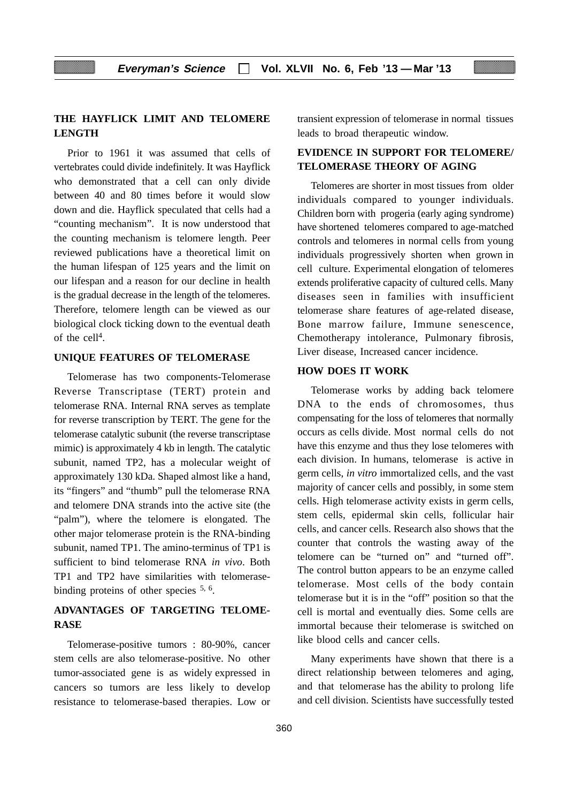### **THE HAYFLICK LIMIT AND TELOMERE LENGTH**

Prior to 1961 it was assumed that cells of vertebrates could divide indefinitely. It was Hayflick who demonstrated that a cell can only divide between 40 and 80 times before it would slow down and die. Hayflick speculated that cells had a "counting mechanism". It is now understood that the counting mechanism is telomere length. Peer reviewed publications have a theoretical limit on the human lifespan of 125 years and the limit on our lifespan and a reason for our decline in health is the gradual decrease in the length of the telomeres. Therefore, telomere length can be viewed as our biological clock ticking down to the eventual death of the cell4.

### **UNIQUE FEATURES OF TELOMERASE**

Telomerase has two components-Telomerase Reverse Transcriptase (TERT) protein and telomerase RNA. Internal RNA serves as template for reverse transcription by TERT. The gene for the telomerase catalytic subunit (the reverse transcriptase mimic) is approximately 4 kb in length. The catalytic subunit, named TP2, has a molecular weight of approximately 130 kDa. Shaped almost like a hand, its "fingers" and "thumb" pull the telomerase RNA and telomere DNA strands into the active site (the "palm"), where the telomere is elongated. The other major telomerase protein is the RNA-binding subunit, named TP1. The amino-terminus of TP1 is sufficient to bind telomerase RNA *in vivo*. Both TP1 and TP2 have similarities with telomerasebinding proteins of other species  $5, 6$ .

### **ADVANTAGES OF TARGETING TELOME-RASE**

Telomerase-positive tumors : 80-90%, cancer stem cells are also telomerase-positive. No other tumor-associated gene is as widely expressed in cancers so tumors are less likely to develop resistance to telomerase-based therapies. Low or transient expression of telomerase in normal tissues leads to broad therapeutic window.

### **EVIDENCE IN SUPPORT FOR TELOMERE/ TELOMERASE THEORY OF AGING**

Telomeres are shorter in most tissues from older individuals compared to younger individuals. Children born with progeria (early aging syndrome) have shortened telomeres compared to age-matched controls and telomeres in normal cells from young individuals progressively shorten when grown in cell culture. Experimental elongation of telomeres extends proliferative capacity of cultured cells. Many diseases seen in families with insufficient telomerase share features of age-related disease, Bone marrow failure, Immune senescence, Chemotherapy intolerance, Pulmonary fibrosis, Liver disease, Increased cancer incidence.

### **HOW DOES IT WORK**

Telomerase works by adding back telomere DNA to the ends of chromosomes, thus compensating for the loss of telomeres that normally occurs as cells divide. Most normal cells do not have this enzyme and thus they lose telomeres with each division. In humans, telomerase is active in germ cells, *in vitro* immortalized cells, and the vast majority of cancer cells and possibly, in some stem cells. High telomerase activity exists in germ cells, stem cells, epidermal skin cells, follicular hair cells, and cancer cells. Research also shows that the counter that controls the wasting away of the telomere can be "turned on" and "turned off". The control button appears to be an enzyme called telomerase. Most cells of the body contain telomerase but it is in the "off" position so that the cell is mortal and eventually dies. Some cells are immortal because their telomerase is switched on like blood cells and cancer cells.

Many experiments have shown that there is a direct relationship between telomeres and aging, and that telomerase has the ability to prolong life and cell division. Scientists have successfully tested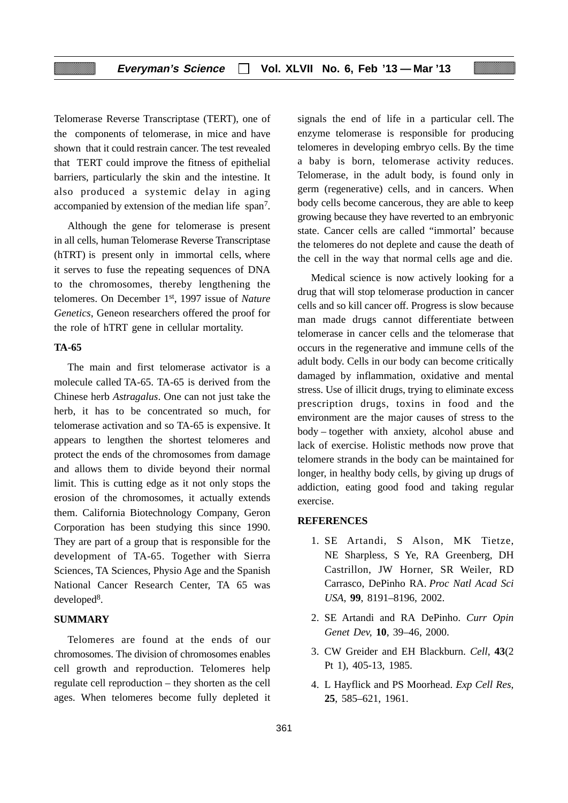Telomerase Reverse Transcriptase (TERT), one of the components of telomerase, in mice and have shown that it could restrain cancer. The test revealed that TERT could improve the fitness of epithelial barriers, particularly the skin and the intestine. It also produced a systemic delay in aging accompanied by extension of the median life span7.

Although the gene for telomerase is present in all cells, human Telomerase Reverse Transcriptase (hTRT) is present only in immortal cells, where it serves to fuse the repeating sequences of DNA to the chromosomes, thereby lengthening the telomeres. On December 1st, 1997 issue of *Nature Genetics*, Geneon researchers offered the proof for the role of hTRT gene in cellular mortality.

#### **TA-65**

The main and first telomerase activator is a molecule called TA-65. TA-65 is derived from the Chinese herb *Astragalus*. One can not just take the herb, it has to be concentrated so much, for telomerase activation and so TA-65 is expensive. It appears to lengthen the shortest telomeres and protect the ends of the chromosomes from damage and allows them to divide beyond their normal limit. This is cutting edge as it not only stops the erosion of the chromosomes, it actually extends them. California Biotechnology Company, Geron Corporation has been studying this since 1990. They are part of a group that is responsible for the development of TA-65. Together with Sierra Sciences, TA Sciences, Physio Age and the Spanish National Cancer Research Center, TA 65 was developed<sup>8</sup>.

### **SUMMARY**

Telomeres are found at the ends of our chromosomes. The division of chromosomes enables cell growth and reproduction. Telomeres help regulate cell reproduction – they shorten as the cell ages. When telomeres become fully depleted it signals the end of life in a particular cell. The enzyme telomerase is responsible for producing telomeres in developing embryo cells. By the time a baby is born, telomerase activity reduces. Telomerase, in the adult body, is found only in germ (regenerative) cells, and in cancers. When body cells become cancerous, they are able to keep growing because they have reverted to an embryonic state. Cancer cells are called "immortal' because the telomeres do not deplete and cause the death of the cell in the way that normal cells age and die.

Medical science is now actively looking for a drug that will stop telomerase production in cancer cells and so kill cancer off. Progress is slow because man made drugs cannot differentiate between telomerase in cancer cells and the telomerase that occurs in the regenerative and immune cells of the adult body. Cells in our body can become critically damaged by inflammation, oxidative and mental stress. Use of illicit drugs, trying to eliminate excess prescription drugs, toxins in food and the environment are the major causes of stress to the body – together with anxiety, alcohol abuse and lack of exercise. Holistic methods now prove that telomere strands in the body can be maintained for longer, in healthy body cells, by giving up drugs of addiction, eating good food and taking regular exercise.

#### **REFERENCES**

- 1. SE Artandi, S Alson, MK Tietze, NE Sharpless, S Ye, RA Greenberg, DH Castrillon, JW Horner, SR Weiler, RD Carrasco, DePinho RA. *Proc Natl Acad Sci USA*, **99**, 8191–8196, 2002.
- 2. SE Artandi and RA DePinho. *Curr Opin Genet Dev,* **10**, 39–46, 2000.
- 3. CW Greider and EH Blackburn. *Cell*, **43**(2 Pt 1), 405-13, 1985.
- 4. L Hayflick and PS Moorhead. *Exp Cell Res*, **25**, 585–621, 1961.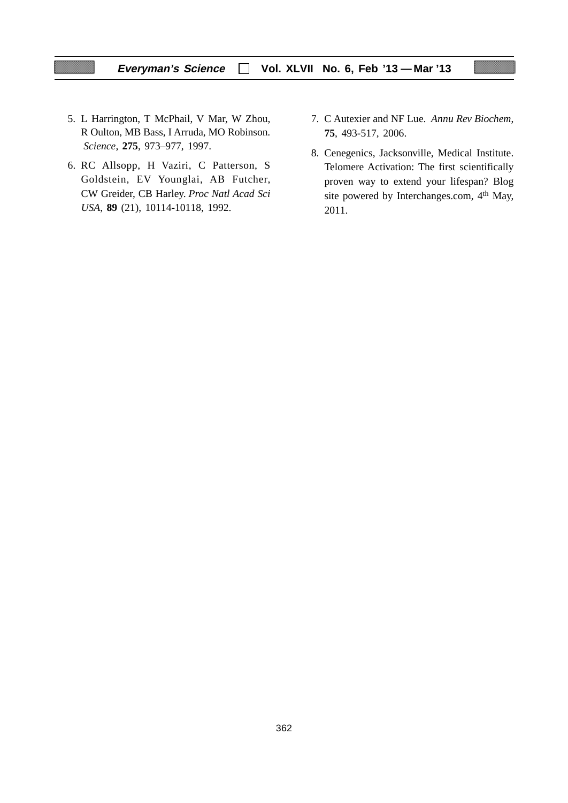### **Everyman's Science Vol. XLVII No. 6, Feb '13 — Mar '13**

- 5. L Harrington, T McPhail, V Mar, W Zhou, R Oulton, MB Bass, I Arruda, MO Robinson. *Science*, **275**, 973*–*977, 1997.
- 6. RC Allsopp, H Vaziri, C Patterson, S Goldstein, EV Younglai, AB Futcher, CW Greider, CB Harley. *Proc Natl Acad Sci USA*, **89** (21), 10114-10118, 1992.
- 7. C Autexier and NF Lue. *Annu Rev Biochem*, **75**, 493-517, 2006.
- 8. Cenegenics, Jacksonville, Medical Institute. Telomere Activation: The first scientifically proven way to extend your lifespan? Blog site powered by Interchanges.com, 4<sup>th</sup> May, 2011.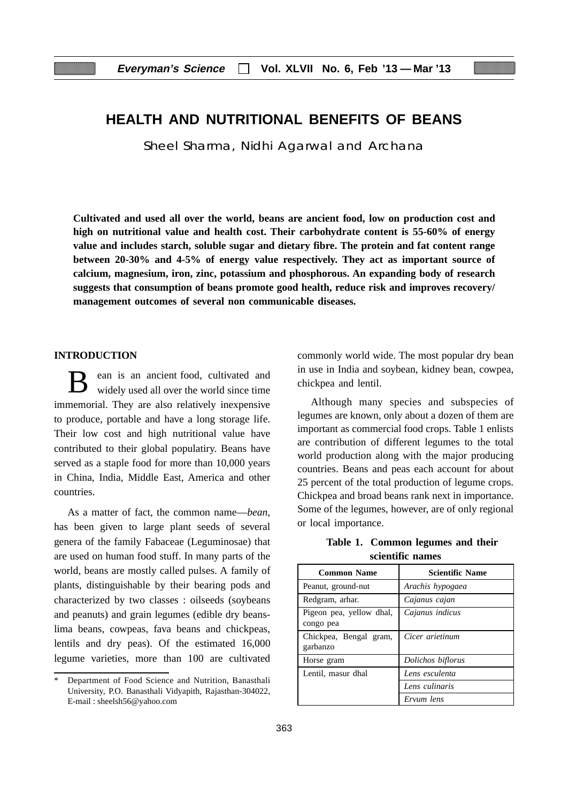### **HEALTH AND NUTRITIONAL BENEFITS OF BEANS**

Sheel Sharma, Nidhi Agarwal and Archana

**Cultivated and used all over the world, beans are ancient food, low on production cost and high on nutritional value and health cost. Their carbohydrate content is 55-60% of energy value and includes starch, soluble sugar and dietary fibre. The protein and fat content range between 20-30% and 4-5% of energy value respectively. They act as important source of calcium, magnesium, iron, zinc, potassium and phosphorous. An expanding body of research suggests that consumption of beans promote good health, reduce risk and improves recovery/ management outcomes of several non communicable diseases.**

### **INTRODUCTION**

ean is an ancient food, cultivated and widely used all over the world since time immemorial. They are also relatively inexpensive to produce, portable and have a long storage life. Their low cost and high nutritional value have contributed to their global populatiry. Beans have served as a staple food for more than 10,000 years in China, India, Middle East, America and other countries.

As a matter of fact, the common name—*bean*, has been given to large plant seeds of several genera of the family Fabaceae (Leguminosae) that are used on human food stuff. In many parts of the world, beans are mostly called pulses. A family of plants, distinguishable by their bearing pods and characterized by two classes : oilseeds (soybeans and peanuts) and grain legumes (edible dry beanslima beans, cowpeas, fava beans and chickpeas, lentils and dry peas). Of the estimated 16,000 legume varieties, more than 100 are cultivated

commonly world wide. The most popular dry bean in use in India and soybean, kidney bean, cowpea, chickpea and lentil.

Although many species and subspecies of legumes are known, only about a dozen of them are important as commercial food crops. Table 1 enlists are contribution of different legumes to the total world production along with the major producing countries. Beans and peas each account for about 25 percent of the total production of legume crops. Chickpea and broad beans rank next in importance. Some of the legumes, however, are of only regional or local importance.

**Table 1. Common legumes and their scientific names**

| <b>Common Name</b>                    | <b>Scientific Name</b> |
|---------------------------------------|------------------------|
| Peanut, ground-nut                    | Arachis hypogaea       |
| Redgram, arhar.                       | Cajanus cajan          |
| Pigeon pea, yellow dhal,<br>congo pea | Cajanus indicus        |
| Chickpea, Bengal gram,<br>garbanzo    | Cicer arietinum        |
| Horse gram                            | Dolichos biflorus      |
| Lentil, masur dhal                    | Lens esculenta         |
|                                       | Lens culinaris         |
|                                       | Ervum lens             |

Department of Food Science and Nutrition, Banasthali University, P.O. Banasthali Vidyapith, Rajasthan-304022, E-mail : sheelsh56@yahoo.com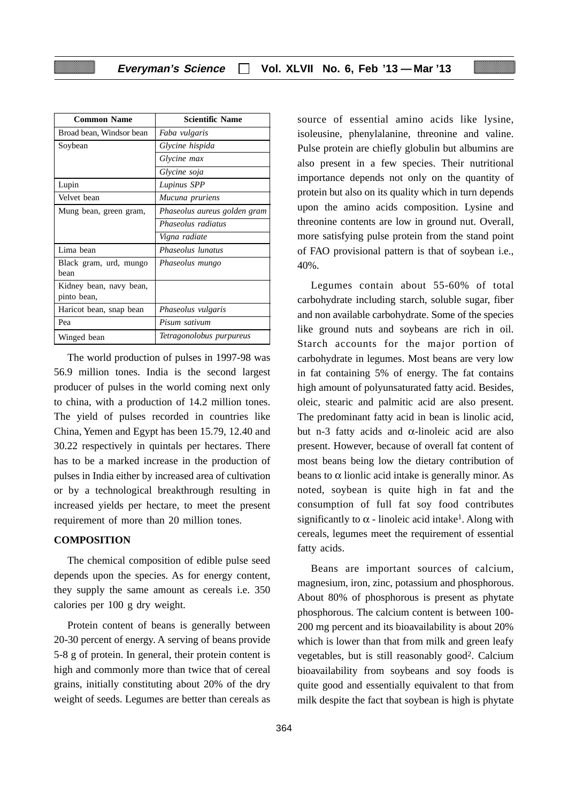| <b>Common Name</b>       | <b>Scientific Name</b>       |
|--------------------------|------------------------------|
| Broad bean, Windsor bean | Faba vulgaris                |
| Soybean                  | Glycine hispida              |
|                          | Glycine max                  |
|                          | Glycine soja                 |
| Lupin                    | Lupinus SPP                  |
| Velvet bean              | Mucuna pruriens              |
| Mung bean, green gram,   | Phaseolus aureus golden gram |
|                          | Phaseolus radiatus           |
|                          | Vigna radiate                |
| Lima bean                | Phaseolus lunatus            |
| Black gram, urd, mungo   | Phaseolus mungo              |
| hean                     |                              |
| Kidney bean, navy bean,  |                              |
| pinto bean,              |                              |
| Haricot bean, snap bean  | Phaseolus vulgaris           |
| Pea                      | Pisum sativum                |
| Winged bean              | Tetragonolobus purpureus     |

The world production of pulses in 1997-98 was 56.9 million tones. India is the second largest producer of pulses in the world coming next only to china, with a production of 14.2 million tones. The yield of pulses recorded in countries like China, Yemen and Egypt has been 15.79, 12.40 and 30.22 respectively in quintals per hectares. There has to be a marked increase in the production of pulses in India either by increased area of cultivation or by a technological breakthrough resulting in increased yields per hectare, to meet the present requirement of more than 20 million tones.

### **COMPOSITION**

The chemical composition of edible pulse seed depends upon the species. As for energy content, they supply the same amount as cereals i.e. 350 calories per 100 g dry weight.

Protein content of beans is generally between 20-30 percent of energy. A serving of beans provide 5-8 g of protein. In general, their protein content is high and commonly more than twice that of cereal grains, initially constituting about 20% of the dry weight of seeds. Legumes are better than cereals as

source of essential amino acids like lysine, isoleusine, phenylalanine, threonine and valine. Pulse protein are chiefly globulin but albumins are also present in a few species. Their nutritional importance depends not only on the quantity of protein but also on its quality which in turn depends upon the amino acids composition. Lysine and threonine contents are low in ground nut. Overall, more satisfying pulse protein from the stand point of FAO provisional pattern is that of soybean i.e., 40%.

Legumes contain about 55-60% of total carbohydrate including starch, soluble sugar, fiber and non available carbohydrate. Some of the species like ground nuts and soybeans are rich in oil. Starch accounts for the major portion of carbohydrate in legumes. Most beans are very low in fat containing 5% of energy. The fat contains high amount of polyunsaturated fatty acid. Besides, oleic, stearic and palmitic acid are also present. The predominant fatty acid in bean is linolic acid, but n-3 fatty acids and α-linoleic acid are also present. However, because of overall fat content of most beans being low the dietary contribution of beans to  $\alpha$  lionlic acid intake is generally minor. As noted, soybean is quite high in fat and the consumption of full fat soy food contributes significantly to  $\alpha$  - linoleic acid intake<sup>1</sup>. Along with cereals, legumes meet the requirement of essential fatty acids.

Beans are important sources of calcium, magnesium, iron, zinc, potassium and phosphorous. About 80% of phosphorous is present as phytate phosphorous. The calcium content is between 100- 200 mg percent and its bioavailability is about 20% which is lower than that from milk and green leafy vegetables, but is still reasonably good2. Calcium bioavailability from soybeans and soy foods is quite good and essentially equivalent to that from milk despite the fact that soybean is high is phytate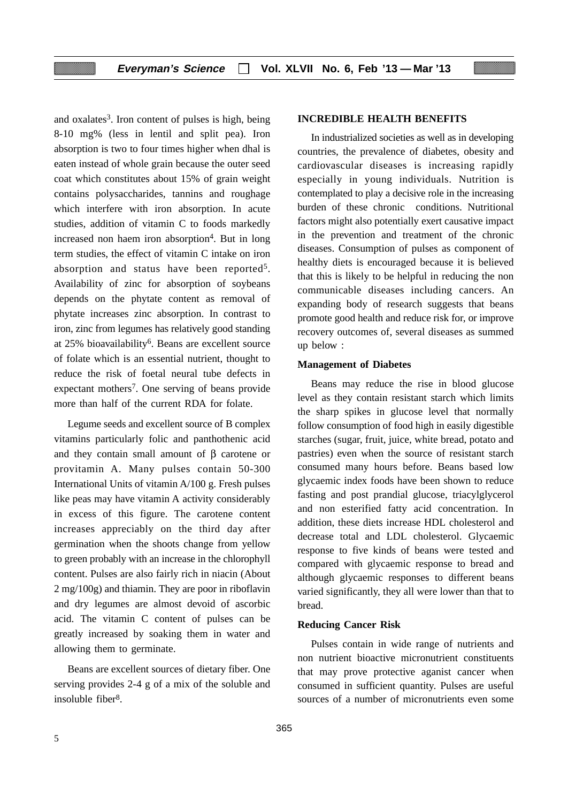and oxalates<sup>3</sup>. Iron content of pulses is high, being 8-10 mg% (less in lentil and split pea). Iron absorption is two to four times higher when dhal is eaten instead of whole grain because the outer seed coat which constitutes about 15% of grain weight contains polysaccharides, tannins and roughage which interfere with iron absorption. In acute studies, addition of vitamin C to foods markedly increased non haem iron absorption<sup>4</sup>. But in long term studies, the effect of vitamin C intake on iron absorption and status have been reported<sup>5</sup>. Availability of zinc for absorption of soybeans depends on the phytate content as removal of phytate increases zinc absorption. In contrast to iron, zinc from legumes has relatively good standing at 25% bioavailability6. Beans are excellent source of folate which is an essential nutrient, thought to reduce the risk of foetal neural tube defects in expectant mothers<sup>7</sup>. One serving of beans provide more than half of the current RDA for folate.

Legume seeds and excellent source of B complex vitamins particularly folic and panthothenic acid and they contain small amount of β carotene or provitamin A. Many pulses contain 50-300 International Units of vitamin A/100 g. Fresh pulses like peas may have vitamin A activity considerably in excess of this figure. The carotene content increases appreciably on the third day after germination when the shoots change from yellow to green probably with an increase in the chlorophyll content. Pulses are also fairly rich in niacin (About 2 mg/100g) and thiamin. They are poor in riboflavin and dry legumes are almost devoid of ascorbic acid. The vitamin C content of pulses can be greatly increased by soaking them in water and allowing them to germinate.

Beans are excellent sources of dietary fiber. One serving provides 2-4 g of a mix of the soluble and insoluble fiber8.

### **INCREDIBLE HEALTH BENEFITS**

In industrialized societies as well as in developing countries, the prevalence of diabetes, obesity and cardiovascular diseases is increasing rapidly especially in young individuals. Nutrition is contemplated to play a decisive role in the increasing burden of these chronic conditions. Nutritional factors might also potentially exert causative impact in the prevention and treatment of the chronic diseases. Consumption of pulses as component of healthy diets is encouraged because it is believed that this is likely to be helpful in reducing the non communicable diseases including cancers. An expanding body of research suggests that beans promote good health and reduce risk for, or improve recovery outcomes of, several diseases as summed up below :

#### **Management of Diabetes**

Beans may reduce the rise in blood glucose level as they contain resistant starch which limits the sharp spikes in glucose level that normally follow consumption of food high in easily digestible starches (sugar, fruit, juice, white bread, potato and pastries) even when the source of resistant starch consumed many hours before. Beans based low glycaemic index foods have been shown to reduce fasting and post prandial glucose, triacylglycerol and non esterified fatty acid concentration. In addition, these diets increase HDL cholesterol and decrease total and LDL cholesterol. Glycaemic response to five kinds of beans were tested and compared with glycaemic response to bread and although glycaemic responses to different beans varied significantly, they all were lower than that to bread.

#### **Reducing Cancer Risk**

Pulses contain in wide range of nutrients and non nutrient bioactive micronutrient constituents that may prove protective aganist cancer when consumed in sufficient quantity. Pulses are useful sources of a number of micronutrients even some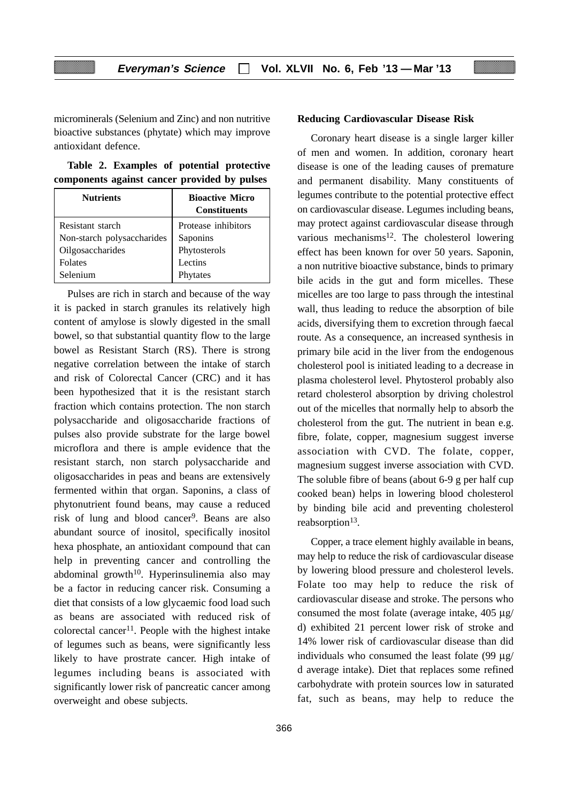microminerals (Selenium and Zinc) and non nutritive bioactive substances (phytate) which may improve antioxidant defence.

**Table 2. Examples of potential protective components against cancer provided by pulses**

| <b>Nutrients</b>           | <b>Bioactive Micro</b><br><b>Constituents</b> |
|----------------------------|-----------------------------------------------|
| Resistant starch           | Protease inhibitors                           |
| Non-starch polysaccharides | Saponins                                      |
| Oilgosaccharides           | Phytosterols                                  |
| <b>Folates</b>             | Lectins                                       |
| Selenium                   | Phytates                                      |

Pulses are rich in starch and because of the way it is packed in starch granules its relatively high content of amylose is slowly digested in the small bowel, so that substantial quantity flow to the large bowel as Resistant Starch (RS). There is strong negative correlation between the intake of starch and risk of Colorectal Cancer (CRC) and it has been hypothesized that it is the resistant starch fraction which contains protection. The non starch polysaccharide and oligosaccharide fractions of pulses also provide substrate for the large bowel microflora and there is ample evidence that the resistant starch, non starch polysaccharide and oligosaccharides in peas and beans are extensively fermented within that organ. Saponins, a class of phytonutrient found beans, may cause a reduced risk of lung and blood cancer<sup>9</sup>. Beans are also abundant source of inositol, specifically inositol hexa phosphate, an antioxidant compound that can help in preventing cancer and controlling the abdominal growth $10$ . Hyperinsulinemia also may be a factor in reducing cancer risk. Consuming a diet that consists of a low glycaemic food load such as beans are associated with reduced risk of colorectal cancer<sup>11</sup>. People with the highest intake of legumes such as beans, were significantly less likely to have prostrate cancer. High intake of legumes including beans is associated with significantly lower risk of pancreatic cancer among overweight and obese subjects.

# **Reducing Cardiovascular Disease Risk**

Coronary heart disease is a single larger killer of men and women. In addition, coronary heart disease is one of the leading causes of premature and permanent disability. Many constituents of legumes contribute to the potential protective effect on cardiovascular disease. Legumes including beans, may protect against cardiovascular disease through various mechanisms $^{12}$ . The cholesterol lowering effect has been known for over 50 years. Saponin, a non nutritive bioactive substance, binds to primary bile acids in the gut and form micelles. These micelles are too large to pass through the intestinal wall, thus leading to reduce the absorption of bile acids, diversifying them to excretion through faecal route. As a consequence, an increased synthesis in primary bile acid in the liver from the endogenous cholesterol pool is initiated leading to a decrease in plasma cholesterol level. Phytosterol probably also retard cholesterol absorption by driving cholestrol out of the micelles that normally help to absorb the cholesterol from the gut. The nutrient in bean e.g. fibre, folate, copper, magnesium suggest inverse association with CVD. The folate, copper, magnesium suggest inverse association with CVD. The soluble fibre of beans (about 6-9 g per half cup cooked bean) helps in lowering blood cholesterol by binding bile acid and preventing cholesterol reabsorption<sup>13</sup>.

Copper, a trace element highly available in beans, may help to reduce the risk of cardiovascular disease by lowering blood pressure and cholesterol levels. Folate too may help to reduce the risk of cardiovascular disease and stroke. The persons who consumed the most folate (average intake, 405 μg/ d) exhibited 21 percent lower risk of stroke and 14% lower risk of cardiovascular disease than did individuals who consumed the least folate (99  $\mu$ g/ d average intake). Diet that replaces some refined carbohydrate with protein sources low in saturated fat, such as beans, may help to reduce the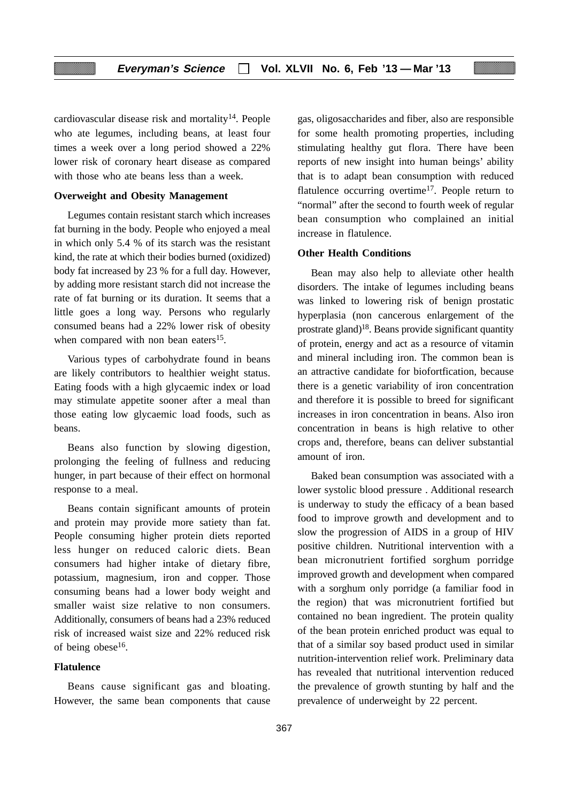cardiovascular disease risk and mortality<sup>14</sup>. People who ate legumes, including beans, at least four times a week over a long period showed a 22% lower risk of coronary heart disease as compared with those who ate beans less than a week.

#### **Overweight and Obesity Management**

Legumes contain resistant starch which increases fat burning in the body. People who enjoyed a meal in which only 5.4 % of its starch was the resistant kind, the rate at which their bodies burned (oxidized) body fat increased by 23 % for a full day. However, by adding more resistant starch did not increase the rate of fat burning or its duration. It seems that a little goes a long way. Persons who regularly consumed beans had a 22% lower risk of obesity when compared with non bean eaters<sup>15</sup>.

Various types of carbohydrate found in beans are likely contributors to healthier weight status. Eating foods with a high glycaemic index or load may stimulate appetite sooner after a meal than those eating low glycaemic load foods, such as beans.

Beans also function by slowing digestion, prolonging the feeling of fullness and reducing hunger, in part because of their effect on hormonal response to a meal.

Beans contain significant amounts of protein and protein may provide more satiety than fat. People consuming higher protein diets reported less hunger on reduced caloric diets. Bean consumers had higher intake of dietary fibre, potassium, magnesium, iron and copper. Those consuming beans had a lower body weight and smaller waist size relative to non consumers. Additionally, consumers of beans had a 23% reduced risk of increased waist size and 22% reduced risk of being obese16.

### **Flatulence**

Beans cause significant gas and bloating. However, the same bean components that cause gas, oligosaccharides and fiber, also are responsible for some health promoting properties, including stimulating healthy gut flora. There have been reports of new insight into human beings' ability that is to adapt bean consumption with reduced flatulence occurring overtime<sup>17</sup>. People return to "normal" after the second to fourth week of regular bean consumption who complained an initial increase in flatulence.

### **Other Health Conditions**

Bean may also help to alleviate other health disorders. The intake of legumes including beans was linked to lowering risk of benign prostatic hyperplasia (non cancerous enlargement of the prostrate gland)18. Beans provide significant quantity of protein, energy and act as a resource of vitamin and mineral including iron. The common bean is an attractive candidate for biofortfication, because there is a genetic variability of iron concentration and therefore it is possible to breed for significant increases in iron concentration in beans. Also iron concentration in beans is high relative to other crops and, therefore, beans can deliver substantial amount of iron.

Baked bean consumption was associated with a lower systolic blood pressure . Additional research is underway to study the efficacy of a bean based food to improve growth and development and to slow the progression of AIDS in a group of HIV positive children. Nutritional intervention with a bean micronutrient fortified sorghum porridge improved growth and development when compared with a sorghum only porridge (a familiar food in the region) that was micronutrient fortified but contained no bean ingredient. The protein quality of the bean protein enriched product was equal to that of a similar soy based product used in similar nutrition-intervention relief work. Preliminary data has revealed that nutritional intervention reduced the prevalence of growth stunting by half and the prevalence of underweight by 22 percent.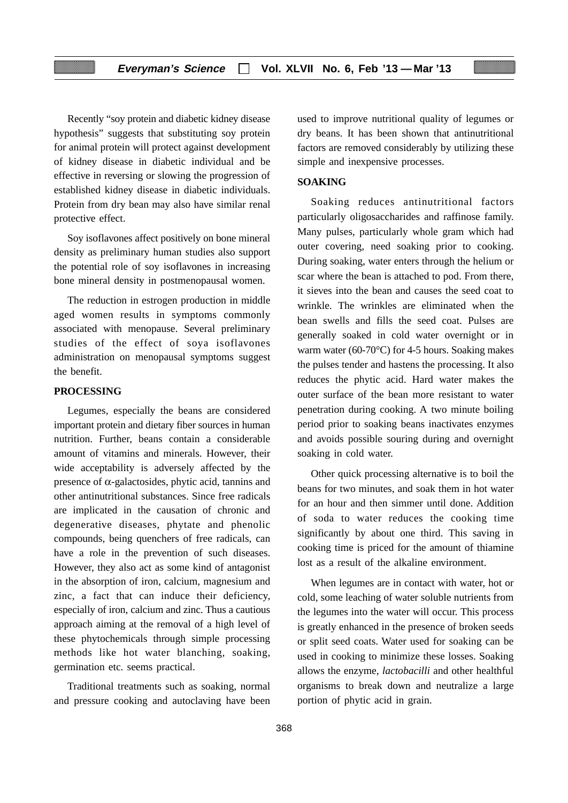Recently "soy protein and diabetic kidney disease hypothesis" suggests that substituting soy protein for animal protein will protect against development of kidney disease in diabetic individual and be effective in reversing or slowing the progression of established kidney disease in diabetic individuals. Protein from dry bean may also have similar renal protective effect.

Soy isoflavones affect positively on bone mineral density as preliminary human studies also support the potential role of soy isoflavones in increasing bone mineral density in postmenopausal women.

The reduction in estrogen production in middle aged women results in symptoms commonly associated with menopause. Several preliminary studies of the effect of soya isoflavones administration on menopausal symptoms suggest the benefit.

#### **PROCESSING**

Legumes, especially the beans are considered important protein and dietary fiber sources in human nutrition. Further, beans contain a considerable amount of vitamins and minerals. However, their wide acceptability is adversely affected by the presence of α-galactosides, phytic acid, tannins and other antinutritional substances. Since free radicals are implicated in the causation of chronic and degenerative diseases, phytate and phenolic compounds, being quenchers of free radicals, can have a role in the prevention of such diseases. However, they also act as some kind of antagonist in the absorption of iron, calcium, magnesium and zinc, a fact that can induce their deficiency, especially of iron, calcium and zinc. Thus a cautious approach aiming at the removal of a high level of these phytochemicals through simple processing methods like hot water blanching, soaking, germination etc. seems practical.

Traditional treatments such as soaking, normal and pressure cooking and autoclaving have been used to improve nutritional quality of legumes or dry beans. It has been shown that antinutritional factors are removed considerably by utilizing these simple and inexpensive processes.

### **SOAKING**

Soaking reduces antinutritional factors particularly oligosaccharides and raffinose family. Many pulses, particularly whole gram which had outer covering, need soaking prior to cooking. During soaking, water enters through the helium or scar where the bean is attached to pod. From there, it sieves into the bean and causes the seed coat to wrinkle. The wrinkles are eliminated when the bean swells and fills the seed coat. Pulses are generally soaked in cold water overnight or in warm water (60-70°C) for 4-5 hours. Soaking makes the pulses tender and hastens the processing. It also reduces the phytic acid. Hard water makes the outer surface of the bean more resistant to water penetration during cooking. A two minute boiling period prior to soaking beans inactivates enzymes and avoids possible souring during and overnight soaking in cold water.

Other quick processing alternative is to boil the beans for two minutes, and soak them in hot water for an hour and then simmer until done. Addition of soda to water reduces the cooking time significantly by about one third. This saving in cooking time is priced for the amount of thiamine lost as a result of the alkaline environment.

When legumes are in contact with water, hot or cold, some leaching of water soluble nutrients from the legumes into the water will occur. This process is greatly enhanced in the presence of broken seeds or split seed coats. Water used for soaking can be used in cooking to minimize these losses. Soaking allows the enzyme, *lactobacilli* and other healthful organisms to break down and neutralize a large portion of phytic acid in grain.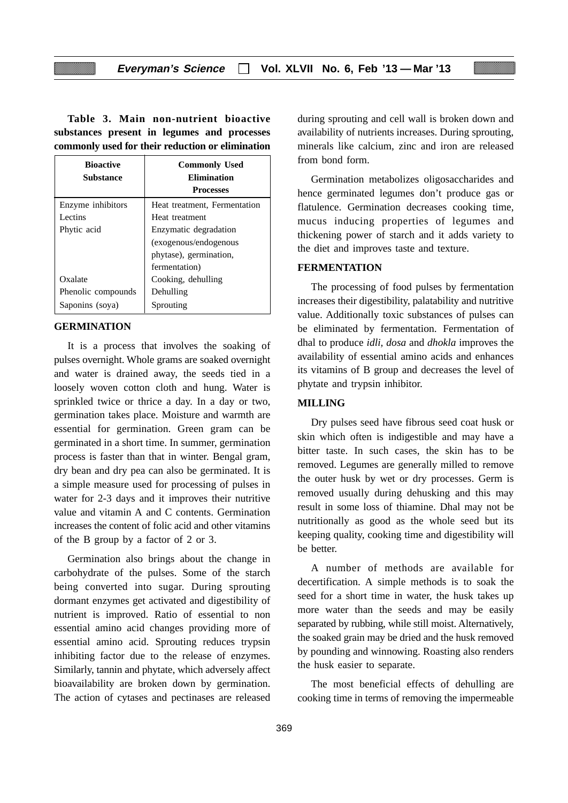**Table 3. Main non-nutrient bioactive substances present in legumes and processes commonly used for their reduction or elimination**

| <b>Bioactive</b><br><b>Substance</b> | <b>Commonly Used</b><br><b>Elimination</b><br><b>Processes</b> |
|--------------------------------------|----------------------------------------------------------------|
| Enzyme inhibitors                    | Heat treatment, Fermentation                                   |
| Lectins                              | Heat treatment                                                 |
| Phytic acid                          | Enzymatic degradation                                          |
|                                      | (exogenous/endogenous                                          |
|                                      | phytase), germination,                                         |
|                                      | fermentation)                                                  |
| Oxalate                              | Cooking, dehulling                                             |
| Phenolic compounds                   | Dehulling                                                      |
| Saponins (soya)                      | Sprouting                                                      |

#### **GERMINATION**

It is a process that involves the soaking of pulses overnight. Whole grams are soaked overnight and water is drained away, the seeds tied in a loosely woven cotton cloth and hung. Water is sprinkled twice or thrice a day. In a day or two, germination takes place. Moisture and warmth are essential for germination. Green gram can be germinated in a short time. In summer, germination process is faster than that in winter. Bengal gram, dry bean and dry pea can also be germinated. It is a simple measure used for processing of pulses in water for 2-3 days and it improves their nutritive value and vitamin A and C contents. Germination increases the content of folic acid and other vitamins of the B group by a factor of 2 or 3.

Germination also brings about the change in carbohydrate of the pulses. Some of the starch being converted into sugar. During sprouting dormant enzymes get activated and digestibility of nutrient is improved. Ratio of essential to non essential amino acid changes providing more of essential amino acid. Sprouting reduces trypsin inhibiting factor due to the release of enzymes. Similarly, tannin and phytate, which adversely affect bioavailability are broken down by germination. The action of cytases and pectinases are released

during sprouting and cell wall is broken down and availability of nutrients increases. During sprouting, minerals like calcium, zinc and iron are released from bond form.

Germination metabolizes oligosaccharides and hence germinated legumes don't produce gas or flatulence. Germination decreases cooking time, mucus inducing properties of legumes and thickening power of starch and it adds variety to the diet and improves taste and texture.

### **FERMENTATION**

The processing of food pulses by fermentation increases their digestibility, palatability and nutritive value. Additionally toxic substances of pulses can be eliminated by fermentation. Fermentation of dhal to produce *idli, dosa* and *dhokla* improves the availability of essential amino acids and enhances its vitamins of B group and decreases the level of phytate and trypsin inhibitor.

### **MILLING**

Dry pulses seed have fibrous seed coat husk or skin which often is indigestible and may have a bitter taste. In such cases, the skin has to be removed. Legumes are generally milled to remove the outer husk by wet or dry processes. Germ is removed usually during dehusking and this may result in some loss of thiamine. Dhal may not be nutritionally as good as the whole seed but its keeping quality, cooking time and digestibility will be better.

A number of methods are available for decertification. A simple methods is to soak the seed for a short time in water, the husk takes up more water than the seeds and may be easily separated by rubbing, while still moist. Alternatively, the soaked grain may be dried and the husk removed by pounding and winnowing. Roasting also renders the husk easier to separate.

The most beneficial effects of dehulling are cooking time in terms of removing the impermeable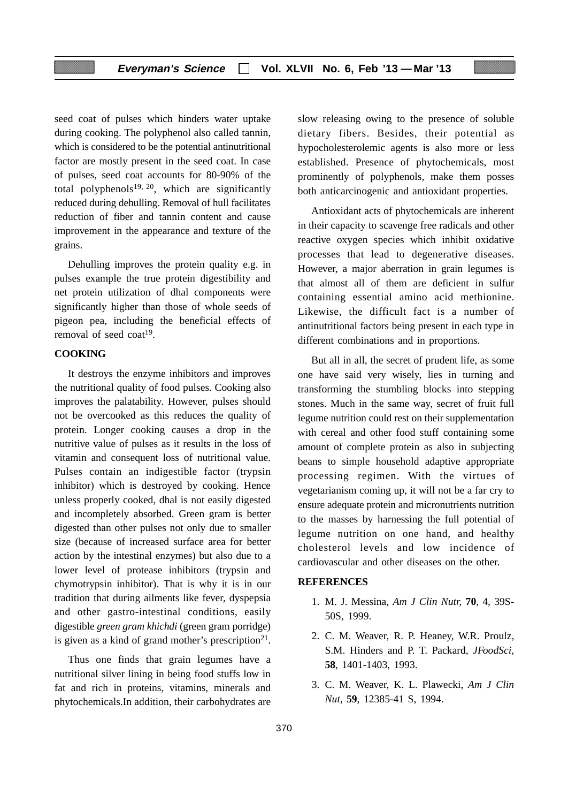seed coat of pulses which hinders water uptake during cooking. The polyphenol also called tannin, which is considered to be the potential antinutritional factor are mostly present in the seed coat. In case of pulses, seed coat accounts for 80-90% of the total polyphenols<sup>19, 20</sup>, which are significantly reduced during dehulling. Removal of hull facilitates reduction of fiber and tannin content and cause improvement in the appearance and texture of the grains.

Dehulling improves the protein quality e.g. in pulses example the true protein digestibility and net protein utilization of dhal components were significantly higher than those of whole seeds of pigeon pea, including the beneficial effects of removal of seed coat<sup>19</sup>.

### **COOKING**

It destroys the enzyme inhibitors and improves the nutritional quality of food pulses. Cooking also improves the palatability. However, pulses should not be overcooked as this reduces the quality of protein. Longer cooking causes a drop in the nutritive value of pulses as it results in the loss of vitamin and consequent loss of nutritional value. Pulses contain an indigestible factor (trypsin inhibitor) which is destroyed by cooking. Hence unless properly cooked, dhal is not easily digested and incompletely absorbed. Green gram is better digested than other pulses not only due to smaller size (because of increased surface area for better action by the intestinal enzymes) but also due to a lower level of protease inhibitors (trypsin and chymotrypsin inhibitor). That is why it is in our tradition that during ailments like fever, dyspepsia and other gastro-intestinal conditions, easily digestible *green gram khichdi* (green gram porridge) is given as a kind of grand mother's prescription $2<sup>1</sup>$ .

Thus one finds that grain legumes have a nutritional silver lining in being food stuffs low in fat and rich in proteins, vitamins, minerals and phytochemicals.In addition, their carbohydrates are slow releasing owing to the presence of soluble dietary fibers. Besides, their potential as hypocholesterolemic agents is also more or less established. Presence of phytochemicals, most prominently of polyphenols, make them posses both anticarcinogenic and antioxidant properties.

Antioxidant acts of phytochemicals are inherent in their capacity to scavenge free radicals and other reactive oxygen species which inhibit oxidative processes that lead to degenerative diseases. However, a major aberration in grain legumes is that almost all of them are deficient in sulfur containing essential amino acid methionine. Likewise, the difficult fact is a number of antinutritional factors being present in each type in different combinations and in proportions.

But all in all, the secret of prudent life, as some one have said very wisely, lies in turning and transforming the stumbling blocks into stepping stones. Much in the same way, secret of fruit full legume nutrition could rest on their supplementation with cereal and other food stuff containing some amount of complete protein as also in subjecting beans to simple household adaptive appropriate processing regimen. With the virtues of vegetarianism coming up, it will not be a far cry to ensure adequate protein and micronutrients nutrition to the masses by harnessing the full potential of legume nutrition on one hand, and healthy cholesterol levels and low incidence of cardiovascular and other diseases on the other.

### **REFERENCES**

- 1. M. J. Messina, *Am J Clin Nutr,* **70**, 4, 39S-50S, 1999.
- 2. C. M. Weaver, R. P. Heaney, W.R. Proulz, S.M. Hinders and P. T. Packard, *JFoodSci,* **58**, 1401-1403, 1993.
- 3. C. M. Weaver, K. L. Plawecki, *Am J Clin Nut,* **59**, 12385-41 S, 1994.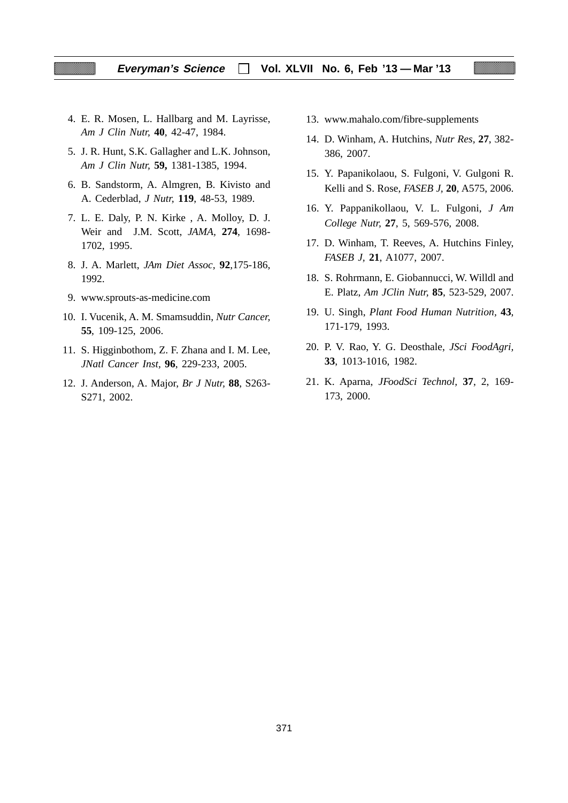- 4. E. R. Mosen, L. Hallbarg and M. Layrisse, *Am J Clin Nutr,* **40**, 42-47, 1984.
- 5. J. R. Hunt, S.K. Gallagher and L.K. Johnson, *Am J Clin Nutr,* **59,** 1381-1385, 1994.
- 6. B. Sandstorm, A. Almgren, B. Kivisto and A. Cederblad, *J Nutr,* **119**, 48-53, 1989.
- 7. L. E. Daly, P. N. Kirke , A. Molloy, D. J. Weir and J.M. Scott, *JAMA,* **274**, 1698- 1702, 1995.
- 8. J. A. Marlett, *JAm Diet Assoc,* **92***,*175-186*,* 1992.
- 9. www.sprouts-as-medicine.com
- 10. I. Vucenik, A. M. Smamsuddin, *Nutr Cancer,* **55**, 109-125, 2006.
- 11. S. Higginbothom, Z. F. Zhana and I. M. Lee, *JNatl Cancer Inst,* **96**, 229-233, 2005.
- 12. J. Anderson, A. Major, *Br J Nutr,* **88**, S263- S271, 2002.
- 13. www.mahalo.com/fibre-supplements
- 14. D. Winham, A. Hutchins, *Nutr Res,* **27**, 382- 386, 2007.
- 15. Y. Papanikolaou, S. Fulgoni, V. Gulgoni R. Kelli and S. Rose, *FASEB J,* **20**, A575, 2006.
- 16. Y. Pappanikollaou, V. L. Fulgoni, *J Am College Nutr,* **27**, 5, 569-576, 2008.
- 17. D. Winham, T. Reeves, A. Hutchins Finley, *FASEB J,* **21**, A1077, 2007.
- 18. S. Rohrmann, E. Giobannucci, W. Willdl and E. Platz, *Am JClin Nutr,* **85**, 523-529, 2007.
- 19. U. Singh, *Plant Food Human Nutrition,* **43**, 171-179, 1993.
- 20. P. V. Rao, Y. G. Deosthale, *JSci FoodAgri,* **33**, 1013-1016, 1982.
- 21. K. Aparna, *JFoodSci Technol,* **37**, 2, 169- 173, 2000.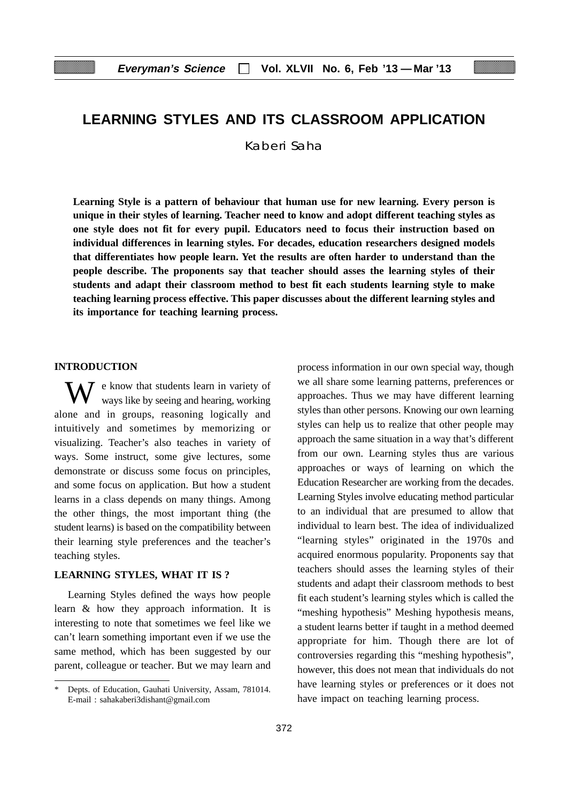## **LEARNING STYLES AND ITS CLASSROOM APPLICATION**

Kaberi Saha

**Learning Style is a pattern of behaviour that human use for new learning. Every person is unique in their styles of learning. Teacher need to know and adopt different teaching styles as one style does not fit for every pupil. Educators need to focus their instruction based on individual differences in learning styles. For decades, education researchers designed models that differentiates how people learn. Yet the results are often harder to understand than the people describe. The proponents say that teacher should asses the learning styles of their students and adapt their classroom method to best fit each students learning style to make teaching learning process effective. This paper discusses about the different learning styles and its importance for teaching learning process.**

#### **INTRODUCTION**

W e know that students learn in variety of ways like by seeing and hearing, working alone and in groups, reasoning logically and intuitively and sometimes by memorizing or visualizing. Teacher's also teaches in variety of ways. Some instruct, some give lectures, some demonstrate or discuss some focus on principles, and some focus on application. But how a student learns in a class depends on many things. Among the other things, the most important thing (the student learns) is based on the compatibility between their learning style preferences and the teacher's teaching styles.

#### **LEARNING STYLES, WHAT IT IS ?**

Learning Styles defined the ways how people learn & how they approach information. It is interesting to note that sometimes we feel like we can't learn something important even if we use the same method, which has been suggested by our parent, colleague or teacher. But we may learn and process information in our own special way, though we all share some learning patterns, preferences or approaches. Thus we may have different learning styles than other persons. Knowing our own learning styles can help us to realize that other people may approach the same situation in a way that's different from our own. Learning styles thus are various approaches or ways of learning on which the Education Researcher are working from the decades. Learning Styles involve educating method particular to an individual that are presumed to allow that individual to learn best. The idea of individualized "learning styles" originated in the 1970s and acquired enormous popularity. Proponents say that teachers should asses the learning styles of their students and adapt their classroom methods to best fit each student's learning styles which is called the "meshing hypothesis" Meshing hypothesis means, a student learns better if taught in a method deemed appropriate for him. Though there are lot of controversies regarding this "meshing hypothesis", however, this does not mean that individuals do not have learning styles or preferences or it does not have impact on teaching learning process.

Depts. of Education, Gauhati University, Assam, 781014. E-mail : sahakaberi3dishant@gmail.com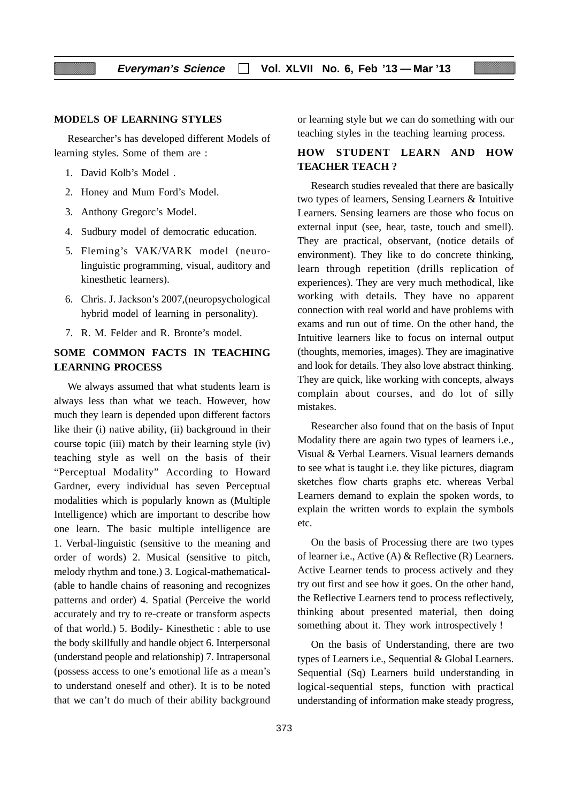### **MODELS OF LEARNING STYLES**

Researcher's has developed different Models of learning styles. Some of them are :

- 1. David Kolb's Model .
- 2. Honey and Mum Ford's Model.
- 3. Anthony Gregorc's Model.
- 4. Sudbury model of democratic education.
- 5. Fleming's VAK/VARK model (neurolinguistic programming, visual, auditory and kinesthetic learners).
- 6. Chris. J. Jackson's 2007,(neuropsychological hybrid model of learning in personality).
- 7. R. M. Felder and R. Bronte's model.

### **SOME COMMON FACTS IN TEACHING LEARNING PROCESS**

We always assumed that what students learn is always less than what we teach. However, how much they learn is depended upon different factors like their (i) native ability, (ii) background in their course topic (iii) match by their learning style (iv) teaching style as well on the basis of their "Perceptual Modality" According to Howard Gardner, every individual has seven Perceptual modalities which is popularly known as (Multiple Intelligence) which are important to describe how one learn. The basic multiple intelligence are 1. Verbal-linguistic (sensitive to the meaning and order of words) 2. Musical (sensitive to pitch, melody rhythm and tone.) 3. Logical-mathematical- (able to handle chains of reasoning and recognizes patterns and order) 4. Spatial (Perceive the world accurately and try to re-create or transform aspects of that world.) 5. Bodily- Kinesthetic : able to use the body skillfully and handle object 6. Interpersonal (understand people and relationship) 7. Intrapersonal (possess access to one's emotional life as a mean's to understand oneself and other). It is to be noted that we can't do much of their ability background or learning style but we can do something with our teaching styles in the teaching learning process.

### **HOW STUDENT LEARN AND HOW TEACHER TEACH ?**

Research studies revealed that there are basically two types of learners, Sensing Learners & Intuitive Learners. Sensing learners are those who focus on external input (see, hear, taste, touch and smell). They are practical, observant, (notice details of environment). They like to do concrete thinking, learn through repetition (drills replication of experiences). They are very much methodical, like working with details. They have no apparent connection with real world and have problems with exams and run out of time. On the other hand, the Intuitive learners like to focus on internal output (thoughts, memories, images). They are imaginative and look for details. They also love abstract thinking. They are quick, like working with concepts, always complain about courses, and do lot of silly mistakes.

Researcher also found that on the basis of Input Modality there are again two types of learners i.e., Visual & Verbal Learners. Visual learners demands to see what is taught i.e. they like pictures, diagram sketches flow charts graphs etc. whereas Verbal Learners demand to explain the spoken words, to explain the written words to explain the symbols etc.

On the basis of Processing there are two types of learner i.e., Active (A) & Reflective (R) Learners. Active Learner tends to process actively and they try out first and see how it goes. On the other hand, the Reflective Learners tend to process reflectively, thinking about presented material, then doing something about it. They work introspectively !

On the basis of Understanding, there are two types of Learners i.e., Sequential & Global Learners. Sequential (Sq) Learners build understanding in logical-sequential steps, function with practical understanding of information make steady progress,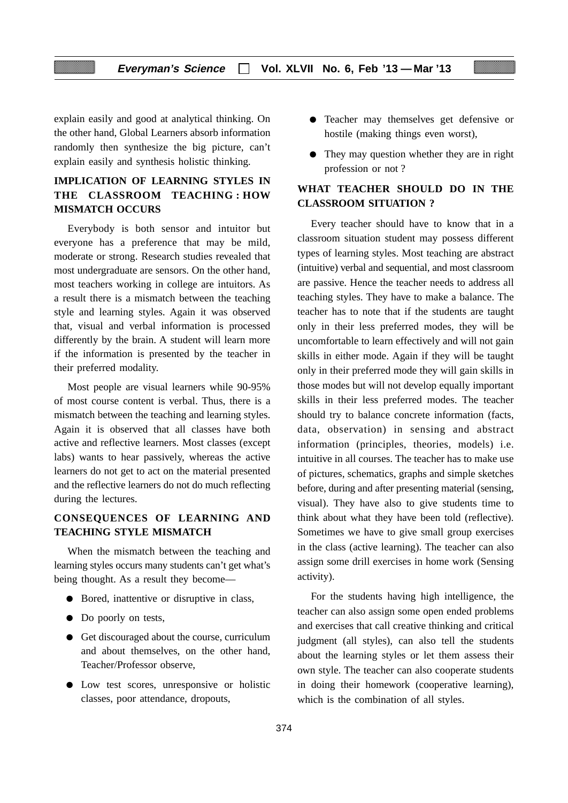### **Everyman's Science Vol. XLVII No. 6, Feb '13 — Mar '13**

explain easily and good at analytical thinking. On the other hand, Global Learners absorb information randomly then synthesize the big picture, can't explain easily and synthesis holistic thinking.

### **IMPLICATION OF LEARNING STYLES IN THE CLASSROOM TEACHING : HOW MISMATCH OCCURS**

Everybody is both sensor and intuitor but everyone has a preference that may be mild, moderate or strong. Research studies revealed that most undergraduate are sensors. On the other hand, most teachers working in college are intuitors. As a result there is a mismatch between the teaching style and learning styles. Again it was observed that, visual and verbal information is processed differently by the brain. A student will learn more if the information is presented by the teacher in their preferred modality.

Most people are visual learners while 90-95% of most course content is verbal. Thus, there is a mismatch between the teaching and learning styles. Again it is observed that all classes have both active and reflective learners. Most classes (except labs) wants to hear passively, whereas the active learners do not get to act on the material presented and the reflective learners do not do much reflecting during the lectures.

### **CONSEQUENCES OF LEARNING AND TEACHING STYLE MISMATCH**

When the mismatch between the teaching and learning styles occurs many students can't get what's being thought. As a result they become—

- Bored, inattentive or disruptive in class,
- Do poorly on tests,
- Get discouraged about the course, curriculum and about themselves, on the other hand, Teacher/Professor observe,
- Low test scores, unresponsive or holistic classes, poor attendance, dropouts,
- Teacher may themselves get defensive or hostile (making things even worst),
- They may question whether they are in right profession or not ?

### **WHAT TEACHER SHOULD DO IN THE CLASSROOM SITUATION ?**

Every teacher should have to know that in a classroom situation student may possess different types of learning styles. Most teaching are abstract (intuitive) verbal and sequential, and most classroom are passive. Hence the teacher needs to address all teaching styles. They have to make a balance. The teacher has to note that if the students are taught only in their less preferred modes, they will be uncomfortable to learn effectively and will not gain skills in either mode. Again if they will be taught only in their preferred mode they will gain skills in those modes but will not develop equally important skills in their less preferred modes. The teacher should try to balance concrete information (facts, data, observation) in sensing and abstract information (principles, theories, models) i.e. intuitive in all courses. The teacher has to make use of pictures, schematics, graphs and simple sketches before, during and after presenting material (sensing, visual). They have also to give students time to think about what they have been told (reflective). Sometimes we have to give small group exercises in the class (active learning). The teacher can also assign some drill exercises in home work (Sensing activity).

For the students having high intelligence, the teacher can also assign some open ended problems and exercises that call creative thinking and critical judgment (all styles), can also tell the students about the learning styles or let them assess their own style. The teacher can also cooperate students in doing their homework (cooperative learning), which is the combination of all styles.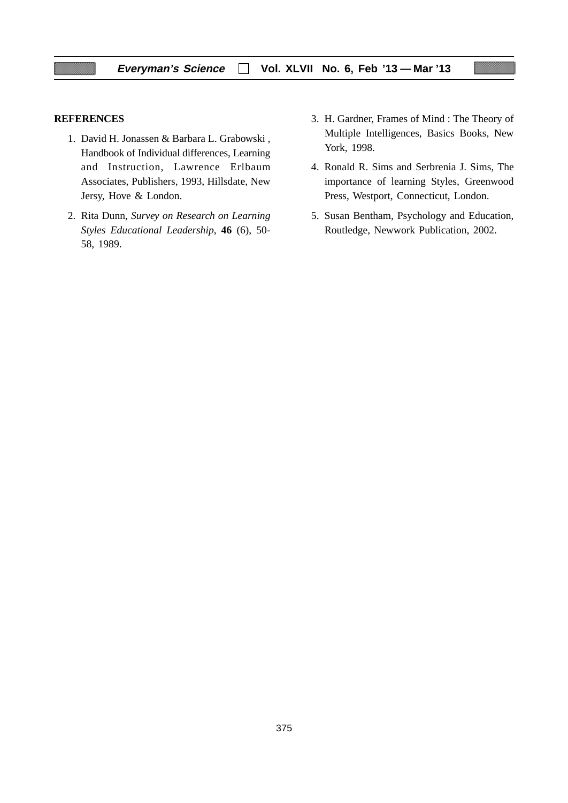### **REFERENCES**

- 1. David H. Jonassen & Barbara L. Grabowski , Handbook of Individual differences, Learning and Instruction, Lawrence Erlbaum Associates, Publishers, 1993, Hillsdate, New Jersy, Hove & London.
- 2. Rita Dunn, *Survey on Research on Learning Styles Educational Leadership*, **46** (6), 50- 58, 1989.
- 3. H. Gardner, Frames of Mind : The Theory of Multiple Intelligences, Basics Books, New York, 1998.
- 4. Ronald R. Sims and Serbrenia J. Sims, The importance of learning Styles, Greenwood Press, Westport, Connecticut, London.
- 5. Susan Bentham, Psychology and Education, Routledge, Newwork Publication, 2002.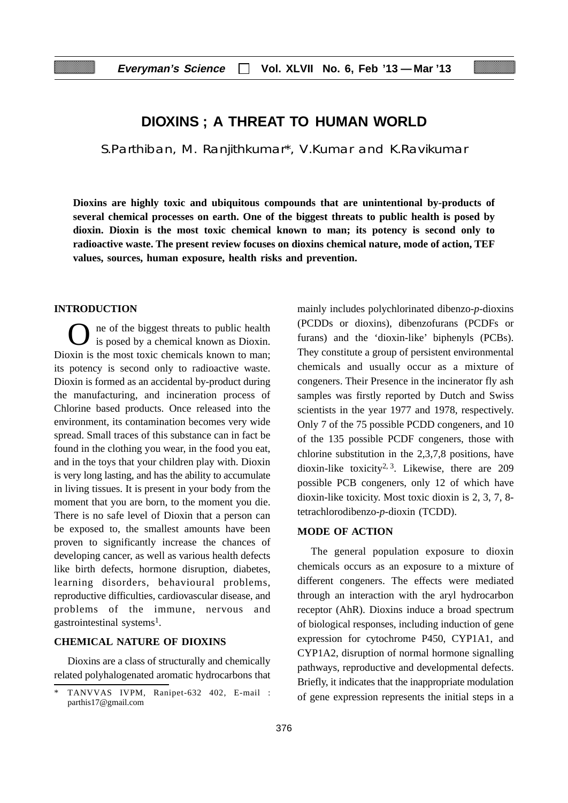### **DIOXINS ; A THREAT TO HUMAN WORLD**

S.Parthiban, M. Ranjithkumar\*, V.Kumar and K.Ravikumar

**Dioxins are highly toxic and ubiquitous compounds that are unintentional by-products of several chemical processes on earth. One of the biggest threats to public health is posed by dioxin. Dioxin is the most toxic chemical known to man; its potency is second only to radioactive waste. The present review focuses on dioxins chemical nature, mode of action, TEF values, sources, human exposure, health risks and prevention.**

### **INTRODUCTION**

ne of the biggest threats to public health is posed by a chemical known as Dioxin. Dioxin is the most toxic chemicals known to man; its potency is second only to radioactive waste. Dioxin is formed as an accidental by-product during the manufacturing, and incineration process of Chlorine based products. Once released into the environment, its contamination becomes very wide spread. Small traces of this substance can in fact be found in the clothing you wear, in the food you eat, and in the toys that your children play with. Dioxin is very long lasting, and has the ability to accumulate in living tissues. It is present in your body from the moment that you are born, to the moment you die. There is no safe level of Dioxin that a person can be exposed to, the smallest amounts have been proven to significantly increase the chances of developing cancer, as well as various health defects like birth defects, hormone disruption, diabetes, learning disorders, behavioural problems, reproductive difficulties, cardiovascular disease, and problems of the immune, nervous and gastrointestinal systems<sup>1</sup>.

### **CHEMICAL NATURE OF DIOXINS**

Dioxins are a class of structurally and chemically related polyhalogenated aromatic hydrocarbons that mainly includes polychlorinated dibenzo-*p*-dioxins (PCDDs or dioxins), dibenzofurans (PCDFs or furans) and the 'dioxin-like' biphenyls (PCBs). They constitute a group of persistent environmental chemicals and usually occur as a mixture of congeners. Their Presence in the incinerator fly ash samples was firstly reported by Dutch and Swiss scientists in the year 1977 and 1978, respectively. Only 7 of the 75 possible PCDD congeners, and 10 of the 135 possible PCDF congeners, those with chlorine substitution in the 2,3,7,8 positions, have dioxin-like toxicity<sup>2, 3</sup>. Likewise, there are  $209$ possible PCB congeners, only 12 of which have dioxin-like toxicity. Most toxic dioxin is 2, 3, 7, 8 tetrachlorodibenzo-*p*-dioxin (TCDD).

### **MODE OF ACTION**

The general population exposure to dioxin chemicals occurs as an exposure to a mixture of different congeners. The effects were mediated through an interaction with the aryl hydrocarbon receptor (AhR). Dioxins induce a broad spectrum of biological responses, including induction of gene expression for cytochrome P450, CYP1A1, and CYP1A2, disruption of normal hormone signalling pathways, reproductive and developmental defects. Briefly, it indicates that the inappropriate modulation of gene expression represents the initial steps in a

TANVVAS IVPM, Ranipet-632 402, E-mail : parthis17@gmail.com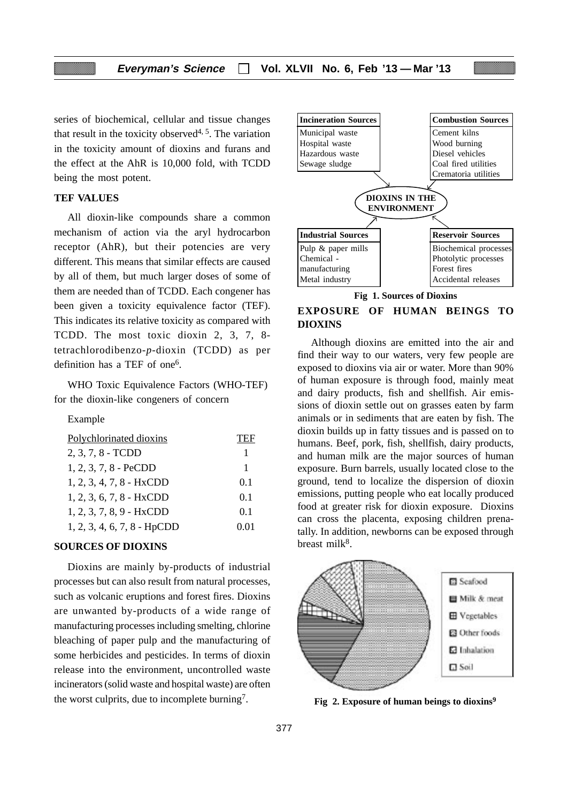series of biochemical, cellular and tissue changes that result in the toxicity observed<sup>4, 5</sup>. The variation in the toxicity amount of dioxins and furans and the effect at the AhR is 10,000 fold, with TCDD being the most potent.

### **TEF VALUES**

All dioxin-like compounds share a common mechanism of action via the aryl hydrocarbon receptor (AhR), but their potencies are very different. This means that similar effects are caused by all of them, but much larger doses of some of them are needed than of TCDD. Each congener has been given a toxicity equivalence factor (TEF). This indicates its relative toxicity as compared with TCDD. The most toxic dioxin 2, 3, 7, 8 tetrachlorodibenzo-*p*-dioxin (TCDD) as per definition has a TEF of one<sup>6</sup>.

WHO Toxic Equivalence Factors (WHO-TEF) for the dioxin-like congeners of concern

#### Example

| Polychlorinated dioxins       | TEF  |
|-------------------------------|------|
| 2, 3, 7, 8 - TCDD             | 1    |
| $1, 2, 3, 7, 8$ - PeCDD       | 1    |
| 1, 2, 3, 4, 7, 8 - HxCDD      | 0.1  |
| $1, 2, 3, 6, 7, 8$ - HxCDD    | 0.1  |
| $1, 2, 3, 7, 8, 9$ - HxCDD    | 0.1  |
| $1, 2, 3, 4, 6, 7, 8$ - HpCDD | 0.01 |

#### **SOURCES OF DIOXINS**

Dioxins are mainly by-products of industrial processes but can also result from natural processes, such as volcanic eruptions and forest fires. Dioxins are unwanted by-products of a wide range of manufacturing processes including smelting, chlorine bleaching of paper pulp and the manufacturing of some herbicides and pesticides. In terms of dioxin release into the environment, uncontrolled waste incinerators (solid waste and hospital waste) are often the worst culprits, due to incomplete burning7.



**Fig 1. Sources of Dioxins**

### **EXPOSURE OF HUMAN BEINGS TO DIOXINS**

Although dioxins are emitted into the air and find their way to our waters, very few people are exposed to dioxins via air or water. More than 90% of human exposure is through food, mainly meat and dairy products, fish and shellfish. Air emissions of dioxin settle out on grasses eaten by farm animals or in sediments that are eaten by fish. The dioxin builds up in fatty tissues and is passed on to humans. Beef, pork, fish, shellfish, dairy products, and human milk are the major sources of human exposure. Burn barrels, usually located close to the ground, tend to localize the dispersion of dioxin emissions, putting people who eat locally produced food at greater risk for dioxin exposure. Dioxins can cross the placenta, exposing children prenatally. In addition, newborns can be exposed through breast milk $8$ .



**Fig 2. Exposure of human beings to dioxins9**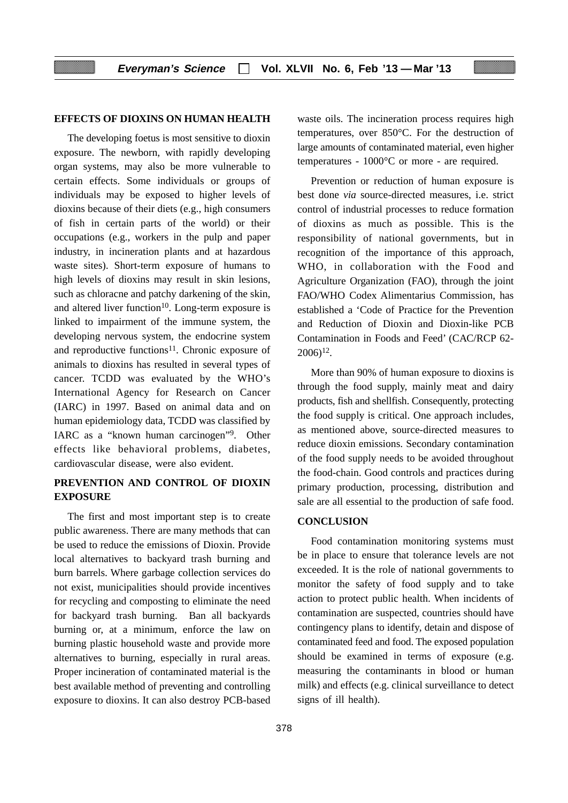### **EFFECTS OF DIOXINS ON HUMAN HEALTH**

The developing foetus is most sensitive to dioxin exposure. The newborn, with rapidly developing organ systems, may also be more vulnerable to certain effects. Some individuals or groups of individuals may be exposed to higher levels of dioxins because of their diets (e.g., high consumers of fish in certain parts of the world) or their occupations (e.g., workers in the pulp and paper industry, in incineration plants and at hazardous waste sites). Short-term exposure of humans to high levels of dioxins may result in skin lesions, such as chloracne and patchy darkening of the skin, and altered liver function<sup>10</sup>. Long-term exposure is linked to impairment of the immune system, the developing nervous system, the endocrine system and reproductive functions<sup>11</sup>. Chronic exposure of animals to dioxins has resulted in several types of cancer. TCDD was evaluated by the WHO's International Agency for Research on Cancer (IARC) in 1997. Based on animal data and on human epidemiology data, TCDD was classified by IARC as a "known human carcinogen"9. Other effects like behavioral problems, diabetes, cardiovascular disease, were also evident.

### **PREVENTION AND CONTROL OF DIOXIN EXPOSURE**

The first and most important step is to create public awareness. There are many methods that can be used to reduce the emissions of Dioxin. Provide local alternatives to backyard trash burning and burn barrels. Where garbage collection services do not exist, municipalities should provide incentives for recycling and composting to eliminate the need for backyard trash burning. Ban all backyards burning or, at a minimum, enforce the law on burning plastic household waste and provide more alternatives to burning, especially in rural areas. Proper incineration of contaminated material is the best available method of preventing and controlling exposure to dioxins. It can also destroy PCB-based waste oils. The incineration process requires high temperatures, over 850°C. For the destruction of large amounts of contaminated material, even higher temperatures - 1000°C or more - are required.

Prevention or reduction of human exposure is best done *via* source-directed measures, i.e. strict control of industrial processes to reduce formation of dioxins as much as possible. This is the responsibility of national governments, but in recognition of the importance of this approach, WHO, in collaboration with the Food and Agriculture Organization (FAO), through the joint FAO/WHO Codex Alimentarius Commission, has established a 'Code of Practice for the Prevention and Reduction of Dioxin and Dioxin-like PCB Contamination in Foods and Feed' (CAC/RCP 62-  $2006$ <sup>12</sup>.

More than 90% of human exposure to dioxins is through the food supply, mainly meat and dairy products, fish and shellfish. Consequently, protecting the food supply is critical. One approach includes, as mentioned above, source-directed measures to reduce dioxin emissions. Secondary contamination of the food supply needs to be avoided throughout the food-chain. Good controls and practices during primary production, processing, distribution and sale are all essential to the production of safe food.

### **CONCLUSION**

Food contamination monitoring systems must be in place to ensure that tolerance levels are not exceeded. It is the role of national governments to monitor the safety of food supply and to take action to protect public health. When incidents of contamination are suspected, countries should have contingency plans to identify, detain and dispose of contaminated feed and food. The exposed population should be examined in terms of exposure (e.g. measuring the contaminants in blood or human milk) and effects (e.g. clinical surveillance to detect signs of ill health).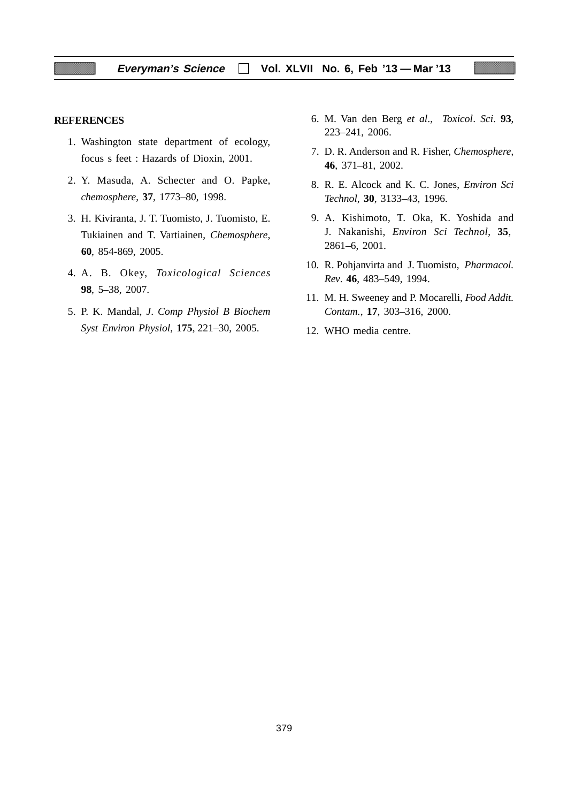#### **REFERENCES**

- 1. Washington state department of ecology, focus s feet : Hazards of Dioxin, 2001.
- 2. Y. Masuda, A. Schecter and O. Papke, *chemosphere*, **37**, 1773–80, 1998.
- 3. H. Kiviranta, J. T. Tuomisto, J. Tuomisto, E. Tukiainen and T. Vartiainen, *Chemosphere*, **60**, 854-869, 2005.
- 4. A. B. Okey, *Toxicological Sciences* **98**, 5–38, 2007.
- 5. P. K. Mandal, *J*. *Comp Physiol B Biochem Syst Environ Physiol*, **175**, 221–30, 2005.
- 6. M. Van den Berg *et al*., *Toxicol*. *Sci*. **93**, 223–241, 2006.
- 7. D. R. Anderson and R. Fisher, *Chemosphere*, **46**, 371–81, 2002.
- 8. R. E. Alcock and K. C. Jones, *Environ Sci Technol*, **30**, 3133–43, 1996.
- 9. A. Kishimoto, T. Oka, K. Yoshida and J. Nakanishi, *Environ Sci Technol*, **35**, 2861–6, 2001.
- 10. R. Pohjanvirta and J. Tuomisto, *Pharmacol. Rev*. **46**, 483–549, 1994.
- 11. M. H. Sweeney and P. Mocarelli, *Food Addit. Contam.*, **17**, 303–316, 2000.
- 12. WHO media centre.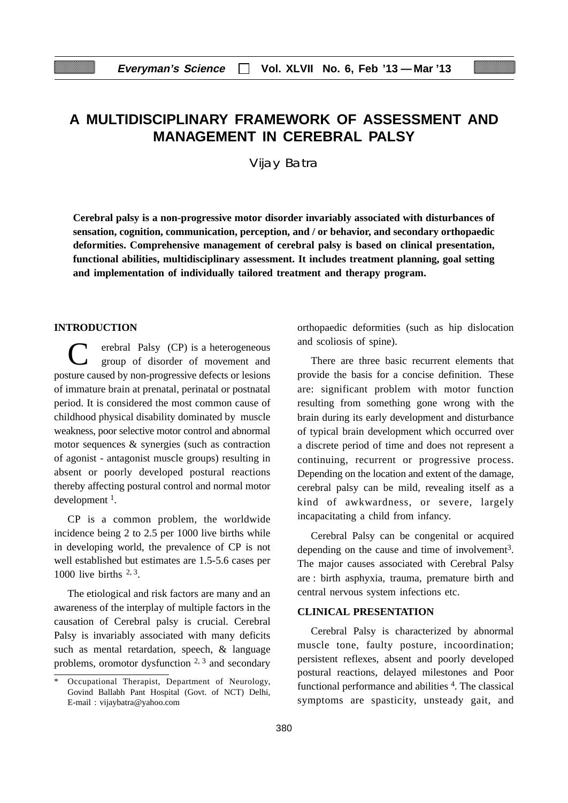# **A MULTIDISCIPLINARY FRAMEWORK OF ASSESSMENT AND MANAGEMENT IN CEREBRAL PALSY**

Vijay Batra

**Cerebral palsy is a non-progressive motor disorder invariably associated with disturbances of sensation, cognition, communication, perception, and / or behavior, and secondary orthopaedic deformities. Comprehensive management of cerebral palsy is based on clinical presentation, functional abilities, multidisciplinary assessment. It includes treatment planning, goal setting and implementation of individually tailored treatment and therapy program.**

### **INTRODUCTION**

erebral Palsy (CP) is a heterogeneous group of disorder of movement and posture caused by non-progressive defects or lesions of immature brain at prenatal, perinatal or postnatal period. It is considered the most common cause of childhood physical disability dominated by muscle weakness, poor selective motor control and abnormal motor sequences & synergies (such as contraction of agonist - antagonist muscle groups) resulting in absent or poorly developed postural reactions thereby affecting postural control and normal motor development 1.

CP is a common problem, the worldwide incidence being 2 to 2.5 per 1000 live births while in developing world, the prevalence of CP is not well established but estimates are 1.5-5.6 cases per 1000 live births  $2, 3$ .

The etiological and risk factors are many and an awareness of the interplay of multiple factors in the causation of Cerebral palsy is crucial. Cerebral Palsy is invariably associated with many deficits such as mental retardation, speech, & language problems, oromotor dysfunction  $2, 3$  and secondary orthopaedic deformities (such as hip dislocation and scoliosis of spine).

There are three basic recurrent elements that provide the basis for a concise definition. These are: significant problem with motor function resulting from something gone wrong with the brain during its early development and disturbance of typical brain development which occurred over a discrete period of time and does not represent a continuing, recurrent or progressive process. Depending on the location and extent of the damage, cerebral palsy can be mild, revealing itself as a kind of awkwardness, or severe, largely incapacitating a child from infancy.

Cerebral Palsy can be congenital or acquired depending on the cause and time of involvement<sup>3</sup>. The major causes associated with Cerebral Palsy are : birth asphyxia, trauma, premature birth and central nervous system infections etc.

### **CLINICAL PRESENTATION**

Cerebral Palsy is characterized by abnormal muscle tone, faulty posture, incoordination; persistent reflexes, absent and poorly developed postural reactions, delayed milestones and Poor functional performance and abilities <sup>4</sup>. The classical symptoms are spasticity, unsteady gait, and

Occupational Therapist, Department of Neurology, Govind Ballabh Pant Hospital (Govt. of NCT) Delhi, E-mail : vijaybatra@yahoo.com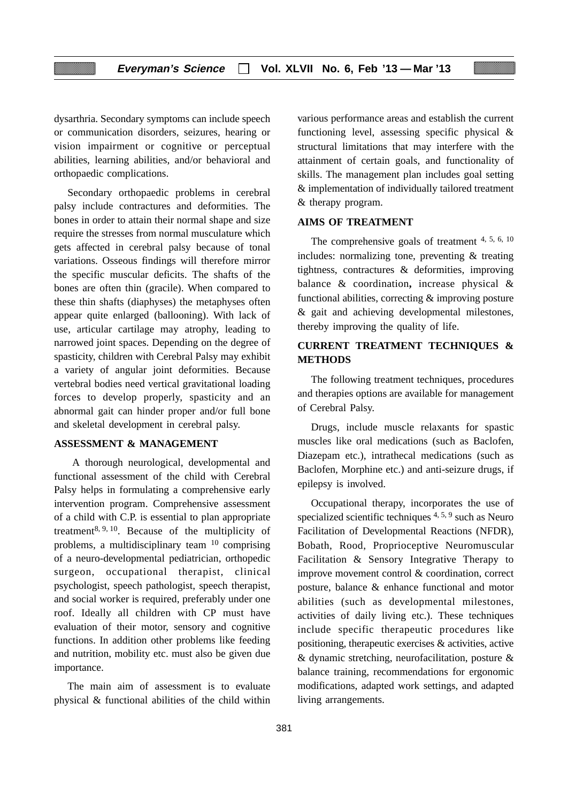dysarthria. Secondary symptoms can include speech or communication disorders, seizures, hearing or vision impairment or cognitive or perceptual abilities, learning abilities, and/or behavioral and orthopaedic complications.

Secondary orthopaedic problems in cerebral palsy include contractures and deformities. The bones in order to attain their normal shape and size require the stresses from normal musculature which gets affected in cerebral palsy because of tonal variations. Osseous findings will therefore mirror the specific muscular deficits. The shafts of the bones are often thin (gracile). When compared to these thin shafts (diaphyses) the metaphyses often appear quite enlarged (ballooning). With lack of use, articular cartilage may atrophy, leading to narrowed joint spaces. Depending on the degree of spasticity, children with Cerebral Palsy may exhibit a variety of angular joint deformities. Because vertebral bodies need vertical gravitational loading forces to develop properly, spasticity and an abnormal gait can hinder proper and/or full bone and skeletal development in cerebral palsy.

#### **ASSESSMENT & MANAGEMENT**

 A thorough neurological, developmental and functional assessment of the child with Cerebral Palsy helps in formulating a comprehensive early intervention program. Comprehensive assessment of a child with C.P. is essential to plan appropriate treatment8, 9, 10. Because of the multiplicity of problems, a multidisciplinary team 10 comprising of a neuro-developmental pediatrician, orthopedic surgeon, occupational therapist, clinical psychologist, speech pathologist, speech therapist, and social worker is required, preferably under one roof. Ideally all children with CP must have evaluation of their motor, sensory and cognitive functions. In addition other problems like feeding and nutrition, mobility etc. must also be given due importance.

The main aim of assessment is to evaluate physical & functional abilities of the child within

various performance areas and establish the current functioning level, assessing specific physical & structural limitations that may interfere with the attainment of certain goals, and functionality of skills. The management plan includes goal setting & implementation of individually tailored treatment & therapy program.

### **AIMS OF TREATMENT**

The comprehensive goals of treatment 4, 5, 6, 10 includes: normalizing tone, preventing & treating tightness, contractures & deformities, improving balance & coordination**,** increase physical & functional abilities, correcting & improving posture & gait and achieving developmental milestones, thereby improving the quality of life.

### **CURRENT TREATMENT TECHNIQUES & METHODS**

The following treatment techniques, procedures and therapies options are available for management of Cerebral Palsy.

Drugs, include muscle relaxants for spastic muscles like oral medications (such as Baclofen*,* Diazepam etc.), intrathecal medications (such as Baclofen*,* Morphine etc.) and anti-seizure drugs, if epilepsy is involved.

Occupational therapy, incorporates the use of specialized scientific techniques <sup>4, 5, 9</sup> such as Neuro Facilitation of Developmental Reactions (NFDR), Bobath, Rood, Proprioceptive Neuromuscular Facilitation & Sensory Integrative Therapy to improve movement control & coordination, correct posture, balance & enhance functional and motor abilities (such as developmental milestones, activities of daily living etc.). These techniques include specific therapeutic procedures like positioning, therapeutic exercises & activities, active & dynamic stretching, neurofacilitation, posture & balance training, recommendations for ergonomic modifications, adapted work settings, and adapted living arrangements.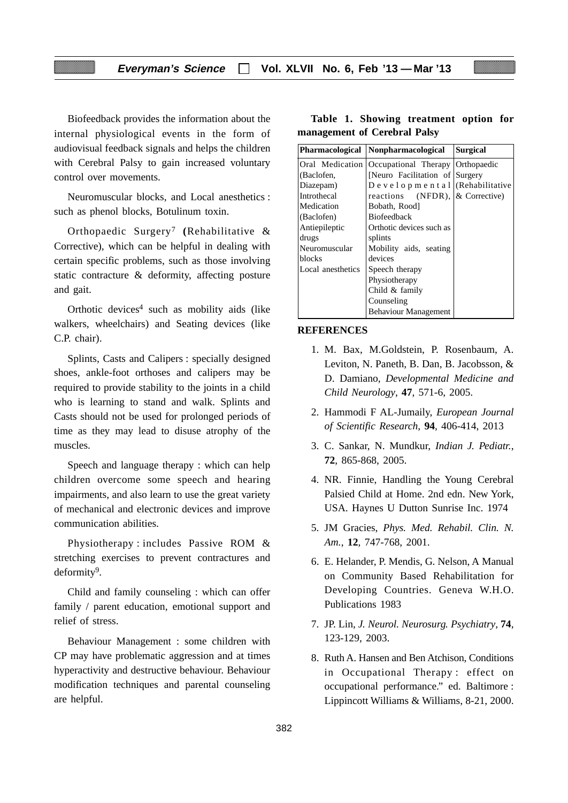Biofeedback provides the information about the internal physiological events in the form of audiovisual feedback signals and helps the children with Cerebral Palsy to gain increased voluntary control over movements.

Neuromuscular blocks, and Local anesthetics : such as phenol blocks, Botulinum toxin.

Orthopaedic Surgery7 **(**Rehabilitative & Corrective), which can be helpful in dealing with certain specific problems, such as those involving static contracture & deformity, affecting posture and gait.

Orthotic devices $4$  such as mobility aids (like walkers, wheelchairs) and Seating devices (like C.P. chair).

Splints, Casts and Calipers : specially designed shoes, ankle-foot orthoses and calipers may be required to provide stability to the joints in a child who is learning to stand and walk. Splints and Casts should not be used for prolonged periods of time as they may lead to disuse atrophy of the muscles.

Speech and language therapy : which can help children overcome some speech and hearing impairments, and also learn to use the great variety of mechanical and electronic devices and improve communication abilities.

Physiotherapy : includes Passive ROM & stretching exercises to prevent contractures and deformity<sup>9</sup>.

Child and family counseling : which can offer family / parent education, emotional support and relief of stress.

Behaviour Management : some children with CP may have problematic aggression and at times hyperactivity and destructive behaviour. Behaviour modification techniques and parental counseling are helpful.

### **Table 1. Showing treatment option for management of Cerebral Palsy**

| <b>Pharmacological</b> | Nonpharmacological                     | <b>Surgical</b>          |
|------------------------|----------------------------------------|--------------------------|
|                        | Oral Medication   Occupational Therapy | Orthopaedic              |
| (Baclofen,             | [Neuro Facilitation of Surgery]        |                          |
| Diazepam)              | Developmental (Rehabilitative          |                          |
| Introthecal            | reactions                              | $(NFDR)$ , & Corrective) |
| Medication             | Bobath, Rood]                          |                          |
| (Baclofen)             | <b>Biofeedback</b>                     |                          |
| Antiepileptic          | Orthotic devices such as               |                          |
| drugs                  | splints                                |                          |
| Neuromuscular          | Mobility aids, seating                 |                          |
| blocks                 | devices                                |                          |
| Local anesthetics      | Speech therapy                         |                          |
|                        | Physiotherapy                          |                          |
|                        | Child & family                         |                          |
|                        | Counseling                             |                          |
|                        | <b>Behaviour Management</b>            |                          |

#### **REFERENCES**

- 1. M. Bax, M.Goldstein, P. Rosenbaum, A. Leviton, N. Paneth, B. Dan, B. Jacobsson, & D. Damiano, *Developmental Medicine and Child Neurology*, **47**, 571-6, 2005.
- 2. Hammodi F AL-Jumaily, *European Journal of Scientific Research*, **94**, 406-414, 2013
- 3. C. Sankar, N. Mundkur, *Indian J. Pediatr.*, **72**, 865-868, 2005.
- 4. NR. Finnie, Handling the Young Cerebral Palsied Child at Home. 2nd edn. New York, USA. Haynes U Dutton Sunrise Inc. 1974
- 5. JM Gracies, *Phys. Med. Rehabil. Clin. N. Am.*, **12**, 747-768, 2001.
- 6. E. Helander, P. Mendis, G. Nelson, A Manual on Community Based Rehabilitation for Developing Countries. Geneva W.H.O. Publications 1983
- 7. JP. Lin, *J. Neurol. Neurosurg. Psychiatry*, **74**, 123-129, 2003.
- 8. Ruth A. Hansen and Ben Atchison, Conditions in Occupational Therapy : effect on occupational performance." ed. Baltimore : Lippincott Williams & Williams, 8-21, 2000.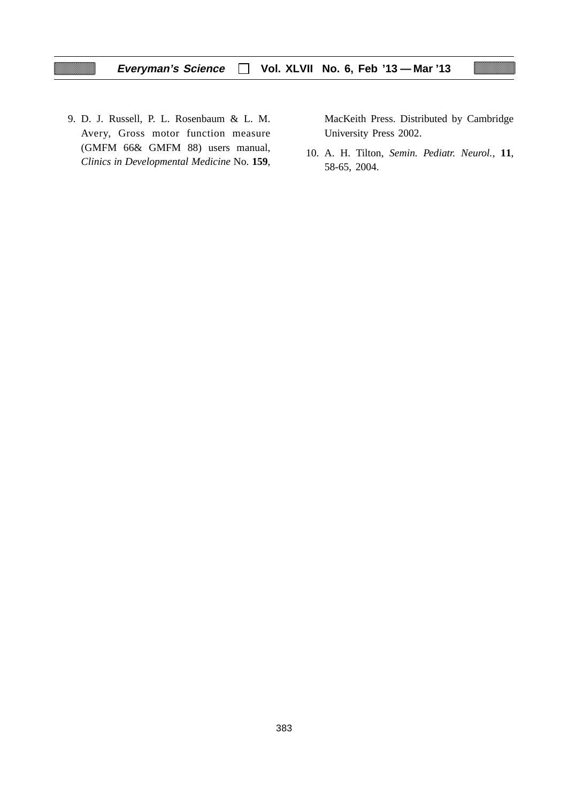9. D. J. Russell, P. L. Rosenbaum & L. M. Avery, Gross motor function measure (GMFM 66& GMFM 88) users manual, *Clinics in Developmental Medicine* No. **159**, MacKeith Press. Distributed by Cambridge University Press 2002.

10. A. H. Tilton, *Semin. Pediatr. Neurol.*, **11**, 58-65, 2004.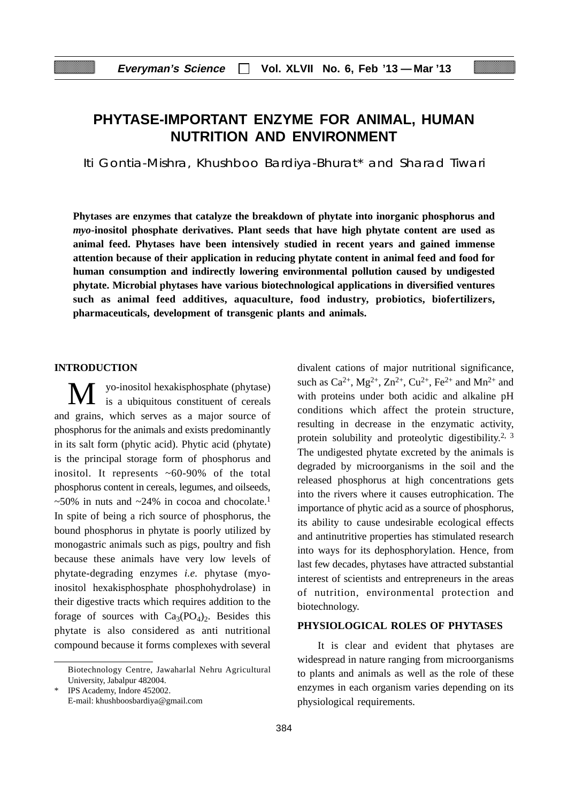# **PHYTASE-IMPORTANT ENZYME FOR ANIMAL, HUMAN NUTRITION AND ENVIRONMENT**

Iti Gontia-Mishra, Khushboo Bardiya-Bhurat\* and Sharad Tiwari

**Phytases are enzymes that catalyze the breakdown of phytate into inorganic phosphorus and** *myo***-inositol phosphate derivatives. Plant seeds that have high phytate content are used as animal feed. Phytases have been intensively studied in recent years and gained immense attention because of their application in reducing phytate content in animal feed and food for human consumption and indirectly lowering environmental pollution caused by undigested phytate. Microbial phytases have various biotechnological applications in diversified ventures such as animal feed additives, aquaculture, food industry, probiotics, biofertilizers, pharmaceuticals, development of transgenic plants and animals.**

### **INTRODUCTION**

yo-inositol hexakisphosphate (phytase) is a ubiquitous constituent of cereals and grains, which serves as a major source of phosphorus for the animals and exists predominantly in its salt form (phytic acid). Phytic acid (phytate) is the principal storage form of phosphorus and inositol. It represents ~60-90% of the total phosphorus content in cereals, legumes, and oilseeds,  $~50\%$  in nuts and  $~24\%$  in cocoa and chocolate.<sup>1</sup> In spite of being a rich source of phosphorus, the bound phosphorus in phytate is poorly utilized by monogastric animals such as pigs, poultry and fish because these animals have very low levels of phytate-degrading enzymes *i.e.* phytase (myoinositol hexakisphosphate phosphohydrolase) in their digestive tracts which requires addition to the forage of sources with  $Ca<sub>3</sub>(PO<sub>4</sub>)<sub>2</sub>$ . Besides this phytate is also considered as anti nutritional compound because it forms complexes with several

divalent cations of major nutritional significance, such as  $Ca^{2+}$ ,  $Mg^{2+}$ ,  $Zn^{2+}$ ,  $Cu^{2+}$ ,  $Fe^{2+}$  and  $Mn^{2+}$  and with proteins under both acidic and alkaline pH conditions which affect the protein structure, resulting in decrease in the enzymatic activity, protein solubility and proteolytic digestibility.<sup>2, 3</sup> The undigested phytate excreted by the animals is degraded by microorganisms in the soil and the released phosphorus at high concentrations gets into the rivers where it causes eutrophication. The importance of phytic acid as a source of phosphorus, its ability to cause undesirable ecological effects and antinutritive properties has stimulated research into ways for its dephosphorylation. Hence, from last few decades, phytases have attracted substantial interest of scientists and entrepreneurs in the areas of nutrition, environmental protection and biotechnology.

### **PHYSIOLOGICAL ROLES OF PHYTASES**

 It is clear and evident that phytases are widespread in nature ranging from microorganisms to plants and animals as well as the role of these enzymes in each organism varies depending on its physiological requirements.

Biotechnology Centre, Jawaharlal Nehru Agricultural University, Jabalpur 482004.

IPS Academy, Indore 452002. E-mail: khushboosbardiya@gmail.com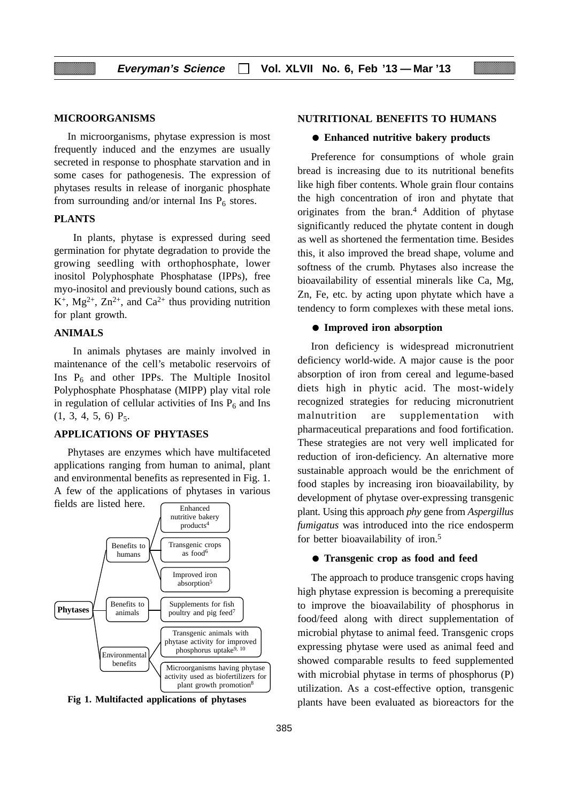#### **MICROORGANISMS**

In microorganisms, phytase expression is most frequently induced and the enzymes are usually secreted in response to phosphate starvation and in some cases for pathogenesis. The expression of phytases results in release of inorganic phosphate from surrounding and/or internal Ins  $P_6$  stores.

### **PLANTS**

 In plants, phytase is expressed during seed germination for phytate degradation to provide the growing seedling with orthophosphate, lower inositol Polyphosphate Phosphatase (IPPs), free myo-inositol and previously bound cations, such as  $K^+$ , Mg<sup>2+</sup>, Zn<sup>2+</sup>, and Ca<sup>2+</sup> thus providing nutrition for plant growth.

### **ANIMALS**

 In animals phytases are mainly involved in maintenance of the cell's metabolic reservoirs of Ins  $P_6$  and other IPPs. The Multiple Inositol Polyphosphate Phosphatase (MIPP) play vital role in regulation of cellular activities of Ins  $P_6$  and Ins  $(1, 3, 4, 5, 6)$   $P_5$ .

#### **APPLICATIONS OF PHYTASES**

Phytases are enzymes which have multifaceted applications ranging from human to animal, plant and environmental benefits as represented in Fig. 1. A few of the applications of phytases in various



**Fig 1. Multifacted applications of phytases**

#### **NUTRITIONAL BENEFITS TO HUMANS**

#### ● **Enhanced nutritive bakery products**

Preference for consumptions of whole grain bread is increasing due to its nutritional benefits like high fiber contents. Whole grain flour contains the high concentration of iron and phytate that originates from the bran.4 Addition of phytase significantly reduced the phytate content in dough as well as shortened the fermentation time. Besides this, it also improved the bread shape, volume and softness of the crumb. Phytases also increase the bioavailability of essential minerals like Ca, Mg, Zn, Fe, etc. by acting upon phytate which have a tendency to form complexes with these metal ions.

#### ● **Improved iron absorption**

Iron deficiency is widespread micronutrient deficiency world-wide. A major cause is the poor absorption of iron from cereal and legume-based diets high in phytic acid. The most-widely recognized strategies for reducing micronutrient malnutrition are supplementation with pharmaceutical preparations and food fortification. These strategies are not very well implicated for reduction of iron-deficiency. An alternative more sustainable approach would be the enrichment of food staples by increasing iron bioavailability, by development of phytase over-expressing transgenic plant. Using this approach *phy* gene from *Aspergillus fumigatus* was introduced into the rice endosperm for better bioavailability of iron.5

#### ● **Transgenic crop as food and feed**

The approach to produce transgenic crops having high phytase expression is becoming a prerequisite to improve the bioavailability of phosphorus in food/feed along with direct supplementation of microbial phytase to animal feed. Transgenic crops expressing phytase were used as animal feed and showed comparable results to feed supplemented with microbial phytase in terms of phosphorus (P) utilization. As a cost-effective option, transgenic plants have been evaluated as bioreactors for the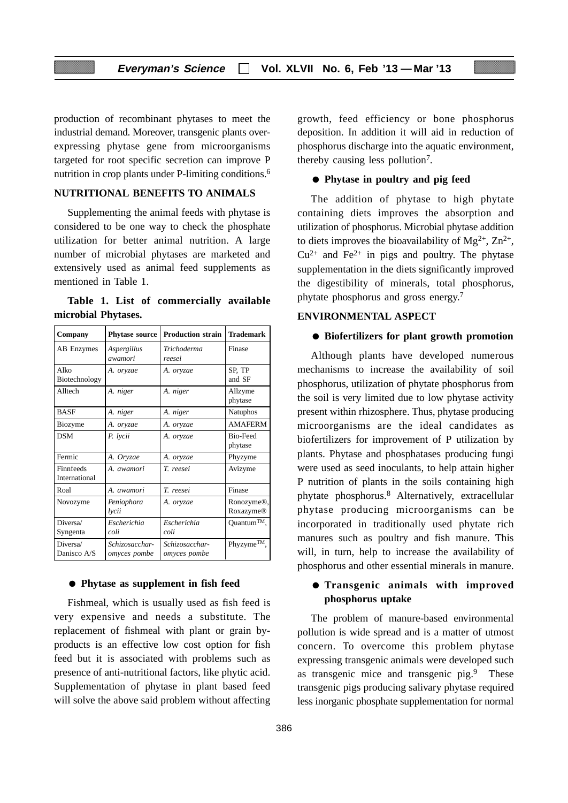production of recombinant phytases to meet the industrial demand. Moreover, transgenic plants overexpressing phytase gene from microorganisms targeted for root specific secretion can improve P nutrition in crop plants under P-limiting conditions.<sup>6</sup>

### **NUTRITIONAL BENEFITS TO ANIMALS**

Supplementing the animal feeds with phytase is considered to be one way to check the phosphate utilization for better animal nutrition. A large number of microbial phytases are marketed and extensively used as animal feed supplements as mentioned in Table 1.

**Table 1. List of commercially available microbial Phytases.**

| Company                    | <b>Phytase source</b>          | <b>Production strain</b>       | <b>Trademark</b>           |
|----------------------------|--------------------------------|--------------------------------|----------------------------|
| <b>AB</b> Enzymes          | Aspergillus<br>awamori         | Trichoderma<br>reesei          | Finase                     |
| Alko<br>Biotechnology      | A. oryzae                      | A. oryzae                      | SP, TP<br>and SF           |
| Alltech                    | A. niger                       | A. niger                       | Allzyme<br>phytase         |
| <b>BASF</b>                | A. niger                       | A. niger                       | <b>Natuphos</b>            |
| Biozyme                    | A. oryzae                      | A. oryzae                      | <b>AMAFERM</b>             |
| <b>DSM</b>                 | P. lycii                       | A. oryzae                      | <b>Bio-Feed</b><br>phytase |
| Fermic                     | A. Oryzae                      | A. oryzae                      | Phyzyme                    |
| Finnfeeds<br>International | A. awamori                     | T. reesei                      | Avizyme                    |
| Roal                       | A. awamori                     | T. reesei                      | Finase                     |
| Novozyme                   | Peniophora<br>lycii            | A. oryzae                      | Ronozyme®,<br>Roxazyme®    |
| Diversa/<br>Syngenta       | Escherichia<br>coli            | <b>Escherichia</b><br>coli     | Quantum <sup>TM</sup> ,    |
| Diversa/<br>Danisco A/S    | Schizosacchar-<br>omyces pombe | Schizosacchar-<br>omyces pombe | Phyzyme <sup>TM</sup> ,    |

### ● **Phytase as supplement in fish feed**

Fishmeal, which is usually used as fish feed is very expensive and needs a substitute. The replacement of fishmeal with plant or grain byproducts is an effective low cost option for fish feed but it is associated with problems such as presence of anti-nutritional factors, like phytic acid. Supplementation of phytase in plant based feed will solve the above said problem without affecting

growth, feed efficiency or bone phosphorus deposition. In addition it will aid in reduction of phosphorus discharge into the aquatic environment, thereby causing less pollution7.

### ● **Phytase in poultry and pig feed**

The addition of phytase to high phytate containing diets improves the absorption and utilization of phosphorus. Microbial phytase addition to diets improves the bioavailability of  $Mg^{2+}$ ,  $Zn^{2+}$ ,  $Cu^{2+}$  and Fe<sup>2+</sup> in pigs and poultry. The phytase supplementation in the diets significantly improved the digestibility of minerals, total phosphorus, phytate phosphorus and gross energy.7

### **ENVIRONMENTAL ASPECT**

### ● **Biofertilizers for plant growth promotion**

Although plants have developed numerous mechanisms to increase the availability of soil phosphorus, utilization of phytate phosphorus from the soil is very limited due to low phytase activity present within rhizosphere. Thus, phytase producing microorganisms are the ideal candidates as biofertilizers for improvement of P utilization by plants. Phytase and phosphatases producing fungi were used as seed inoculants, to help attain higher P nutrition of plants in the soils containing high phytate phosphorus.8 Alternatively, extracellular phytase producing microorganisms can be incorporated in traditionally used phytate rich manures such as poultry and fish manure. This will, in turn, help to increase the availability of phosphorus and other essential minerals in manure.

### ● **Transgenic animals with improved phosphorus uptake**

The problem of manure-based environmental pollution is wide spread and is a matter of utmost concern. To overcome this problem phytase expressing transgenic animals were developed such as transgenic mice and transgenic pig.9 These transgenic pigs producing salivary phytase required less inorganic phosphate supplementation for normal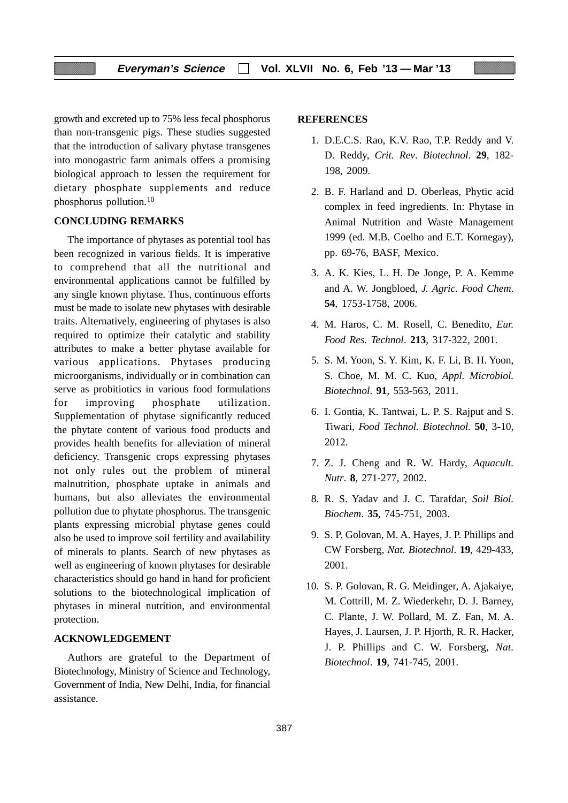growth and excreted up to 75% less fecal phosphorus than non-transgenic pigs. These studies suggested that the introduction of salivary phytase transgenes into monogastric farm animals offers a promising biological approach to lessen the requirement for dietary phosphate supplements and reduce phosphorus pollution.10

#### **CONCLUDING REMARKS**

The importance of phytases as potential tool has been recognized in various fields. It is imperative to comprehend that all the nutritional and environmental applications cannot be fulfilled by any single known phytase. Thus, continuous efforts must be made to isolate new phytases with desirable traits. Alternatively, engineering of phytases is also required to optimize their catalytic and stability attributes to make a better phytase available for various applications. Phytases producing microorganisms, individually or in combination can serve as probitiotics in various food formulations for improving phosphate utilization. Supplementation of phytase significantly reduced the phytate content of various food products and provides health benefits for alleviation of mineral deficiency. Transgenic crops expressing phytases not only rules out the problem of mineral malnutrition, phosphate uptake in animals and humans, but also alleviates the environmental pollution due to phytate phosphorus. The transgenic plants expressing microbial phytase genes could also be used to improve soil fertility and availability of minerals to plants. Search of new phytases as well as engineering of known phytases for desirable characteristics should go hand in hand for proficient solutions to the biotechnological implication of phytases in mineral nutrition, and environmental protection.

#### **ACKNOWLEDGEMENT**

Authors are grateful to the Department of Biotechnology, Ministry of Science and Technology, Government of India, New Delhi, India, for financial assistance.

#### **REFERENCES**

- 1. D.E.C.S. Rao, K.V. Rao, T.P. Reddy and V. D. Reddy, *Crit. Rev*. *Biotechnol*. **29**, 182- 198, 2009.
- 2. B. F. Harland and D. Oberleas, Phytic acid complex in feed ingredients. In: Phytase in Animal Nutrition and Waste Management 1999 (ed. M.B. Coelho and E.T. Kornegay), pp. 69-76, BASF, Mexico.
- 3. A. K. Kies, L. H. De Jonge, P. A. Kemme and A. W. Jongbloed, *J. Agric. Food Chem*. **54**, 1753-1758, 2006.
- 4. M. Haros, C. M. Rosell, C. Benedito, *Eur. Food Res. Technol*. **213**, 317-322, 2001.
- 5. S. M. Yoon, S. Y. Kim, K. F. Li, B. H. Yoon, S. Choe, M. M. C. Kuo, *Appl. Microbiol. Biotechnol*. **91**, 553-563, 2011.
- 6. I. Gontia, K. Tantwai, L. P. S. Rajput and S. Tiwari, *Food Technol. Biotechnol*. **50**, 3-10, 2012.
- 7. Z. J. Cheng and R. W. Hardy, *Aquacult. Nutr*. **8**, 271-277, 2002.
- 8. R. S. Yadav and J. C. Tarafdar, *Soil Biol. Biochem*. **35**, 745-751, 2003.
- 9. S. P. Golovan, M. A. Hayes, J. P. Phillips and CW Forsberg, *Nat. Biotechnol*. **19**, 429-433, 2001.
- 10. S. P. Golovan, R. G. Meidinger, A. Ajakaiye, M. Cottrill, M. Z. Wiederkehr, D. J. Barney, C. Plante, J. W. Pollard, M. Z. Fan, M. A. Hayes, J. Laursen, J. P. Hjorth, R. R. Hacker, J. P. Phillips and C. W. Forsberg, *Nat. Biotechnol*. **19**, 741-745, 2001.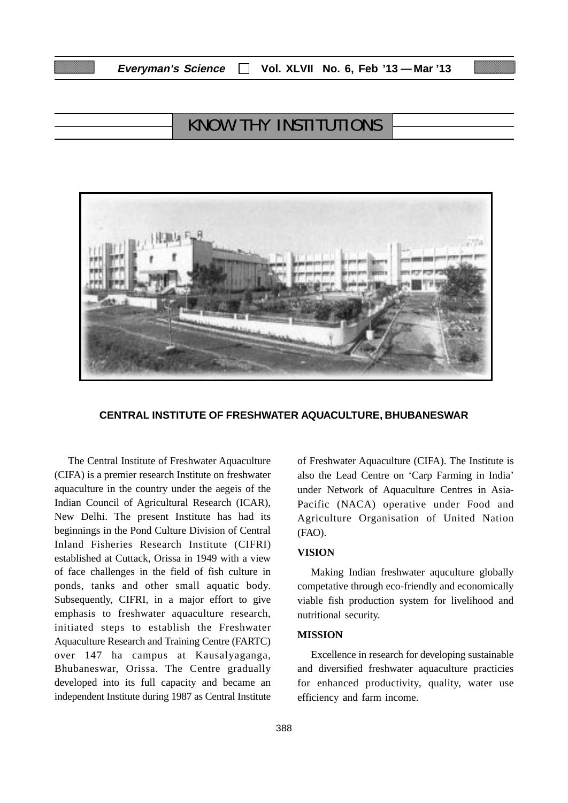# KNOW THY INSTITUTIONS



#### **CENTRAL INSTITUTE OF FRESHWATER AQUACULTURE, BHUBANESWAR**

The Central Institute of Freshwater Aquaculture (CIFA) is a premier research Institute on freshwater aquaculture in the country under the aegeis of the Indian Council of Agricultural Research (ICAR), New Delhi. The present Institute has had its beginnings in the Pond Culture Division of Central Inland Fisheries Research Institute (CIFRI) established at Cuttack, Orissa in 1949 with a view of face challenges in the field of fish culture in ponds, tanks and other small aquatic body. Subsequently, CIFRI, in a major effort to give emphasis to freshwater aquaculture research, initiated steps to establish the Freshwater Aquaculture Research and Training Centre (FARTC) over 147 ha campus at Kausalyaganga, Bhubaneswar, Orissa. The Centre gradually developed into its full capacity and became an independent Institute during 1987 as Central Institute

of Freshwater Aquaculture (CIFA). The Institute is also the Lead Centre on 'Carp Farming in India' under Network of Aquaculture Centres in Asia-Pacific (NACA) operative under Food and Agriculture Organisation of United Nation (FAO).

### **VISION**

Making Indian freshwater aquculture globally competative through eco-friendly and economically viable fish production system for livelihood and nutritional security.

### **MISSION**

Excellence in research for developing sustainable and diversified freshwater aquaculture practicies for enhanced productivity, quality, water use efficiency and farm income.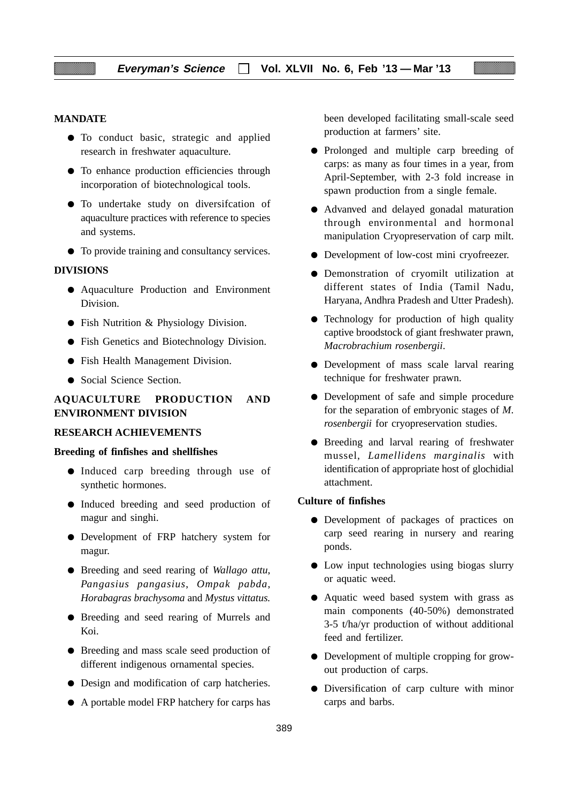### **MANDATE**

- To conduct basic, strategic and applied research in freshwater aquaculture.
- To enhance production efficiencies through incorporation of biotechnological tools.
- To undertake study on diversifcation of aquaculture practices with reference to species and systems.
- To provide training and consultancy services.

#### **DIVISIONS**

- Aquaculture Production and Environment Division.
- Fish Nutrition & Physiology Division.
- Fish Genetics and Biotechnology Division.
- Fish Health Management Division.
- Social Science Section.

### **AQUACULTURE PRODUCTION AND ENVIRONMENT DIVISION**

### **RESEARCH ACHIEVEMENTS**

#### **Breeding of finfishes and shellfishes**

- Induced carp breeding through use of synthetic hormones.
- Induced breeding and seed production of magur and singhi.
- Development of FRP hatchery system for magur.
- Breeding and seed rearing of *Wallago attu*, *Pangasius pangasius*, *Ompak pabda*, *Horabagras brachysoma* and *Mystus vittatus.*
- Breeding and seed rearing of Murrels and Koi.
- Breeding and mass scale seed production of different indigenous ornamental species.
- Design and modification of carp hatcheries.
- A portable model FRP hatchery for carps has

been developed facilitating small-scale seed production at farmers' site.

- Prolonged and multiple carp breeding of carps: as many as four times in a year, from April-September, with 2-3 fold increase in spawn production from a single female.
- Advanved and delayed gonadal maturation through environmental and hormonal manipulation Cryopreservation of carp milt.
- Development of low-cost mini cryofreezer.
- Demonstration of cryomilt utilization at different states of India (Tamil Nadu, Haryana, Andhra Pradesh and Utter Pradesh).
- Technology for production of high quality captive broodstock of giant freshwater prawn, *Macrobrachium rosenbergii*.
- Development of mass scale larval rearing technique for freshwater prawn.
- Development of safe and simple procedure for the separation of embryonic stages of *M*. *rosenbergii* for cryopreservation studies.
- Breeding and larval rearing of freshwater mussel, *Lamellidens marginalis* with identification of appropriate host of glochidial attachment.

### **Culture of finfishes**

- Development of packages of practices on carp seed rearing in nursery and rearing ponds.
- Low input technologies using biogas slurry or aquatic weed.
- Aquatic weed based system with grass as main components (40-50%) demonstrated 3-5 t/ha/yr production of without additional feed and fertilizer.
- Development of multiple cropping for growout production of carps.
- Diversification of carp culture with minor carps and barbs.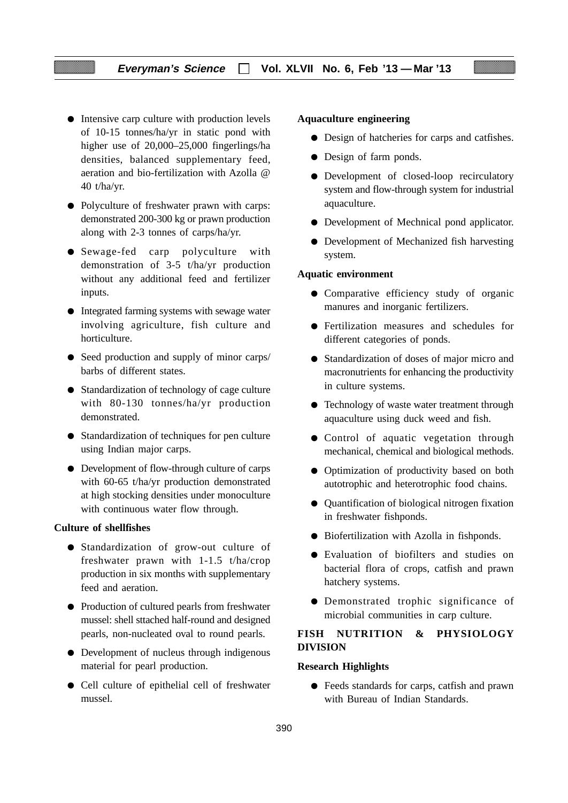### **Everyman's Science Vol. XLVII No. 6, Feb '13 — Mar '13**

- Intensive carp culture with production levels of 10-15 tonnes/ha/yr in static pond with higher use of 20,000–25,000 fingerlings/ha densities, balanced supplementary feed, aeration and bio-fertilization with Azolla @ 40 t/ha/yr.
- Polyculture of freshwater prawn with carps: demonstrated 200-300 kg or prawn production along with 2-3 tonnes of carps/ha/yr.
- Sewage-fed carp polyculture with demonstration of 3-5 t/ha/yr production without any additional feed and fertilizer inputs.
- Integrated farming systems with sewage water involving agriculture, fish culture and horticulture.
- Seed production and supply of minor carps/ barbs of different states.
- Standardization of technology of cage culture with 80-130 tonnes/ha/yr production demonstrated.
- Standardization of techniques for pen culture using Indian major carps.
- Development of flow-through culture of carps with 60-65 t/ha/yr production demonstrated at high stocking densities under monoculture with continuous water flow through.

#### **Culture of shellfishes**

- Standardization of grow-out culture of freshwater prawn with 1-1.5 t/ha/crop production in six months with supplementary feed and aeration.
- Production of cultured pearls from freshwater mussel: shell sttached half-round and designed pearls, non-nucleated oval to round pearls.
- Development of nucleus through indigenous material for pearl production.
- Cell culture of epithelial cell of freshwater mussel.

### **Aquaculture engineering**

- Design of hatcheries for carps and catfishes.
- Design of farm ponds.
- Development of closed-loop recirculatory system and flow-through system for industrial aquaculture.
- Development of Mechnical pond applicator.
- Development of Mechanized fish harvesting system.

### **Aquatic environment**

- Comparative efficiency study of organic manures and inorganic fertilizers.
- Fertilization measures and schedules for different categories of ponds.
- Standardization of doses of major micro and macronutrients for enhancing the productivity in culture systems.
- Technology of waste water treatment through aquaculture using duck weed and fish.
- Control of aquatic vegetation through mechanical, chemical and biological methods.
- Optimization of productivity based on both autotrophic and heterotrophic food chains.
- Quantification of biological nitrogen fixation in freshwater fishponds.
- Biofertilization with Azolla in fishponds.
- Evaluation of biofilters and studies on bacterial flora of crops, catfish and prawn hatchery systems.
- Demonstrated trophic significance of microbial communities in carp culture.

### **FISH NUTRITION & PHYSIOLOGY DIVISION**

### **Research Highlights**

● Feeds standards for carps, catfish and prawn with Bureau of Indian Standards.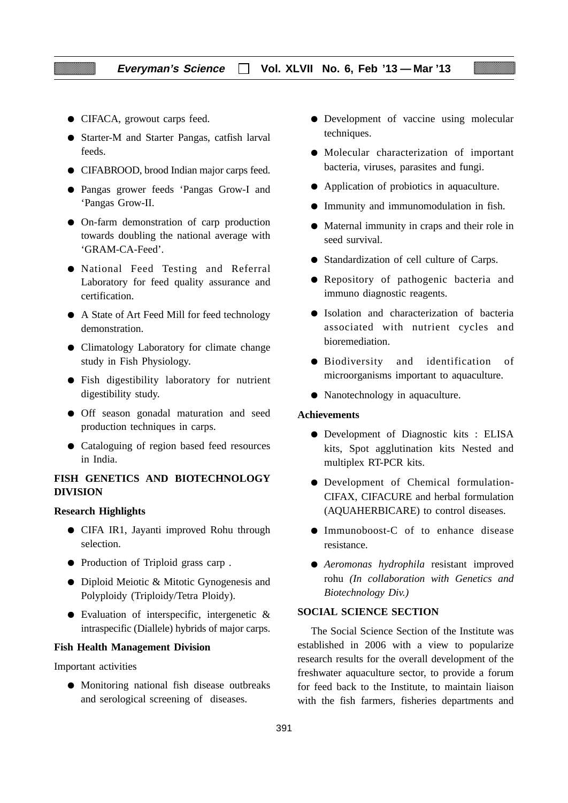- CIFACA, growout carps feed.
- Starter-M and Starter Pangas, catfish larval feeds.
- CIFABROOD, brood Indian major carps feed.
- Pangas grower feeds 'Pangas Grow-I and 'Pangas Grow-II.
- On-farm demonstration of carp production towards doubling the national average with 'GRAM-CA-Feed'.
- National Feed Testing and Referral Laboratory for feed quality assurance and certification.
- A State of Art Feed Mill for feed technology demonstration.
- Climatology Laboratory for climate change study in Fish Physiology.
- Fish digestibility laboratory for nutrient digestibility study.
- Off season gonadal maturation and seed production techniques in carps.
- Cataloguing of region based feed resources in India.

### **FISH GENETICS AND BIOTECHNOLOGY DIVISION**

#### **Research Highlights**

- CIFA IR1, Jayanti improved Rohu through selection.
- Production of Triploid grass carp .
- Diploid Meiotic & Mitotic Gynogenesis and Polyploidy (Triploidy/Tetra Ploidy).
- Evaluation of interspecific, intergenetic & intraspecific (Diallele) hybrids of major carps.

#### **Fish Health Management Division**

Important activities

● Monitoring national fish disease outbreaks and serological screening of diseases.

- Development of vaccine using molecular techniques.
- Molecular characterization of important bacteria, viruses, parasites and fungi.
- Application of probiotics in aquaculture.
- Immunity and immunomodulation in fish.
- Maternal immunity in craps and their role in seed survival.
- Standardization of cell culture of Carps.
- Repository of pathogenic bacteria and immuno diagnostic reagents.
- Isolation and characterization of bacteria associated with nutrient cycles and bioremediation.
- Biodiversity and identification of microorganisms important to aquaculture.
- Nanotechnology in aquaculture.

#### **Achievements**

- Development of Diagnostic kits : ELISA kits, Spot agglutination kits Nested and multiplex RT-PCR kits.
- Development of Chemical formulation-CIFAX, CIFACURE and herbal formulation (AQUAHERBICARE) to control diseases.
- Immunoboost-C of to enhance disease resistance.
- *Aeromonas hydrophila* resistant improved rohu *(In collaboration with Genetics and Biotechnology Div.)*

### **SOCIAL SCIENCE SECTION**

The Social Science Section of the Institute was established in 2006 with a view to popularize research results for the overall development of the freshwater aquaculture sector, to provide a forum for feed back to the Institute, to maintain liaison with the fish farmers, fisheries departments and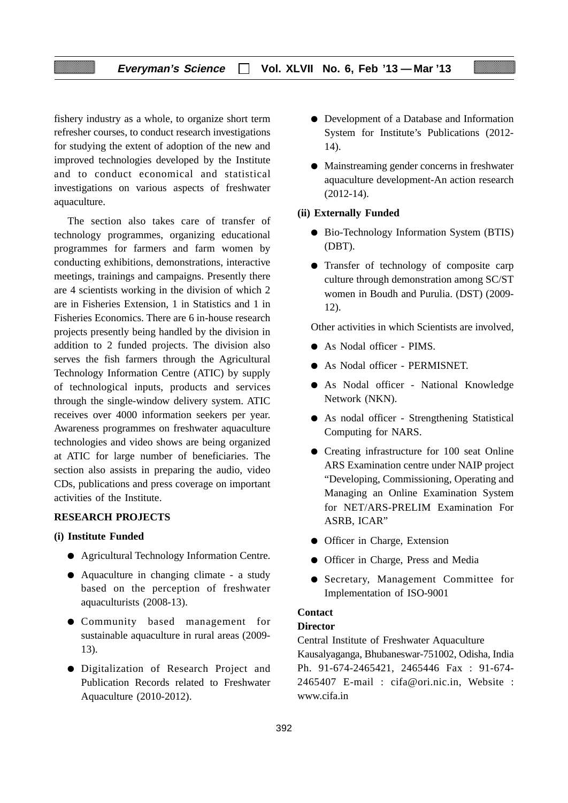### **Everyman's Science Vol. XLVII No. 6, Feb '13 — Mar '13**

fishery industry as a whole, to organize short term refresher courses, to conduct research investigations for studying the extent of adoption of the new and improved technologies developed by the Institute and to conduct economical and statistical investigations on various aspects of freshwater aquaculture.

The section also takes care of transfer of technology programmes, organizing educational programmes for farmers and farm women by conducting exhibitions, demonstrations, interactive meetings, trainings and campaigns. Presently there are 4 scientists working in the division of which 2 are in Fisheries Extension, 1 in Statistics and 1 in Fisheries Economics. There are 6 in-house research projects presently being handled by the division in addition to 2 funded projects. The division also serves the fish farmers through the Agricultural Technology Information Centre (ATIC) by supply of technological inputs, products and services through the single-window delivery system. ATIC receives over 4000 information seekers per year. Awareness programmes on freshwater aquaculture technologies and video shows are being organized at ATIC for large number of beneficiaries. The section also assists in preparing the audio, video CDs, publications and press coverage on important activities of the Institute.

### **RESEARCH PROJECTS**

#### **(i) Institute Funded**

- Agricultural Technology Information Centre.
- Aquaculture in changing climate a study based on the perception of freshwater aquaculturists (2008-13).
- Community based management for sustainable aquaculture in rural areas (2009- 13).
- Digitalization of Research Project and Publication Records related to Freshwater Aquaculture (2010-2012).
- Development of a Database and Information System for Institute's Publications (2012- 14).
- Mainstreaming gender concerns in freshwater aquaculture development-An action research (2012-14).

#### **(ii) Externally Funded**

- Bio-Technology Information System (BTIS) (DBT).
- Transfer of technology of composite carp culture through demonstration among SC/ST women in Boudh and Purulia. (DST) (2009- 12).

Other activities in which Scientists are involved,

- As Nodal officer PIMS.
- As Nodal officer PERMISNET.
- As Nodal officer National Knowledge Network (NKN).
- As nodal officer Strengthening Statistical Computing for NARS.
- Creating infrastructure for 100 seat Online ARS Examination centre under NAIP project "Developing, Commissioning, Operating and Managing an Online Examination System for NET/ARS-PRELIM Examination For ASRB, ICAR"
- Officer in Charge, Extension
- Officer in Charge, Press and Media
- Secretary, Management Committee for Implementation of ISO-9001

### **Contact**

### **Director**

Central Institute of Freshwater Aquaculture Kausalyaganga, Bhubaneswar-751002, Odisha, India Ph. 91-674-2465421, 2465446 Fax : 91-674- 2465407 E-mail : cifa@ori.nic.in, Website : www.cifa.in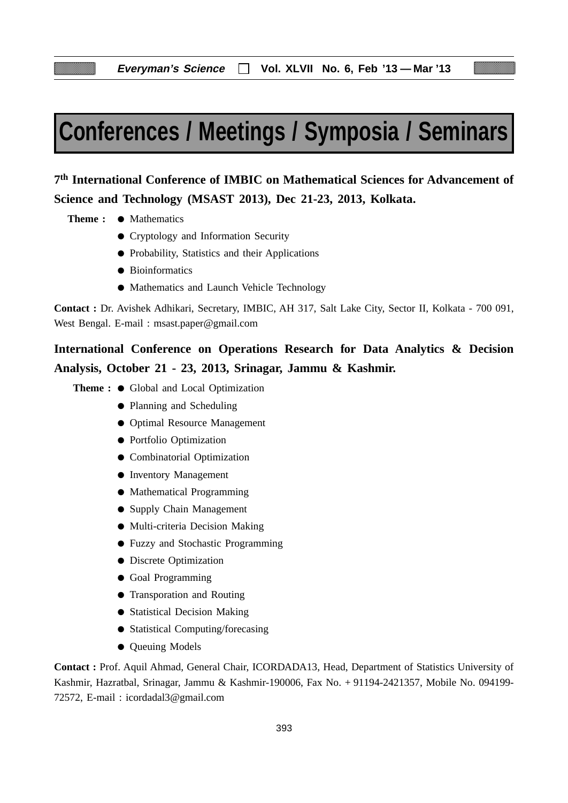# **Conferences / Meetings / Symposia / Seminars**

# **7th International Conference of IMBIC on Mathematical Sciences for Advancement of Science and Technology (MSAST 2013), Dec 21-23, 2013, Kolkata.**

- **Theme : Mathematics** 
	- Cryptology and Information Security
	- Probability, Statistics and their Applications
	- Bioinformatics
	- Mathematics and Launch Vehicle Technology

**Contact :** Dr. Avishek Adhikari, Secretary, IMBIC, AH 317, Salt Lake City, Sector II, Kolkata - 700 091, West Bengal. E-mail : msast.paper@gmail.com

# **International Conference on Operations Research for Data Analytics & Decision Analysis, October 21 - 23, 2013, Srinagar, Jammu & Kashmir.**

**Theme :** ● Global and Local Optimization

- Planning and Scheduling
- Optimal Resource Management
- Portfolio Optimization
- Combinatorial Optimization
- Inventory Management
- Mathematical Programming
- Supply Chain Management
- Multi-criteria Decision Making
- Fuzzy and Stochastic Programming
- Discrete Optimization
- Goal Programming
- Transporation and Routing
- Statistical Decision Making
- Statistical Computing/forecasing
- Queuing Models

**Contact :** Prof. Aquil Ahmad, General Chair, ICORDADA13, Head, Department of Statistics University of Kashmir, Hazratbal, Srinagar, Jammu & Kashmir-190006, Fax No. + 91194-2421357, Mobile No. 094199- 72572, E-mail : icordadal3@gmail.com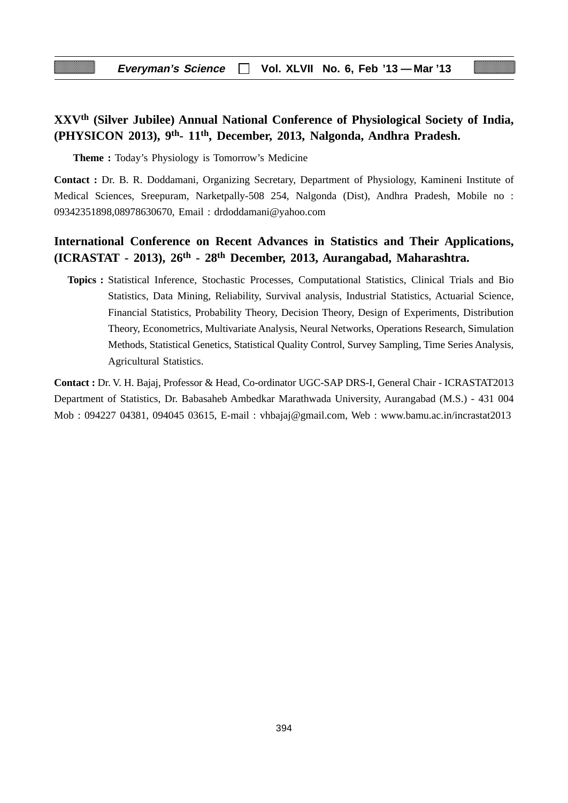## **XXVth (Silver Jubilee) Annual National Conference of Physiological Society of India, (PHYSICON 2013), 9th- 11th, December, 2013, Nalgonda, Andhra Pradesh.**

**Theme :** Today's Physiology is Tomorrow's Medicine

**Contact :** Dr. B. R. Doddamani, Organizing Secretary, Department of Physiology, Kamineni Institute of Medical Sciences, Sreepuram, Narketpally-508 254, Nalgonda (Dist), Andhra Pradesh, Mobile no : 09342351898,08978630670, Email : drdoddamani@yahoo.com

### **International Conference on Recent Advances in Statistics and Their Applications, (ICRASTAT - 2013), 26th - 28th December, 2013, Aurangabad, Maharashtra.**

**Topics :** Statistical Inference, Stochastic Processes, Computational Statistics, Clinical Trials and Bio Statistics, Data Mining, Reliability, Survival analysis, Industrial Statistics, Actuarial Science, Financial Statistics, Probability Theory, Decision Theory, Design of Experiments, Distribution Theory, Econometrics, Multivariate Analysis, Neural Networks, Operations Research, Simulation Methods, Statistical Genetics, Statistical Quality Control, Survey Sampling, Time Series Analysis, Agricultural Statistics.

**Contact :** Dr. V. H. Bajaj, Professor & Head, Co-ordinator UGC-SAP DRS-I, General Chair - ICRASTAT2013 Department of Statistics, Dr. Babasaheb Ambedkar Marathwada University, Aurangabad (M.S.) - 431 004 Mob : 094227 04381, 094045 03615, E-mail : vhbajaj@gmail.com, Web : www.bamu.ac.in/incrastat2013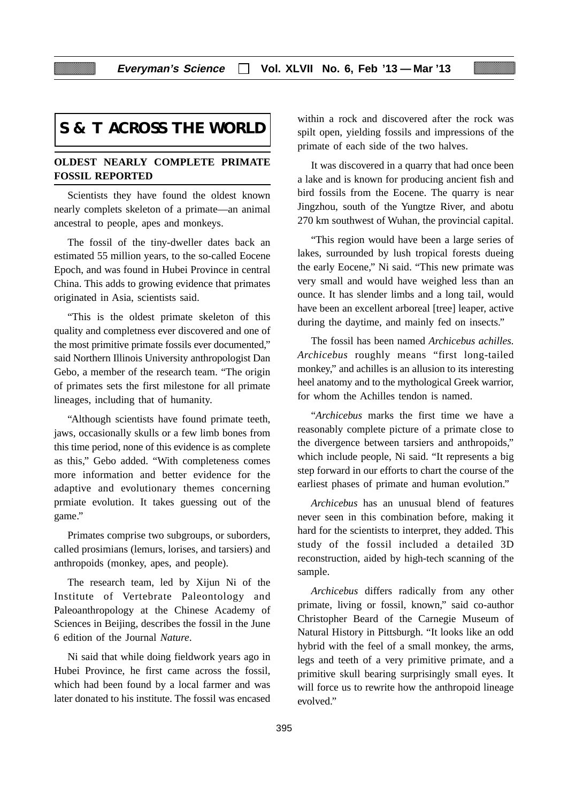# **S & T ACROSS THE WORLD**

### **OLDEST NEARLY COMPLETE PRIMATE FOSSIL REPORTED**

Scientists they have found the oldest known nearly complets skeleton of a primate—an animal ancestral to people, apes and monkeys.

The fossil of the tiny-dweller dates back an estimated 55 million years, to the so-called Eocene Epoch, and was found in Hubei Province in central China. This adds to growing evidence that primates originated in Asia, scientists said.

"This is the oldest primate skeleton of this quality and completness ever discovered and one of the most primitive primate fossils ever documented," said Northern Illinois University anthropologist Dan Gebo, a member of the research team. "The origin of primates sets the first milestone for all primate lineages, including that of humanity.

"Although scientists have found primate teeth, jaws, occasionally skulls or a few limb bones from this time period, none of this evidence is as complete as this," Gebo added. "With completeness comes more information and better evidence for the adaptive and evolutionary themes concerning prmiate evolution. It takes guessing out of the game."

Primates comprise two subgroups, or suborders, called prosimians (lemurs, lorises, and tarsiers) and anthropoids (monkey, apes, and people).

The research team, led by Xijun Ni of the Institute of Vertebrate Paleontology and Paleoanthropology at the Chinese Academy of Sciences in Beijing, describes the fossil in the June 6 edition of the Journal *Nature*.

Ni said that while doing fieldwork years ago in Hubei Province, he first came across the fossil, which had been found by a local farmer and was later donated to his institute. The fossil was encased within a rock and discovered after the rock was spilt open, yielding fossils and impressions of the primate of each side of the two halves.

It was discovered in a quarry that had once been a lake and is known for producing ancient fish and bird fossils from the Eocene. The quarry is near Jingzhou, south of the Yungtze River, and abotu 270 km southwest of Wuhan, the provincial capital.

"This region would have been a large series of lakes, surrounded by lush tropical forests dueing the early Eocene," Ni said. "This new primate was very small and would have weighed less than an ounce. It has slender limbs and a long tail, would have been an excellent arboreal [tree] leaper, active during the daytime, and mainly fed on insects."

The fossil has been named *Archicebus achilles*. *Archicebus* roughly means "first long-tailed monkey," and achilles is an allusion to its interesting heel anatomy and to the mythological Greek warrior, for whom the Achilles tendon is named.

"*Archicebus* marks the first time we have a reasonably complete picture of a primate close to the divergence between tarsiers and anthropoids," which include people, Ni said. "It represents a big step forward in our efforts to chart the course of the earliest phases of primate and human evolution."

*Archicebus* has an unusual blend of features never seen in this combination before, making it hard for the scientists to interpret, they added. This study of the fossil included a detailed 3D reconstruction, aided by high-tech scanning of the sample.

*Archicebus* differs radically from any other primate, living or fossil, known," said co-author Christopher Beard of the Carnegie Museum of Natural History in Pittsburgh. "It looks like an odd hybrid with the feel of a small monkey, the arms, legs and teeth of a very primitive primate, and a primitive skull bearing surprisingly small eyes. It will force us to rewrite how the anthropoid lineage evolved."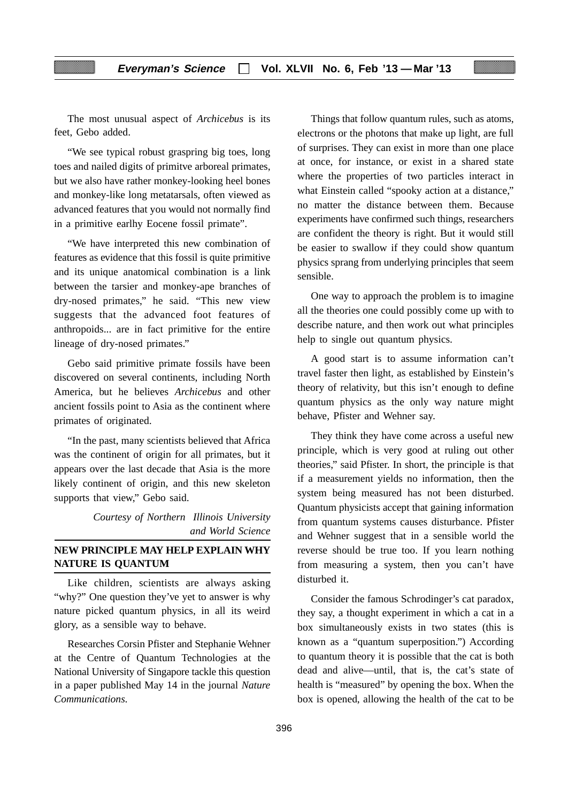The most unusual aspect of *Archicebus* is its feet, Gebo added.

"We see typical robust graspring big toes, long toes and nailed digits of primitve arboreal primates, but we also have rather monkey-looking heel bones and monkey-like long metatarsals, often viewed as advanced features that you would not normally find in a primitive earlhy Eocene fossil primate".

"We have interpreted this new combination of features as evidence that this fossil is quite primitive and its unique anatomical combination is a link between the tarsier and monkey-ape branches of dry-nosed primates," he said. "This new view suggests that the advanced foot features of anthropoids... are in fact primitive for the entire lineage of dry-nosed primates."

Gebo said primitive primate fossils have been discovered on several continents, including North America, but he believes *Archicebus* and other ancient fossils point to Asia as the continent where primates of originated.

"In the past, many scientists believed that Africa was the continent of origin for all primates, but it appears over the last decade that Asia is the more likely continent of origin, and this new skeleton supports that view," Gebo said.

> *Courtesy of Northern Illinois University and World Science*

### **NEW PRINCIPLE MAY HELP EXPLAIN WHY NATURE IS QUANTUM**

Like children, scientists are always asking "why?" One question they've yet to answer is why nature picked quantum physics, in all its weird glory, as a sensible way to behave.

Researches Corsin Pfister and Stephanie Wehner at the Centre of Quantum Technologies at the National University of Singapore tackle this question in a paper published May 14 in the journal *Nature Communications*.

Things that follow quantum rules, such as atoms, electrons or the photons that make up light, are full of surprises. They can exist in more than one place at once, for instance, or exist in a shared state where the properties of two particles interact in what Einstein called "spooky action at a distance," no matter the distance between them. Because experiments have confirmed such things, researchers are confident the theory is right. But it would still be easier to swallow if they could show quantum physics sprang from underlying principles that seem sensible.

One way to approach the problem is to imagine all the theories one could possibly come up with to describe nature, and then work out what principles help to single out quantum physics.

A good start is to assume information can't travel faster then light, as established by Einstein's theory of relativity, but this isn't enough to define quantum physics as the only way nature might behave, Pfister and Wehner say.

They think they have come across a useful new principle, which is very good at ruling out other theories," said Pfister. In short, the principle is that if a measurement yields no information, then the system being measured has not been disturbed. Quantum physicists accept that gaining information from quantum systems causes disturbance. Pfister and Wehner suggest that in a sensible world the reverse should be true too. If you learn nothing from measuring a system, then you can't have disturbed it.

Consider the famous Schrodinger's cat paradox, they say, a thought experiment in which a cat in a box simultaneously exists in two states (this is known as a "quantum superposition.") According to quantum theory it is possible that the cat is both dead and alive—until, that is, the cat's state of health is "measured" by opening the box. When the box is opened, allowing the health of the cat to be